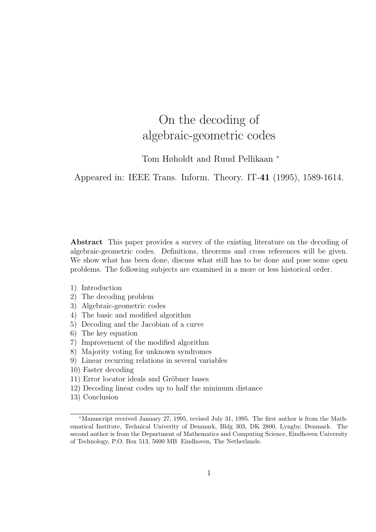# On the decoding of algebraic-geometric codes

Tom Høholdt and Ruud Pellikaan <sup>∗</sup>

Appeared in: IEEE Trans. Inform. Theory. IT-41 (1995), 1589-1614.

Abstract This paper provides a survey of the existing literature on the decoding of algebraic-geometric codes. Definitions, theorems and cross references will be given. We show what has been done, discuss what still has to be done and pose some open problems. The following subjects are examined in a more or less historical order.

- 1) Introduction
- 2) The decoding problem
- 3) Algebraic-geometric codes
- 4) The basic and modified algorithm
- 5) Decoding and the Jacobian of a curve
- 6) The key equation
- 7) Improvement of the modified algorithm
- 8) Majority voting for unknown syndromes
- 9) Linear recurring relations in several variables
- 10) Faster decoding
- 11) Error locator ideals and Gröbner bases
- 12) Decoding linear codes up to half the minimum distance
- 13) Conclusion

<sup>∗</sup>Manuscript received January 27, 1995, revised July 31, 1995. The first author is from the Mathematical Institute, Technical Univerity of Denmark, Bldg 303, DK 2800, Lyngby, Denmark. The second author is from the Department of Mathematics and Computing Science, Eindhoven University of Technology, P.O. Box 513, 5600 MB Eindhoven, The Netherlands.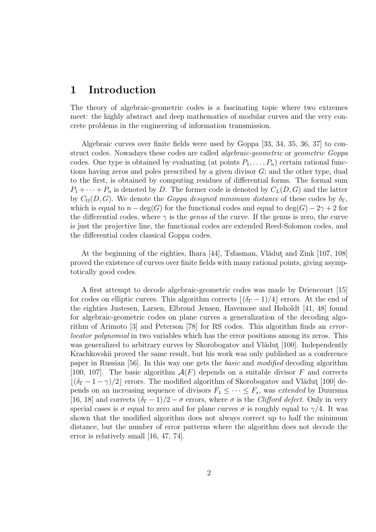### 1 Introduction

The theory of algebraic-geometric codes is a fascinating topic where two extremes meet: the highly abstract and deep mathematics of modular curves and the very concrete problems in the engineering of information transmission.

Algebraic curves over finite fields were used by Goppa [33, 34, 35, 36, 37] to construct codes. Nowadays these codes are called *algebraic-geometric* or *geometric Goppa* codes. One type is obtained by evaluating (at points  $P_1, \ldots, P_n$ ) certain rational functions having zeros and poles prescribed by a given divisor  $G$ ; and the other type, dual to the first, is obtained by computing residues of differential forms. The formal sum  $P_1 + \cdots + P_n$  is denoted by D. The former code is denoted by  $C_L(D, G)$  and the latter by  $C_{\Omega}(D, G)$ . We denote the *Goppa designed minimum distance* of these codes by  $\delta_{\Gamma}$ , which is equal to  $n - \text{deg}(G)$  for the functional codes and equal to  $\text{deg}(G) - 2\gamma + 2$  for the differential codes, where  $\gamma$  is the *genus* of the curve. If the genus is zero, the curve is just the projective line, the functional codes are extended Reed-Solomon codes, and the differential codes classical Goppa codes.

At the beginning of the eighties, Ihara [44], Tsfasman, Vlădut and Zink [107, 108] proved the existence of curves over finite fields with many rational points, giving asymptotically good codes.

A first attempt to decode algebraic-geometric codes was made by Driencourt [15] for codes on elliptic curves. This algorithm corrects  $\lfloor (\delta_{\Gamma} - 1)/4 \rfloor$  errors. At the end of the eighties Justesen, Larsen, Elbrønd Jensen, Havemose and Høholdt [41, 48] found for algebraic-geometric codes on plane curves a generalization of the decoding algorithm of Arimoto [3] and Peterson [78] for RS codes. This algorithm finds an errorlocator polynomial in two variables which has the error positions among its zeros. This was generalized to arbitrary curves by Skorobogatov and Vlădut [100]. Independently Krachkovskii proved the same result, but his work was only published as a conference paper in Russian [56]. In this way one gets the basic and modified decoding algorithm [100, 107]. The basic algorithm  $A(F)$  depends on a suitable divisor F and corrects  $\lfloor(\delta_{\Gamma} - 1 - \gamma)/2\rfloor$  errors. The modified algorithm of Skorobogatov and Vlădut [100] depends on an increasing sequence of divisors  $F_1 \leq \cdots \leq F_s$ , was extended by Duursma [16, 18] and corrects  $(\delta_{\Gamma} - 1)/2 - \sigma$  errors, where  $\sigma$  is the *Clifford defect*. Only in very special cases is  $\sigma$  equal to zero and for plane curves  $\sigma$  is roughly equal to  $\gamma/4$ . It was shown that the modified algorithm does not always correct up to half the minimum distance, but the number of error patterns where the algorithm does not decode the error is relatively small [16, 47, 74].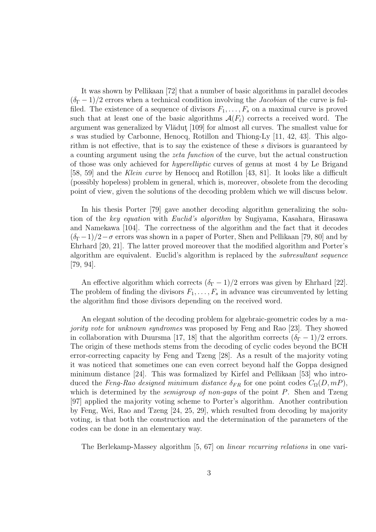It was shown by Pellikaan [72] that a number of basic algorithms in parallel decodes  $(\delta_{\Gamma}-1)/2$  errors when a technical condition involving the *Jacobian* of the curve is fulfiled. The existence of a sequence of divisors  $F_1, \ldots, F_s$  on a maximal curve is proved such that at least one of the basic algorithms  $\mathcal{A}(F_i)$  corrects a received word. The argument was generalized by Vlădut<sub>[109]</sub> for almost all curves. The smallest value for s was studied by Carbonne, Henocq, Rotillon and Thiong-Ly [11, 42, 43]. This algorithm is not effective, that is to say the existence of these s divisors is guaranteed by a counting argument using the zeta function of the curve, but the actual construction of those was only achieved for hyperelliptic curves of genus at most 4 by Le Brigand [58, 59] and the Klein curve by Henocq and Rotillon [43, 81]. It looks like a difficult (possibly hopeless) problem in general, which is, moreover, obsolete from the decoding point of view, given the solutions of the decoding problem which we will discuss below.

In his thesis Porter [79] gave another decoding algorithm generalizing the solution of the key equation with Euclid's algorithm by Sugiyama, Kasahara, Hirasawa and Namekawa [104]. The correctness of the algorithm and the fact that it decodes  $(\delta_{\Gamma}-1)/2-\sigma$  errors was shown in a paper of Porter, Shen and Pellikaan [79, 80] and by Ehrhard [20, 21]. The latter proved moreover that the modified algorithm and Porter's algorithm are equivalent. Euclid's algorithm is replaced by the subresultant sequence [79, 94].

An effective algorithm which corrects  $(\delta_{\Gamma} - 1)/2$  errors was given by Ehrhard [22]. The problem of finding the divisors  $F_1, \ldots, F_s$  in advance was circumvented by letting the algorithm find those divisors depending on the received word.

An elegant solution of the decoding problem for algebraic-geometric codes by a majority vote for unknown syndromes was proposed by Feng and Rao [23]. They showed in collaboration with Duursma [17, 18] that the algorithm corrects  $(\delta_{\Gamma} - 1)/2$  errors. The origin of these methods stems from the decoding of cyclic codes beyond the BCH error-correcting capacity by Feng and Tzeng [28]. As a result of the majority voting it was noticed that sometimes one can even correct beyond half the Goppa designed minimum distance [24]. This was formalized by Kirfel and Pellikaan [53] who introduced the Feng-Rao designed minimum distance  $\delta_{FR}$  for one point codes  $C_{\Omega}(D, mP)$ . which is determined by the *semigroup of non-gaps* of the point  $P$ . Shen and Tzeng [97] applied the majority voting scheme to Porter's algorithm. Another contribution by Feng, Wei, Rao and Tzeng [24, 25, 29], which resulted from decoding by majority voting, is that both the construction and the determination of the parameters of the codes can be done in an elementary way.

The Berlekamp-Massey algorithm [5, 67] on linear recurring relations in one vari-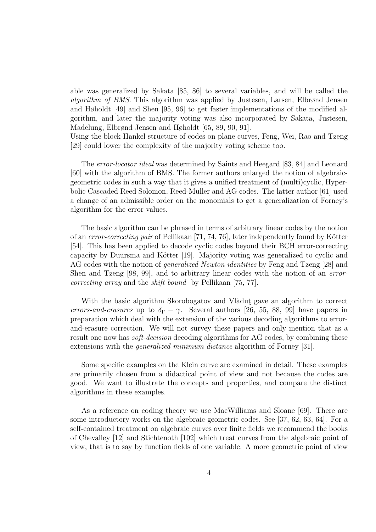able was generalized by Sakata [85, 86] to several variables, and will be called the algorithm of BMS. This algorithm was applied by Justesen, Larsen, Elbrønd Jensen and Høholdt [49] and Shen [95, 96] to get faster implementations of the modified algorithm, and later the majority voting was also incorporated by Sakata, Justesen, Madelung, Elbrønd Jensen and Høholdt [65, 89, 90, 91].

Using the block-Hankel structure of codes on plane curves, Feng, Wei, Rao and Tzeng [29] could lower the complexity of the majority voting scheme too.

The error-locator ideal was determined by Saints and Heegard [83, 84] and Leonard [60] with the algorithm of BMS. The former authors enlarged the notion of algebraicgeometric codes in such a way that it gives a unified treatment of (multi)cyclic, Hyperbolic Cascaded Reed Solomon, Reed-Muller and AG codes. The latter author [61] used a change of an admissible order on the monomials to get a generalization of Forney's algorithm for the error values.

The basic algorithm can be phrased in terms of arbitrary linear codes by the notion of an error-correcting pair of Pellikaan  $[71, 74, 76]$ , later independently found by Kötter [54]. This has been applied to decode cyclic codes beyond their BCH error-correcting capacity by Duursma and Kötter [19]. Majority voting was generalized to cyclic and AG codes with the notion of generalized Newton identities by Feng and Tzeng [28] and Shen and Tzeng [98, 99], and to arbitrary linear codes with the notion of an errorcorrecting array and the shift bound by Pellikaan [75, 77].

With the basic algorithm Skorobogatov and Vlădut gave an algorithm to correct errors-and-erasures up to  $\delta_{\Gamma} - \gamma$ . Several authors [26, 55, 88, 99] have papers in preparation which deal with the extension of the various decoding algorithms to errorand-erasure correction. We will not survey these papers and only mention that as a result one now has *soft-decision* decoding algorithms for AG codes, by combining these extensions with the *generalized minimum distance* algorithm of Forney [31].

Some specific examples on the Klein curve are examined in detail. These examples are primarily chosen from a didactical point of view and not because the codes are good. We want to illustrate the concepts and properties, and compare the distinct algorithms in these examples.

As a reference on coding theory we use MacWilliams and Sloane [69]. There are some introductory works on the algebraic-geometric codes. See [37, 62, 63, 64]. For a self-contained treatment on algebraic curves over finite fields we recommend the books of Chevalley [12] and Stichtenoth [102] which treat curves from the algebraic point of view, that is to say by function fields of one variable. A more geometric point of view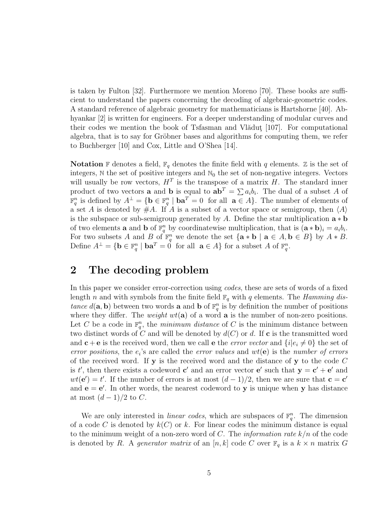is taken by Fulton [32]. Furthermore we mention Moreno [70]. These books are sufficient to understand the papers concerning the decoding of algebraic-geometric codes. A standard reference of algebraic geometry for mathematicians is Hartshorne [40]. Abhyankar [2] is written for engineers. For a deeper understanding of modular curves and their codes we mention the book of Tsfasman and Vlădut  $[107]$ . For computational algebra, that is to say for Gröbner bases and algorithms for computing them, we refer to Buchberger [10] and Cox, Little and O'Shea [14].

**Notation** F denotes a field,  $\mathbb{F}_q$  denotes the finite field with q elements. Z is the set of integers,  $\mathbb N$  the set of positive integers and  $\mathbb N_0$  the set of non-negative integers. Vectors will usually be row vectors,  $H<sup>T</sup>$  is the transpose of a matrix H. The standard inner product of two vectors **a** and **b** is equal to  $ab^T = \sum a_i b_i$ . The dual of a subset A of  $\mathbb{F}_q^n$  is defined by  $A^{\perp} = \{ \mathbf{b} \in \mathbb{F}_q^n \mid \mathbf{ba}^T = 0 \text{ for all } \mathbf{a} \in A \}.$  The number of elements of a set A is denoted by  $\#A$ . If A is a subset of a vector space or semigroup, then  $\langle A \rangle$ is the subspace or sub-semigroup generated by A. Define the star multiplication  $\mathbf{a} * \mathbf{b}$ of two elements **a** and **b** of  $\mathbb{F}_q^n$  by coordinatewise multiplication, that is  $(\mathbf{a} * \mathbf{b})_i = a_i b_i$ . For two subsets A and B of  $\mathbb{F}_q^n$  we denote the set  $\{a * b \mid a \in A, b \in B\}$  by  $A * B$ . Define  $A^{\perp} = \{ \mathbf{b} \in \mathbb{F}_q^n \mid \mathbf{ba}^T = \hat{0} \text{ for all } \mathbf{a} \in A \}$  for a subset A of  $\mathbb{F}_q^n$ .

### 2 The decoding problem

In this paper we consider error-correction using codes, these are sets of words of a fixed length n and with symbols from the finite field  $\mathbb{F}_q$  with q elements. The *Hamming dis*tance  $d(\mathbf{a}, \mathbf{b})$  between two words **a** and **b** of  $\mathbb{F}_q^n$  is by definition the number of positions where they differ. The *weight*  $wt(a)$  of a word **a** is the number of non-zero positions. Let C be a code in  $\mathbb{F}_q^n$ , the *minimum distance* of C is the minimum distance between two distinct words of C and will be denoted by  $d(C)$  or d. If c is the transmitted word and  $c + e$  is the received word, then we call e the *error vector* and  $\{i | e_i \neq 0\}$  the set of error positions, the  $e_i$ 's are called the error values and  $wt(e)$  is the number of errors of the received word. If  $y$  is the received word and the distance of  $y$  to the code  $C$ is t', then there exists a codeword  $\mathbf{c}'$  and an error vector  $\mathbf{e}'$  such that  $\mathbf{y} = \mathbf{c}' + \mathbf{e}'$  and  $wt(\mathbf{e}') = t'$ . If the number of errors is at most  $(d-1)/2$ , then we are sure that  $\mathbf{c} = \mathbf{c}'$ and  $e = e'$ . In other words, the nearest codeword to y is unique when y has distance at most  $(d-1)/2$  to C.

We are only interested in *linear codes*, which are subspaces of  $\mathbb{F}_q^n$ . The dimension of a code C is denoted by  $k(C)$  or k. For linear codes the minimum distance is equal to the minimum weight of a non-zero word of C. The *information rate*  $k/n$  of the code is denoted by R. A generator matrix of an  $[n, k]$  code C over  $\mathbb{F}_q$  is a  $k \times n$  matrix G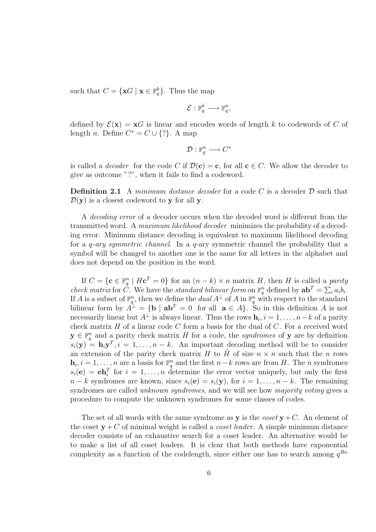such that  $C = {\mathbf{x} \in \mathbb{F}_q^k}$ . Thus the map

$$
\mathcal{E}:\mathbb{F}_q^k\longrightarrow\mathbb{F}_q^n,
$$

defined by  $\mathcal{E}(\mathbf{x}) = \mathbf{x}G$  is linear and encodes words of length k to codewords of C of length *n*. Define  $C^* = C \cup \{? \}$ . A map

$$
\mathcal{D} : \mathbb{F}_q^n \longrightarrow C^*
$$

is called a *decoder* for the code C if  $\mathcal{D}(\mathbf{c}) = \mathbf{c}$ , for all  $\mathbf{c} \in C$ . We allow the decoder to give as outcome "?", when it fails to find a codeword.

**Definition 2.1** A minimum distance decoder for a code C is a decoder  $D$  such that  $\mathcal{D}(\mathbf{y})$  is a closest codeword to y for all y.

A decoding error of a decoder occurs when the decoded word is different from the transmitted word. A maximum likelihood decoder minimizes the probability of a decoding error. Minimum distance decoding is equivalent to maximum likelihood decoding for a  $q$ -ary symmetric channel. In a  $q$ -ary symmetric channel the probability that a symbol will be changed to another one is the same for all letters in the alphabet and does not depend on the position in the word.

If  $C = \{ \mathbf{c} \in \mathbb{F}_q^n \mid H\mathbf{c}^T = 0 \}$  for an  $(n - k) \times n$  matrix H, then H is called a parity *check matrix* for  $\hat{C}$ . We have the *standard bilinear form* on  $\mathbb{F}_q^n$  defined by  $ab^T = \sum_i a_i b_i$ . If A is a subset of  $\mathbb{F}_q^n$ , then we define the dual  $A^{\perp}$  of A in  $\mathbb{F}_q^n$  with respect to the standard bilinear form by  $A^{\perp} = {\bf{b} \mid {\bf{ab}}^T = 0 \text{ for all } {\bf{a}} \in A}$ . So in this definition A is not necessarily linear but  $A^{\perp}$  is always linear. Thus the rows  $\mathbf{h}_i$ ,  $i = 1, \ldots, n-k$  of a parity check matrix  $H$  of a linear code  $C$  form a basis for the dual of  $C$ . For a received word  $y \in \mathbb{F}_q^n$  and a parity check matrix H for a code, the syndromes of y are by definition  $s_i(\mathbf{y}) = \mathbf{h}_i \mathbf{y}^T, i = 1, \dots, n - k$ . An important decoding method will be to consider an extension of the parity check matrix H to  $\hat{H}$  of size  $n \times n$  such that the n rows  $\mathbf{h}_i, i = 1, \ldots, n$  are a basis for  $\mathbb{F}_q^n$  and the first  $n-k$  rows are from H. The n syndromes  $s_i(\mathbf{e}) = \mathbf{eh}_i^T$  for  $i = 1, \ldots, n$  determine the error vector uniquely, but only the first  $n - k$  syndromes are known, since  $s_i(\mathbf{e}) = s_i(\mathbf{y})$ , for  $i = 1, ..., n - k$ . The remaining syndromes are called *unknown syndromes*, and we will see how *majority voting* gives a procedure to compute the unknown syndromes for some classes of codes.

The set of all words with the same syndrome as y is the *coset*  $y + C$ . An element of the coset  $\mathbf{v} + C$  of minimal weight is called a *coset leader*. A simple minimum distance decoder consists of an exhaustive search for a coset leader. An alternative would be to make a list of all coset leaders. It is clear that both methods have exponential complexity as a function of the codelength, since either one has to search among  $q^{Rn}$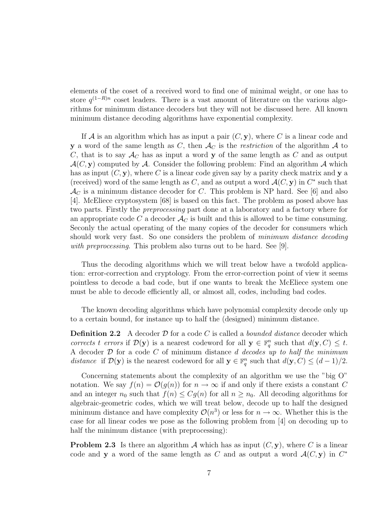elements of the coset of a received word to find one of minimal weight, or one has to store  $q^{(1-R)n}$  coset leaders. There is a vast amount of literature on the various algorithms for minimum distance decoders but they will not be discussed here. All known minimum distance decoding algorithms have exponential complexity.

If A is an algorithm which has as input a pair  $(C, y)$ , where C is a linear code and y a word of the same length as C, then  $\mathcal{A}_C$  is the restriction of the algorithm  $\mathcal A$  to C, that is to say  $\mathcal{A}_{C}$  has as input a word y of the same length as C and as output  $\mathcal{A}(C, \mathbf{y})$  computed by  $\mathcal{A}$ . Consider the following problem: Find an algorithm  $\mathcal{A}$  which has as input  $(C, y)$ , where C is a linear code given say by a parity check matrix and y a (received) word of the same length as C, and as output a word  $\mathcal{A}(C, \mathbf{y})$  in  $C^*$  such that  $\mathcal{A}_C$  is a minimum distance decoder for C. This problem is NP hard. See [6] and also [4]. McEliece cryptosystem [68] is based on this fact. The problem as posed above has two parts. Firstly the preprocessing part done at a laboratory and a factory where for an appropriate code C a decoder  $\mathcal{A}_C$  is built and this is allowed to be time consuming. Seconly the actual operating of the many copies of the decoder for consumers which should work very fast. So one considers the problem of *minimum distance decoding* with preprocessing. This problem also turns out to be hard. See [9].

Thus the decoding algorithms which we will treat below have a twofold application: error-correction and cryptology. From the error-correction point of view it seems pointless to decode a bad code, but if one wants to break the McEliece system one must be able to decode efficiently all, or almost all, codes, including bad codes.

The known decoding algorithms which have polynomial complexity decode only up to a certain bound, for instance up to half the (designed) minimum distance.

**Definition 2.2** A decoder  $D$  for a code  $C$  is called a *bounded distance* decoder which corrects t errors if  $\mathcal{D}(\mathbf{y})$  is a nearest codeword for all  $\mathbf{y} \in \mathbb{F}_q^n$  such that  $d(\mathbf{y}, C) \leq t$ . A decoder  $D$  for a code  $C$  of minimum distance  $d$  decodes up to half the minimum distance if  $\mathcal{D}(\mathbf{y})$  is the nearest codeword for all  $\mathbf{y} \in \mathbb{F}_q^n$  such that  $d(\mathbf{y}, C) \leq (d-1)/2$ .

Concerning statements about the complexity of an algorithm we use the "big O" notation. We say  $f(n) = \mathcal{O}(q(n))$  for  $n \to \infty$  if and only if there exists a constant C and an integer  $n_0$  such that  $f(n) \leq Cg(n)$  for all  $n \geq n_0$ . All decoding algorithms for algebraic-geometric codes, which we will treat below, decode up to half the designed minimum distance and have complexity  $\mathcal{O}(n^3)$  or less for  $n \to \infty$ . Whether this is the case for all linear codes we pose as the following problem from [4] on decoding up to half the minimum distance (with preprocessing):

**Problem 2.3** Is there an algorithm A which has as input  $(C, y)$ , where C is a linear code and y a word of the same length as C and as output a word  $\mathcal{A}(C, y)$  in  $C^*$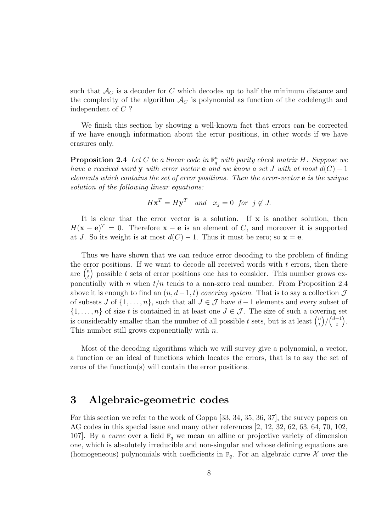such that  $\mathcal{A}_{C}$  is a decoder for C which decodes up to half the minimum distance and the complexity of the algorithm  $\mathcal{A}_C$  is polynomial as function of the codelength and independent of C ?

We finish this section by showing a well-known fact that errors can be corrected if we have enough information about the error positions, in other words if we have erasures only.

**Proposition 2.4** Let C be a linear code in  $\mathbb{F}_q^n$  with parity check matrix H. Suppose we have a received word y with error vector e and we know a set J with at most  $d(C) - 1$ elements which contains the set of error positions. Then the error-vector e is the unique solution of the following linear equations:

$$
H\mathbf{x}^T = H\mathbf{y}^T \quad and \quad x_j = 0 \text{ for } j \notin J.
$$

It is clear that the error vector is a solution. If  $x$  is another solution, then  $H(\mathbf{x}-\mathbf{e})^T = 0$ . Therefore  $\mathbf{x}-\mathbf{e}$  is an element of C, and moreover it is supported at J. So its weight is at most  $d(C) - 1$ . Thus it must be zero; so  $\mathbf{x} = \mathbf{e}$ .

Thus we have shown that we can reduce error decoding to the problem of finding the error positions. If we want to decode all received words with  $t$  errors, then there are  $\binom{n}{t}$ t ) possible t sets of error positions one has to consider. This number grows exponentially with n when  $t/n$  tends to a non-zero real number. From Proposition 2.4 above it is enough to find an  $(n, d-1, t)$  covering system. That is to say a collection  $\mathcal J$ of subsets J of  $\{1, \ldots, n\}$ , such that all  $J \in \mathcal{J}$  have  $d-1$  elements and every subset of  $\{1,\ldots,n\}$  of size t is contained in at least one  $J \in \mathcal{J}$ . The size of such a covering set is considerably smaller than the number of all possible t sets, but is at least  $\binom{n}{t}$ t  $\bigg)/\bigg(\begin{smallmatrix} d-1 \\ + \end{smallmatrix}\bigg)$ t  $\big).$ This number still grows exponentially with  $n$ .

Most of the decoding algorithms which we will survey give a polynomial, a vector, a function or an ideal of functions which locates the errors, that is to say the set of zeros of the function(s) will contain the error positions.

### 3 Algebraic-geometric codes

For this section we refer to the work of Goppa [33, 34, 35, 36, 37], the survey papers on AG codes in this special issue and many other references [2, 12, 32, 62, 63, 64, 70, 102, 107. By a curve over a field  $\mathbb{F}_q$  we mean an affine or projective variety of dimension one, which is absolutely irreducible and non-singular and whose defining equations are (homogeneous) polynomials with coefficients in  $\mathbb{F}_q$ . For an algebraic curve X over the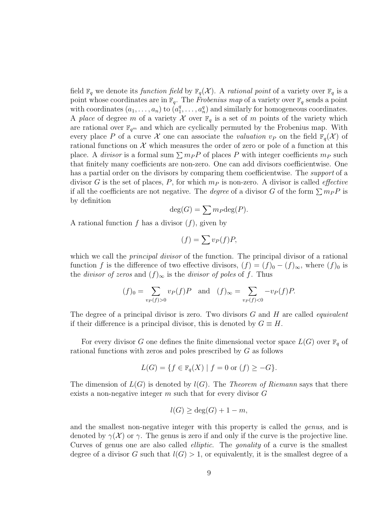field  $\mathbb{F}_q$  we denote its function field by  $\mathbb{F}_q(\mathcal{X})$ . A rational point of a variety over  $\mathbb{F}_q$  is a point whose coordinates are in  $\mathbb{F}_q$ . The Frobenius map of a variety over  $\mathbb{F}_q$  sends a point with coordinates  $(a_1, \ldots, a_n)$  to  $(a_1, a_2)$  $a_1^q, \ldots, a_n^q$  and similarly for homogeneous coordinates. A place of degree m of a variety X over  $\mathbb{F}_q$  is a set of m points of the variety which are rational over  $\mathbb{F}_{q^m}$  and which are cyclically permuted by the Frobenius map. With every place P of a curve X one can associate the valuation  $v_P$  on the field  $\mathbb{F}_q(\mathcal{X})$  of rational functions on  $\mathcal X$  which measures the order of zero or pole of a function at this place. A *divisor* is a formal sum  $\sum m_P P$  of places P with integer coefficients  $m_P$  such that finitely many coefficients are non-zero. One can add divisors coefficientwise. One has a partial order on the divisors by comparing them coefficientwise. The *support* of a divisor G is the set of places, P, for which  $m<sub>P</sub>$  is non-zero. A divisor is called *effective* if all the coefficients are not negative. The *degree* of a divisor G of the form  $\sum m_P P$  is by definition

$$
\deg(G) = \sum m_P \deg(P).
$$

A rational function f has a divisor  $(f)$ , given by

$$
(f) = \sum v_P(f)P,
$$

which we call the *principal divisor* of the function. The principal divisor of a rational function f is the difference of two effective divisors,  $(f) = (f)_0 - (f)_{\infty}$ , where  $(f)_0$  is the *divisor of zeros* and  $(f)_{\infty}$  is the *divisor of poles* of f. Thus

$$
(f)_0 = \sum_{v_P(f) > 0} v_P(f)P
$$
 and  $(f)_{\infty} = \sum_{v_P(f) < 0} -v_P(f)P.$ 

The degree of a principal divisor is zero. Two divisors  $G$  and  $H$  are called *equivalent* if their difference is a principal divisor, this is denoted by  $G \equiv H$ .

For every divisor G one defines the finite dimensional vector space  $L(G)$  over  $\mathbb{F}_q$  of rational functions with zeros and poles prescribed by G as follows

$$
L(G) = \{ f \in \mathbb{F}_q(X) \mid f = 0 \text{ or } (f) \ge -G \}.
$$

The dimension of  $L(G)$  is denoted by  $l(G)$ . The Theorem of Riemann says that there exists a non-negative integer  $m$  such that for every divisor  $G$ 

$$
l(G) \ge \deg(G) + 1 - m,
$$

and the smallest non-negative integer with this property is called the genus, and is denoted by  $\gamma(\mathcal{X})$  or  $\gamma$ . The genus is zero if and only if the curve is the projective line. Curves of genus one are also called elliptic. The gonality of a curve is the smallest degree of a divisor G such that  $l(G) > 1$ , or equivalently, it is the smallest degree of a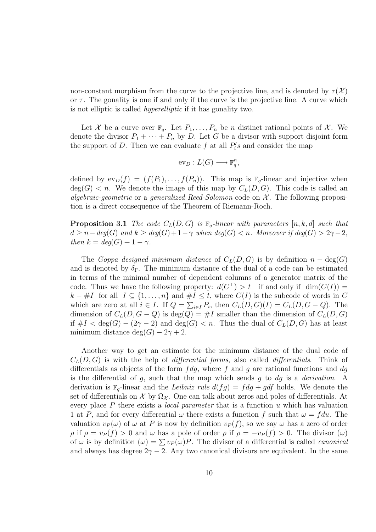non-constant morphism from the curve to the projective line, and is denoted by  $\tau(\mathcal{X})$ or  $\tau$ . The gonality is one if and only if the curve is the projective line. A curve which is not elliptic is called hyperelliptic if it has gonality two.

Let X be a curve over  $\mathbb{F}_q$ . Let  $P_1, \ldots, P_n$  be n distinct rational points of X. We denote the divisor  $P_1 + \cdots + P_n$  by D. Let G be a divisor with support disjoint form the support of D. Then we can evaluate f at all  $P_i$ 's and consider the map

$$
ev_D: L(G) \longrightarrow \mathbb{F}_q^n,
$$

defined by  $ev_D(f) = (f(P_1), \ldots, f(P_n))$ . This map is  $\mathbb{F}_q$ -linear and injective when  $deg(G) < n$ . We denote the image of this map by  $C<sub>L</sub>(D, G)$ . This code is called an algebraic-geometric or a generalized Reed-Solomon code on  $\mathcal{X}$ . The following proposition is a direct consequence of the Theorem of Riemann-Roch.

**Proposition 3.1** The code  $C_L(D, G)$  is  $\mathbb{F}_q$ -linear with parameters  $[n, k, d]$  such that  $d \geq n-\deg(G)$  and  $k \geq \deg(G)+1-\gamma$  when  $\deg(G) < n$ . Moreover if  $\deg(G) > 2\gamma-2$ , then  $k = deg(G) + 1 - \gamma$ .

The Goppa designed minimum distance of  $C<sub>L</sub>(D, G)$  is by definition  $n - \deg(G)$ and is denoted by  $\delta_{\Gamma}$ . The minimum distance of the dual of a code can be estimated in terms of the minimal number of dependent columns of a generator matrix of the code. Thus we have the following property:  $d(C^{\perp}) > t$  if and only if  $\dim(C(I)) =$  $k - #I$  for all  $I \subseteq \{1, ..., n\}$  and  $#I \leq t$ , where  $C(I)$  is the subcode of words in C which are zero at all  $i \in I$ . If  $Q = \sum_{i \in I} P_i$ , then  $C_L(D, G)(I) = C_L(D, G - Q)$ . The dimension of  $C_L(D, G - Q)$  is deg(Q) = #I smaller than the dimension of  $C_L(D, G)$ if  $\#I < \deg(G) - (2\gamma - 2)$  and  $\deg(G) < n$ . Thus the dual of  $C_L(D, G)$  has at least minimum distance deg( $G$ ) – 2 $\gamma$  + 2.

Another way to get an estimate for the minimum distance of the dual code of  $C<sub>L</sub>(D, G)$  is with the help of *differential forms*, also called *differentials*. Think of differentials as objects of the form  $fdg$ , where f and g are rational functions and  $dg$ is the differential of  $g$ , such that the map which sends  $g$  to  $dg$  is a *derivation*. A derivation is  $\mathbb{F}_q$ -linear and the *Leibniz rule*  $d(fg) = f dg + g df$  holds. We denote the set of differentials on X by  $\Omega_{\mathcal{X}}$ . One can talk about zeros and poles of differentials. At every place  $P$  there exists a *local parameter* that is a function  $u$  which has valuation 1 at P, and for every differential  $\omega$  there exists a function f such that  $\omega = f du$ . The valuation  $v_P(\omega)$  of  $\omega$  at P is now by definition  $v_P(f)$ , so we say  $\omega$  has a zero of order ρ if  $ρ = v<sub>P</sub>(f) > 0$  and ω has a pole of order ρ if  $ρ = -v<sub>P</sub>(f) > 0$ . The divisor (ω) of  $\omega$  is by definition  $(\omega) = \sum v_P(\omega)P$ . The divisor of a differential is called *canonical* and always has degree  $2\gamma - 2$ . Any two canonical divisors are equivalent. In the same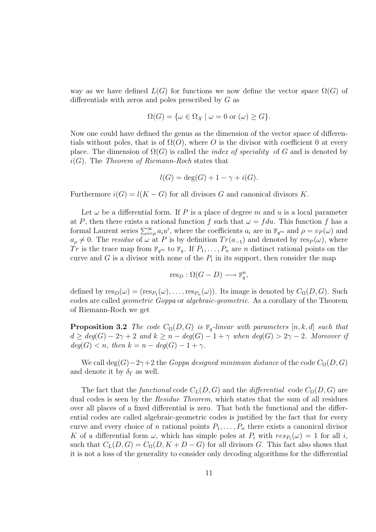way as we have defined  $L(G)$  for functions we now define the vector space  $\Omega(G)$  of differentials with zeros and poles prescribed by G as

$$
\Omega(G) = \{ \omega \in \Omega_{\mathcal{X}} \mid \omega = 0 \text{ or } (\omega) \ge G \}.
$$

Now one could have defined the genus as the dimension of the vector space of differentials without poles, that is of  $\Omega(O)$ , where O is the divisor with coefficient 0 at every place. The dimension of  $\Omega(G)$  is called the *index of speciality* of G and is denoted by  $i(G)$ . The Theorem of Riemann-Roch states that

$$
l(G) = \deg(G) + 1 - \gamma + i(G).
$$

Furthermore  $i(G) = l(K - G)$  for all divisors G and canonical divisors K.

Let  $\omega$  be a differential form. If P is a place of degree m and u is a local parameter at P, then there exists a rational function f such that  $\omega = f du$ . This function f has a formal Laurent series  $\sum_{i=p}^{\infty} a_i u^i$ , where the coefficients  $a_i$  are in  $\mathbb{F}_{q^m}$  and  $\rho = v_P(\omega)$  and  $a_{\rho} \neq 0$ . The *residue* of  $\omega$  at P is by definition  $Tr(a_{-1})$  and denoted by res<sub>P</sub>( $\omega$ ), where Tr is the trace map from  $\mathbb{F}_{q^m}$  to  $\mathbb{F}_q$ . If  $P_1, \ldots, P_n$  are n distinct rational points on the curve and  $G$  is a divisor with none of the  $P_i$  in its support, then consider the map

$$
res_D : \Omega(G - D) \longrightarrow \mathbb{F}_q^n,
$$

defined by  $res_D(\omega) = (res_{P_1}(\omega), \ldots, res_{P_n}(\omega))$ . Its image is denoted by  $C_{\Omega}(D, G)$ . Such codes are called geometric Goppa or algebraic-geometric. As a corollary of the Theorem of Riemann-Roch we get

**Proposition 3.2** The code  $C_{\Omega}(D, G)$  is  $\mathbb{F}_q$ -linear with parameters [n, k, d] such that  $d \geq deg(G) - 2\gamma + 2$  and  $k \geq n - deg(G) - 1 + \gamma$  when  $deg(G) > 2\gamma - 2$ . Moreover if  $deg(G) < n$ , then  $k = n - deg(G) - 1 + \gamma$ .

We call deg(G)−2γ+2 the Goppa designed minimum distance of the code  $C_{\Omega}(D, G)$ and denote it by  $\delta_{\Gamma}$  as well.

The fact that the functional code  $C_L(D, G)$  and the differential code  $C_{\Omega}(D, G)$  are dual codes is seen by the Residue Theorem, which states that the sum of all residues over all places of a fixed differential is zero. That both the functional and the differential codes are called algebraic-geometric codes is justified by the fact that for every curve and every choice of n rational points  $P_1, \ldots, P_n$  there exists a canonical divisor K of a differential form  $\omega$ , which has simple poles at  $P_i$  with  $res_{P_i}(\omega) = 1$  for all i, such that  $C_L(D, G) = C_{\Omega}(D, K + D - G)$  for all divisors G. This fact also shows that it is not a loss of the generality to consider only decoding algorithms for the differential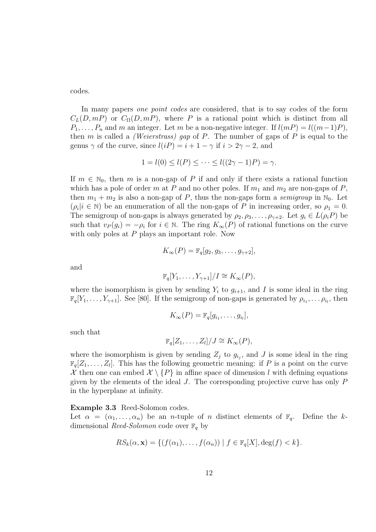codes.

In many papers one point codes are considered, that is to say codes of the form  $C<sub>L</sub>(D, mP)$  or  $C<sub>\Omega</sub>(D, mP)$ , where P is a rational point which is distinct from all  $P_1, \ldots, P_n$  and m an integer. Let m be a non-negative integer. If  $l(mP) = l((m-1)P)$ , then m is called a *(Weierstrass)* gap of P. The number of gaps of P is equal to the genus  $\gamma$  of the curve, since  $l(iP) = i + 1 - \gamma$  if  $i > 2\gamma - 2$ , and

$$
1 = l(0) \le l(P) \le \cdots \le l((2\gamma - 1)P) = \gamma.
$$

If  $m \in \mathbb{N}_0$ , then m is a non-gap of P if and only if there exists a rational function which has a pole of order m at P and no other poles. If  $m_1$  and  $m_2$  are non-gaps of P, then  $m_1 + m_2$  is also a non-gap of P, thus the non-gaps form a *semigroup* in  $\mathbb{N}_0$ . Let  $(\rho_i | i \in \mathbb{N})$  be an enumeration of all the non-gaps of P in increasing order, so  $\rho_1 = 0$ . The semigroup of non-gaps is always generated by  $\rho_2, \rho_3, \ldots, \rho_{\gamma+2}$ . Let  $g_i \in L(\rho_i P)$  be such that  $v_P(g_i) = -\rho_i$  for  $i \in \mathbb{N}$ . The ring  $K_\infty(P)$  of rational functions on the curve with only poles at P plays an important role. Now

$$
K_{\infty}(P) = \mathbb{F}_q[g_2, g_3, \dots, g_{\gamma+2}],
$$

and

$$
\mathbb{F}_q[Y_1,\ldots,Y_{\gamma+1}]/I \cong K_{\infty}(P),
$$

where the isomorphism is given by sending  $Y_i$  to  $g_{i+1}$ , and I is some ideal in the ring  $\mathbb{F}_q[Y_1,\ldots,Y_{\gamma+1}]$ . See [80]. If the semigroup of non-gaps is generated by  $\rho_{i_1},\ldots,\rho_{i_l}$ , then

$$
K_{\infty}(P) = \mathbb{F}_q[g_{i_1},\ldots,g_{i_l}],
$$

such that

$$
\mathbb{F}_q[Z_1,\ldots,Z_l]/J \cong K_{\infty}(P),
$$

where the isomorphism is given by sending  $Z_j$  to  $g_{i_j}$ , and J is some ideal in the ring  $\mathbb{F}_q[Z_1,\ldots,Z_l]$ . This has the following geometric meaning: if P is a point on the curve X then one can embed  $\mathcal{X} \setminus \{P\}$  in affine space of dimension l with defining equations given by the elements of the ideal  $J$ . The corresponding projective curve has only  $P$ in the hyperplane at infinity.

#### Example 3.3 Reed-Solomon codes.

Let  $\alpha = (\alpha_1, \ldots, \alpha_n)$  be an *n*-tuple of *n* distinct elements of  $\mathbb{F}_q$ . Define the kdimensional Reed-Solomon code over  $\mathbb{F}_q$  by

$$
RS_k(\alpha, \mathbf{x}) = \{ (f(\alpha_1), \dots, f(\alpha_n)) \mid f \in \mathbb{F}_q[X], \deg(f) < k \}.
$$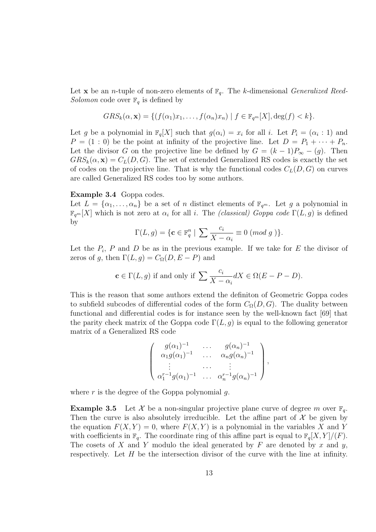Let **x** be an *n*-tuple of non-zero elements of  $\mathbb{F}_q$ . The *k*-dimensional *Generalized Reed*-Solomon code over  $\mathbb{F}_q$  is defined by

$$
GRS_k(\alpha, \mathbf{x}) = \{ (f(\alpha_1)x_1, \dots, f(\alpha_n)x_n) \mid f \in \mathbb{F}_{q^m}[X], \deg(f) < k \}.
$$

Let g be a polynomial in  $\mathbb{F}_q[X]$  such that  $g(\alpha_i) = x_i$  for all i. Let  $P_i = (\alpha_i : 1)$  and  $P = (1:0)$  be the point at infinity of the projective line. Let  $D = P_1 + \cdots + P_n$ . Let the divisor G on the projective line be defined by  $G = (k-1)P_{\infty} - (g)$ . Then  $GRS_k(\alpha, \mathbf{x}) = C_L(D, G)$ . The set of extended Generalized RS codes is exactly the set of codes on the projective line. That is why the functional codes  $C<sub>L</sub>(D, G)$  on curves are called Generalized RS codes too by some authors.

#### Example 3.4 Goppa codes.

Let  $L = {\alpha_1, \ldots, \alpha_n}$  be a set of n distinct elements of  $\mathbb{F}_{q^m}$ . Let g a polynomial in  $\mathbb{F}_{q^m}[X]$  which is not zero at  $\alpha_i$  for all i. The *(classical) Goppa code*  $\Gamma(L,g)$  is defined by

$$
\Gamma(L,g) = \{ \mathbf{c} \in \mathbb{F}_q^n \mid \sum \frac{c_i}{X - \alpha_i} \equiv 0 \ (mod \ g \ ) \}.
$$

Let the  $P_i$ , P and D be as in the previous example. If we take for E the divisor of zeros of g, then  $\Gamma(L, g) = C_{\Omega}(D, E - P)$  and

$$
\mathbf{c} \in \Gamma(L, g) \text{ if and only if } \sum \frac{c_i}{X - \alpha_i} dX \in \Omega(E - P - D).
$$

This is the reason that some authors extend the definiton of Geometric Goppa codes to subfield subcodes of differential codes of the form  $C_{\Omega}(D, G)$ . The duality between functional and differential codes is for instance seen by the well-known fact [69] that the parity check matrix of the Goppa code  $\Gamma(L, g)$  is equal to the following generator matrix of a Generalized RS code

$$
\left(\begin{array}{cccc}g(\alpha_1)^{-1} & \cdots & g(\alpha_n)^{-1} \\ \alpha_1 g(\alpha_1)^{-1} & \cdots & \alpha_n g(\alpha_n)^{-1} \\ \vdots & \cdots & \vdots \\ \alpha_1^{r-1} g(\alpha_1)^{-1} & \cdots & \alpha_n^{r-1} g(\alpha_n)^{-1}\end{array}\right),
$$

where  $r$  is the degree of the Goppa polynomial  $q$ .

**Example 3.5** Let X be a non-singular projective plane curve of degree m over  $\mathbb{F}_q$ . Then the curve is also absolutely irreducible. Let the affine part of  $\mathcal X$  be given by the equation  $F(X, Y) = 0$ , where  $F(X, Y)$  is a polynomial in the variables X and Y with coefficients in  $\mathbb{F}_q$ . The coordinate ring of this affine part is equal to  $\mathbb{F}_q[X, Y]/(F)$ . The cosets of X and Y modulo the ideal generated by F are denoted by x and y, respectively. Let  $H$  be the intersection divisor of the curve with the line at infinity.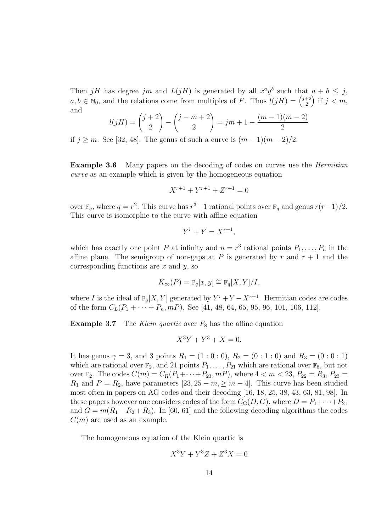Then jH has degree jm and  $L(jH)$  is generated by all  $x^a y^b$  such that  $a + b \leq j$ ,  $a, b \in \mathbb{N}_0$ , and the relations come from multiples of F. Thus  $l(jH) = \binom{j+2}{2}$ 2 ) if  $j < m$ , and

$$
l(jH) = {j+2 \choose 2} - {j-m+2 \choose 2} = jm+1 - \frac{(m-1)(m-2)}{2}
$$

if  $j \geq m$ . See [32, 48]. The genus of such a curve is  $(m-1)(m-2)/2$ .

**Example 3.6** Many papers on the decoding of codes on curves use the *Hermitian* curve as an example which is given by the homogeneous equation

$$
X^{r+1} + Y^{r+1} + Z^{r+1} = 0
$$

over  $\mathbb{F}_q$ , where  $q = r^2$ . This curve has  $r^3 + 1$  rational points over  $\mathbb{F}_q$  and genus  $r(r-1)/2$ . This curve is isomorphic to the curve with affine equation

$$
Y^r + Y = X^{r+1},
$$

which has exactly one point P at infinity and  $n = r^3$  rational points  $P_1, \ldots, P_n$  in the affine plane. The semigroup of non-gaps at P is generated by r and  $r + 1$  and the corresponding functions are  $x$  and  $y$ , so

$$
K_{\infty}(P) = \mathbb{F}_q[x, y] \cong \mathbb{F}_q[X, Y]/I,
$$

where I is the ideal of  $\mathbb{F}_q[X, Y]$  generated by  $Y^r + Y - X^{r+1}$ . Hermitian codes are codes of the form  $C_L(P_1 + \cdots + P_n, mP)$ . See [41, 48, 64, 65, 95, 96, 101, 106, 112].

**Example 3.7** The Klein quartic over  $F_8$  has the affine equation

$$
X^3Y + Y^3 + X = 0.
$$

It has genus  $\gamma = 3$ , and 3 points  $R_1 = (1 : 0 : 0)$ ,  $R_2 = (0 : 1 : 0)$  and  $R_3 = (0 : 0 : 1)$ which are rational over  $\mathbb{F}_2$ , and 21 points  $P_1, \ldots, P_{21}$  which are rational over  $\mathbb{F}_8$ , but not over  $\mathbb{F}_2$ . The codes  $C(m) = C_{\Omega}(P_1 + \cdots + P_{23}, mP)$ , where  $4 < m < 23$ ,  $P_{22} = R_3$ ,  $P_{23} =$  $R_1$  and  $P = R_2$ , have parameters [23, 25 – m,  $\geq m-4$ ]. This curve has been studied most often in papers on AG codes and their decoding [16, 18, 25, 38, 43, 63, 81, 98]. In these papers however one considers codes of the form  $C_{\Omega}(D, G)$ , where  $D = P_1 + \cdots + P_{21}$ and  $G = m(R_1 + R_2 + R_3)$ . In [60, 61] and the following decoding algorithms the codes  $C(m)$  are used as an example.

The homogeneous equation of the Klein quartic is

$$
X^3Y + Y^3Z + Z^3X = 0
$$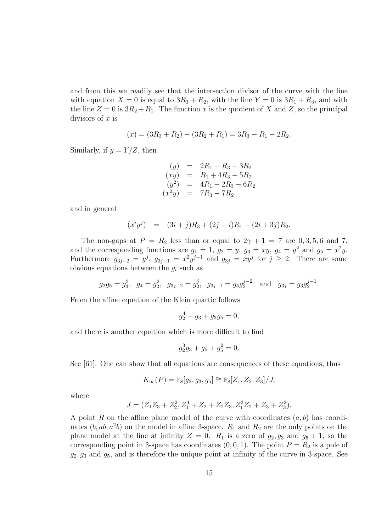and from this we readily see that the intersection divisor of the curve with the line with equation  $X = 0$  is equal to  $3R_3 + R_2$ , with the line  $Y = 0$  is  $3R_1 + R_3$ , and with the line  $Z = 0$  is  $3R_2 + R_1$ . The function x is the quotient of X and Z, so the principal divisors of  $x$  is

$$
(x) = (3R_3 + R_2) - (3R_2 + R_1) = 3R_3 - R_1 - 2R_2.
$$

Similarly, if  $y = Y/Z$ , then

$$
(y) = 2R_1 + R_3 - 3R_2
$$
  
\n
$$
(xy) = R_1 + 4R_3 - 5R_2
$$
  
\n
$$
(y^2) = 4R_1 + 2R_3 - 6R_2
$$
  
\n
$$
(x^2y) = 7R_3 - 7R_2
$$

and in general

$$
(x^i y^j) = (3i + j)R_3 + (2j - i)R_1 - (2i + 3j)R_2.
$$

The non-gaps at  $P = R_2$  less than or equal to  $2\gamma + 1 = 7$  are 0, 3, 5, 6 and 7, and the corresponding functions are  $g_1 = 1$ ,  $g_2 = y$ ,  $g_3 = xy$ ,  $g_4 = y^2$  and  $g_5 = x^2y$ . Furthermore  $g_{3j-2} = y^j$ ,  $g_{3j-1} = x^2y^{j-1}$  and  $g_{3j} = xy^j$  for  $j \ge 2$ . There are some obvious equations between the  $g_i$  such as

$$
g_2g_5 = g_3^2
$$
,  $g_4 = g_2^2$ ,  $g_{3j-2} = g_2^j$ ,  $g_{3j-1} = g_5g_2^{j-2}$  and  $g_{3j} = g_3g_2^{j-1}$ .

From the affine equation of the Klein quartic follows

$$
g_2^4 + g_3 + g_3 g_5 = 0,
$$

and there is another equation which is more difficult to find

$$
g_2^3 g_3 + g_5 + g_5^2 = 0.
$$

See [61]. One can show that all equations are consequences of these equations, thus

$$
K_{\infty}(P) = \mathbb{F}_8[g_2, g_3, g_5] \cong \mathbb{F}_8[Z_1, Z_2, Z_3]/J,
$$

where

$$
J=(Z_1Z_3+Z_2^2,Z_1^4+Z_2+Z_2Z_3,Z_1^3Z_2+Z_3+Z_3^2).
$$

A point R on the affine plane model of the curve with coordinates  $(a, b)$  has coordinates  $(b, ab, a<sup>2</sup>b)$  on the model in affine 3-space.  $R_1$  and  $R_2$  are the only points on the plane model at the line at infinity  $Z = 0$ .  $R_1$  is a zero of  $g_2, g_3$  and  $g_5 + 1$ , so the corresponding point in 3-space has coordinates  $(0, 0, 1)$ . The point  $P = R_2$  is a pole of  $g_2, g_3$  and  $g_5$ , and is therefore the unique point at infinity of the curve in 3-space. See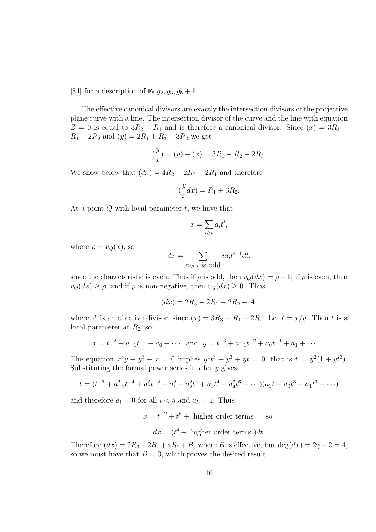[84] for a description of  $\mathbb{F}_8[q_2, q_3, q_5 + 1]$ .

The effective canonical divisors are exactly the intersection divisors of the projective plane curve with a line. The intersection divisor of the curve and the line with equation  $Z = 0$  is equal to  $3R_2 + R_1$  and is therefore a canonical divisor. Since  $(x) = 3R_3 R_1 - 2R_2$  and  $(y) = 2R_1 + R_3 - 3R_2$  we get

$$
\left(\frac{y}{x}\right) = (y) - (x) = 3R_1 - R_2 - 2R_3.
$$

We show below that  $(dx) = 4R_2 + 2R_3 - 2R_1$  and therefore

$$
\left(\frac{y}{x}dx\right) = R_1 + 3R_2.
$$

At a point  $Q$  with local parameter  $t$ , we have that

$$
x = \sum_{i \ge \rho} a_i t^i,
$$

where  $\rho = v_Q(x)$ , so

$$
dx = \sum_{i \ge \rho, i \text{ is odd}} i a_i t^{i-1} dt,
$$

since the characteristic is even. Thus if  $\rho$  is odd, then  $v_Q(dx) = \rho - 1$ ; if  $\rho$  is even, then  $v_Q(dx) \ge \rho$ ; and if  $\rho$  is non-negative, then  $v_Q(dx) \ge 0$ . Thus

$$
(dx) = 2R_3 - 2R_1 - 2R_2 + A,
$$

where A is an effective divisor, since  $(x) = 3R_3 - R_1 - 2R_2$ . Let  $t = x/y$ . Then t is a local parameter at  $R_2$ , so

$$
x = t^{-2} + a_{-1}t^{-1} + a_0 + \cdots
$$
 and  $y = t^{-3} + a_{-1}t^{-2} + a_0t^{-1} + a_1 + \cdots$ .

The equation  $x^3y + y^3 + x = 0$  implies  $y^4t^3 + y^3 + yt = 0$ , that is  $t = y^2(1 + yt^3)$ . Substituting the formal power series in  $t$  for  $y$  gives

$$
t = (t^{-6} + a_{-1}^2 t^{-4} + a_0^2 t^{-2} + a_1^2 + a_2^2 t^2 + a_3 t^4 + a_4^2 t^6 + \cdots)(a_1 t + a_0 t^3 + a_1 t^3 + \cdots)
$$

and therefore  $a_i = 0$  for all  $i < 5$  and  $a_5 = 1$ . Thus

 $x = t^{-2} + t^5 +$  higher order terms, so

$$
dx = (t4 + higher order terms)dt.
$$

Therefore  $(dx) = 2R_3 - 2R_1 + 4R_2 + B$ , where B is effective, but  $\deg(dx) = 2\gamma - 2 = 4$ , so we must have that  $B = 0$ , which proves the desired result.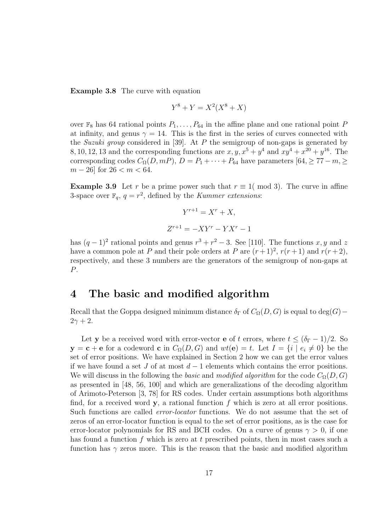Example 3.8 The curve with equation

$$
Y^8 + Y = X^2(X^8 + X)
$$

over  $\mathbb{F}_8$  has 64 rational points  $P_1, \ldots, P_{64}$  in the affine plane and one rational point P at infinity, and genus  $\gamma = 14$ . This is the first in the series of curves connected with the Suzuki group considered in [39]. At P the semigroup of non-gaps is generated by 8, 10, 12, 13 and the corresponding functions are  $x, y, x^5 + y^4$  and  $xy^4 + x^{20} + y^{16}$ . The corresponding codes  $C_{\Omega}(\overline{D}, mP)$ ,  $\overline{D} = P_1 + \cdots + P_{64}$  have parameters [64,  $\geq 77 - m$ ,  $\geq$  $m - 26$  for  $26 < m < 64$ .

**Example 3.9** Let r be a prime power such that  $r \equiv 1 \pmod{3}$ . The curve in affine 3-space over  $\mathbb{F}_q$ ,  $q = r^2$ , defined by the *Kummer extensions*:

$$
Y^{r+1} = X^r + X,
$$
  

$$
Z^{r+1} = -XY^r - YX^r - 1
$$

has  $(q-1)^2$  rational points and genus  $r^3 + r^2 - 3$ . See [110]. The functions x, y and z have a common pole at P and their pole orders at P are  $(r+1)^2$ ,  $r(r+1)$  and  $r(r+2)$ , respectively, and these 3 numbers are the generators of the semigroup of non-gaps at P.

### 4 The basic and modified algorithm

Recall that the Goppa designed minimum distance  $\delta_{\Gamma}$  of  $C_{\Omega}(D, G)$  is equal to deg(G) –  $2\gamma + 2$ .

Let y be a received word with error-vector **e** of t errors, where  $t \leq (\delta_{\Gamma} - 1)/2$ . So  $y = c + e$  for a codeword c in  $C_{\Omega}(D, G)$  and  $wt(e) = t$ . Let  $I = \{i \mid e_i \neq 0\}$  be the set of error positions. We have explained in Section 2 how we can get the error values if we have found a set J of at most  $d-1$  elements which contains the error positions. We will discuss in the following the basic and modified algorithm for the code  $C_{\Omega}(D, G)$ as presented in [48, 56, 100] and which are generalizations of the decoding algorithm of Arimoto-Peterson [3, 78] for RS codes. Under certain assumptions both algorithms find, for a received word y, a rational function  $f$  which is zero at all error positions. Such functions are called error-locator functions. We do not assume that the set of zeros of an error-locator function is equal to the set of error positions, as is the case for error-locator polynomials for RS and BCH codes. On a curve of genus  $\gamma > 0$ , if one has found a function f which is zero at t prescribed points, then in most cases such a function has  $\gamma$  zeros more. This is the reason that the basic and modified algorithm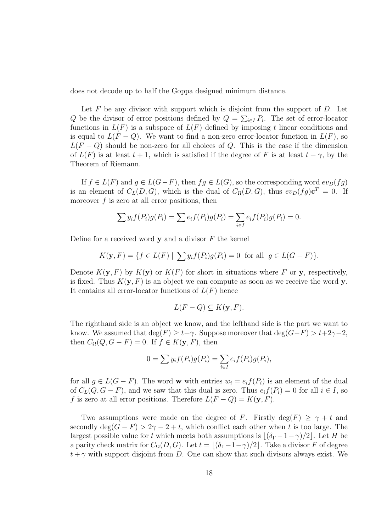does not decode up to half the Goppa designed minimum distance.

Let  $F$  be any divisor with support which is disjoint from the support of  $D$ . Let Q be the divisor of error positions defined by  $Q = \sum_{i \in I} P_i$ . The set of error-locator functions in  $L(F)$  is a subspace of  $L(F)$  defined by imposing t linear conditions and is equal to  $L(F - Q)$ . We want to find a non-zero error-locator function in  $L(F)$ , so  $L(F - Q)$  should be non-zero for all choices of Q. This is the case if the dimension of  $L(F)$  is at least  $t + 1$ , which is satisfied if the degree of F is at least  $t + \gamma$ , by the Theorem of Riemann.

If  $f \in L(F)$  and  $g \in L(G-F)$ , then  $fg \in L(G)$ , so the corresponding word  $ev_D(fg)$ is an element of  $C_L(D, G)$ , which is the dual of  $C_{\Omega}(D, G)$ , thus  $ev_D(fg) \mathbf{c}^T = 0$ . If moreover  $f$  is zero at all error positions, then

$$
\sum y_i f(P_i) g(P_i) = \sum e_i f(P_i) g(P_i) = \sum_{i \in I} e_i f(P_i) g(P_i) = 0.
$$

Define for a received word  $y$  and a divisor  $F$  the kernel

$$
K(\mathbf{y}, F) = \{ f \in L(F) \mid \sum y_i f(P_i) g(P_i) = 0 \text{ for all } g \in L(G - F) \}.
$$

Denote  $K(\mathbf{y}, F)$  by  $K(\mathbf{y})$  or  $K(F)$  for short in situations where F or y, respectively, is fixed. Thus  $K(\mathbf{y}, F)$  is an object we can compute as soon as we receive the word **y**. It contains all error-locator functions of  $L(F)$  hence

$$
L(F - Q) \subseteq K(\mathbf{y}, F).
$$

The righthand side is an object we know, and the lefthand side is the part we want to know. We assumed that  $\deg(F) \geq t+\gamma$ . Suppose moreover that  $\deg(G-F) > t+2\gamma-2$ , then  $C_{\Omega}(Q, G - F) = 0$ . If  $f \in K(\mathbf{y}, F)$ , then

$$
0 = \sum y_i f(P_i) g(P_i) = \sum_{i \in I} e_i f(P_i) g(P_i),
$$

for all  $g \in L(G - F)$ . The word **w** with entries  $w_i = e_i f(P_i)$  is an element of the dual of  $C_L(Q, G - F)$ , and we saw that this dual is zero. Thus  $e_i f(P_i) = 0$  for all  $i \in I$ , so f is zero at all error positions. Therefore  $L(F - Q) = K(\mathbf{y}, F)$ .

Two assumptions were made on the degree of F. Firstly deg(F)  $\geq \gamma + t$  and secondly deg( $G - F$ ) > 2 $\gamma$  - 2 + t, which conflict each other when t is too large. The largest possible value for t which meets both assumptions is  $|(\delta_{\Gamma} - 1 - \gamma)/2|$ . Let H be a parity check matrix for  $C_{\Omega}(D, G)$ . Let  $t = |(\delta_{\Gamma} - 1 - \gamma)/2|$ . Take a divisor F of degree  $t + \gamma$  with support disjoint from D. One can show that such divisors always exist. We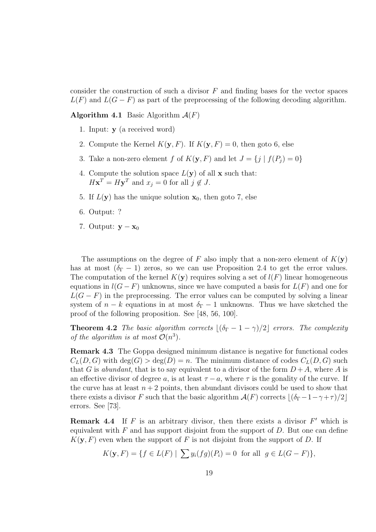consider the construction of such a divisor  $F$  and finding bases for the vector spaces  $L(F)$  and  $L(G - F)$  as part of the preprocessing of the following decoding algorithm.

**Algorithm 4.1** Basic Algorithm  $\mathcal{A}(F)$ 

- 1. Input: y (a received word)
- 2. Compute the Kernel  $K(\mathbf{y}, F)$ . If  $K(\mathbf{y}, F) = 0$ , then goto 6, else
- 3. Take a non-zero element f of  $K(\mathbf{y}, F)$  and let  $J = \{j \mid f(P_j) = 0\}$
- 4. Compute the solution space  $L(\mathbf{y})$  of all **x** such that:  $H\mathbf{x}^T = H\mathbf{y}^T$  and  $x_j = 0$  for all  $j \notin J$ .
- 5. If  $L(\mathbf{y})$  has the unique solution  $\mathbf{x}_0$ , then goto 7, else
- 6. Output: ?
- 7. Output:  $y x_0$

The assumptions on the degree of F also imply that a non-zero element of  $K(\mathbf{y})$ has at most  $(\delta_{\Gamma} - 1)$  zeros, so we can use Proposition 2.4 to get the error values. The computation of the kernel  $K(\mathbf{y})$  requires solving a set of  $l(F)$  linear homogeneous equations in  $l(G - F)$  unknowns, since we have computed a basis for  $L(F)$  and one for  $L(G - F)$  in the preprocessing. The error values can be computed by solving a linear system of  $n - k$  equations in at most  $\delta_{\Gamma} - 1$  unknowns. Thus we have sketched the proof of the following proposition. See [48, 56, 100].

**Theorem 4.2** The basic algorithm corrects  $|(\delta_{\Gamma} - 1 - \gamma)/2|$  errors. The complexity of the algorithm is at most  $\mathcal{O}(n^3)$ .

Remark 4.3 The Goppa designed minimum distance is negative for functional codes  $C<sub>L</sub>(D, G)$  with deg(G)  $>$  deg(D) = n. The minimum distance of codes  $C<sub>L</sub>(D, G)$  such that G is abundant, that is to say equivalent to a divisor of the form  $D+A$ , where A is an effective divisor of degree a, is at least  $\tau - a$ , where  $\tau$  is the gonality of the curve. If the curve has at least  $n+2$  points, then abundant divisors could be used to show that there exists a divisor F such that the basic algorithm  $\mathcal{A}(F)$  corrects  $|(\delta_{\Gamma}-1-\gamma+\tau)/2|$ errors. See [73].

**Remark 4.4** If  $F$  is an arbitrary divisor, then there exists a divisor  $F'$  which is equivalent with  $F$  and has support disjoint from the support of  $D$ . But one can define  $K(\mathbf{y}, F)$  even when the support of F is not disjoint from the support of D. If

$$
K(\mathbf{y}, F) = \{ f \in L(F) \mid \sum y_i(fg)(P_i) = 0 \text{ for all } g \in L(G - F) \},
$$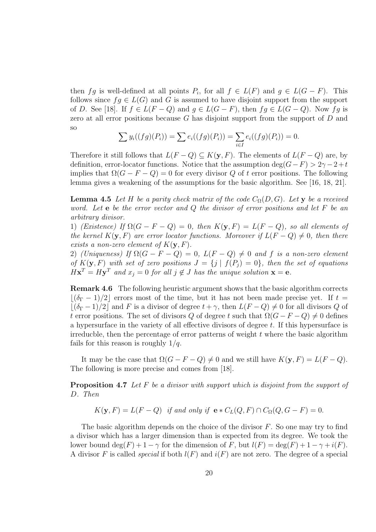then fg is well-defined at all points  $P_i$ , for all  $f \in L(F)$  and  $g \in L(G - F)$ . This follows since  $f \circ L(G)$  and G is assumed to have disjoint support from the support of D. See [18]. If  $f \in L(F - Q)$  and  $g \in L(G - F)$ , then  $fg \in L(G - Q)$ . Now  $fg$  is zero at all error positions because G has disjoint support from the support of D and so

$$
\sum y_i((fg)(P_i)) = \sum e_i((fg)(P_i)) = \sum_{i \in I} e_i((fg)(P_i)) = 0.
$$

Therefore it still follows that  $L(F - Q) \subseteq K(\mathbf{y}, F)$ . The elements of  $L(F - Q)$  are, by definition, error-locator functions. Notice that the assumption deg( $G-F$ ) > 2 $\gamma$  – 2+t implies that  $\Omega(G - F - Q) = 0$  for every divisor Q of t error positions. The following lemma gives a weakening of the assumptions for the basic algorithm. See [16, 18, 21].

**Lemma 4.5** Let H be a parity check matrix of the code  $C_{\Omega}(D, G)$ . Let y be a received word. Let  $e$  be the error vector and  $Q$  the divisor of error positions and let  $F$  be an arbitrary divisor.

1) (Existence) If  $\Omega(G - F - Q) = 0$ , then  $K(\mathbf{y}, F) = L(F - Q)$ , so all elements of the kernel  $K(y, F)$  are error locator functions. Moreover if  $L(F - Q) \neq 0$ , then there exists a non-zero element of  $K(y, F)$ .

2) (Uniqueness) If  $\Omega(G - F - Q) = 0$ ,  $L(F - Q) \neq 0$  and f is a non-zero element of  $K(\mathbf{y}, F)$  with set of zero positions  $J = \{j \mid f(P_j) = 0\}$ , then the set of equations  $H\mathbf{x}^T = H\mathbf{y}^T$  and  $x_j = 0$  for all  $j \notin J$  has the unique solution  $\mathbf{x} = \mathbf{e}$ .

Remark 4.6 The following heuristic argument shows that the basic algorithm corrects  $\lfloor(\delta_{\Gamma}-1)/2\rfloor$  errors most of the time, but it has not been made precise yet. If  $t =$  $|(\delta_{\Gamma} - 1)/2|$  and F is a divisor of degree  $t + \gamma$ , then  $L(F - Q) \neq 0$  for all divisors Q of t error positions. The set of divisors Q of degree t such that  $\Omega(G - F - Q) \neq 0$  defines a hypersurface in the variety of all effective divisors of degree t. If this hypersurface is irreducble, then the percentage of error patterns of weight  $t$  where the basic algorithm fails for this reason is roughly  $1/q$ .

It may be the case that  $\Omega(G - F - Q) \neq 0$  and we still have  $K(\mathbf{y}, F) = L(F - Q)$ . The following is more precise and comes from [18].

Proposition 4.7 Let F be a divisor with support which is disjoint from the support of D. Then

 $K(\mathbf{y}, F) = L(F - Q)$  if and only if  $\mathbf{e} * C_L(Q, F) \cap C_{\Omega}(Q, G - F) = 0$ .

The basic algorithm depends on the choice of the divisor  $F$ . So one may try to find a divisor which has a larger dimension than is expected from its degree. We took the lower bound  $\deg(F) + 1 - \gamma$  for the dimension of F, but  $l(F) = \deg(F) + 1 - \gamma + i(F)$ . A divisor F is called *special* if both  $l(F)$  and  $i(F)$  are not zero. The degree of a special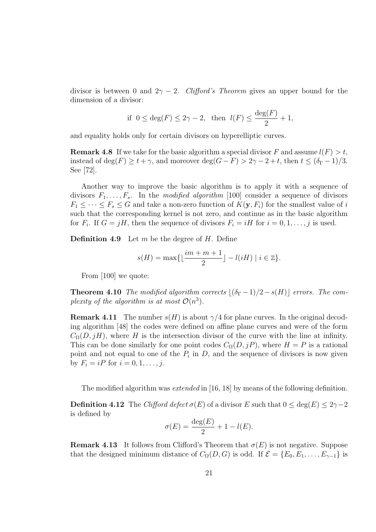divisor is between 0 and  $2\gamma - 2$ . Clifford's Theorem gives an upper bound for the dimension of a divisor:

if 
$$
0 \leq \deg(F) \leq 2\gamma - 2
$$
, then  $l(F) \leq \frac{\deg(F)}{2} + 1$ ,

and equality holds only for certain divisors on hyperelliptic curves.

**Remark 4.8** If we take for the basic algorithm a special divisor F and assume  $l(F) > t$ , instead of deg(F)  $\geq t + \gamma$ , and moreover deg(G – F)  $> 2\gamma - 2 + t$ , then  $t \leq (\delta_{\Gamma} - 1)/3$ . See [72].

Another way to improve the basic algorithm is to apply it with a sequence of divisors  $F_1, \ldots, F_s$ . In the modified algorithm [100] consider a sequence of divisors  $F_1 \leq \cdots \leq F_s \leq G$  and take a non-zero function of  $K(\mathbf{y}, F_i)$  for the smallest value of i such that the corresponding kernel is not zero, and continue as in the basic algorithm for  $F_i$ . If  $G = jH$ , then the sequence of divisors  $F_i = iH$  for  $i = 0, 1, \ldots, j$  is used.

**Definition 4.9** Let  $m$  be the degree of  $H$ . Define

$$
s(H) = \max\{\lfloor \frac{im+m+1}{2}\rfloor - l(iH) \mid i \in \mathbb{Z}\}.
$$

From [100] we quote:

**Theorem 4.10** The modified algorithm corrects  $|(\delta_{\Gamma}-1)/2-s(H)|$  errors. The complexity of the algorithm is at most  $\mathcal{O}(n^3)$ .

**Remark 4.11** The number  $s(H)$  is about  $\gamma/4$  for plane curves. In the original decoding algorithm [48] the codes were defined on affine plane curves and were of the form  $C_{\Omega}(D, jH)$ , where H is the intersection divisor of the curve with the line at infinity. This can be done similarly for one point codes  $C_{\Omega}(D, jP)$ , where  $H = P$  is a rational point and not equal to one of the  $P_i$  in D, and the sequence of divisors is now given by  $F_i = iP$  for  $i = 0, 1, ..., j$ .

The modified algorithm was *extended* in [16, 18] by means of the following definition.

**Definition 4.12** The Clifford defect  $\sigma(E)$  of a divisor E such that  $0 \le \deg(E) \le 2\gamma - 2$ is defined by

$$
\sigma(E) = \frac{\deg(E)}{2} + 1 - l(E).
$$

**Remark 4.13** It follows from Clifford's Theorem that  $\sigma(E)$  is not negative. Suppose that the designed minimum distance of  $C_{\Omega}(D, G)$  is odd. If  $\mathcal{E} = \{E_0, E_1, \ldots, E_{\gamma-1}\}\$ is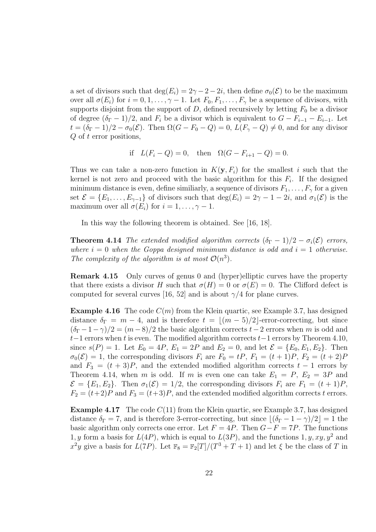a set of divisors such that  $\deg(E_i) = 2\gamma - 2 - 2i$ , then define  $\sigma_0(\mathcal{E})$  to be the maximum over all  $\sigma(E_i)$  for  $i = 0, 1, \ldots, \gamma - 1$ . Let  $F_0, F_1, \ldots, F_\gamma$  be a sequence of divisors, with supports disjoint from the support of  $D$ , defined recursively by letting  $F_0$  be a divisor of degree  $(\delta_{\Gamma} - 1)/2$ , and  $F_i$  be a divisor which is equivalent to  $G - F_{i-1} - E_{i-1}$ . Let  $t = (\delta_{\Gamma} - 1)/2 - \sigma_0(\mathcal{E})$ . Then  $\Omega(G - F_0 - Q) = 0$ ,  $L(F_{\gamma} - Q) \neq 0$ , and for any divisor Q of t error positions,

if 
$$
L(F_i - Q) = 0
$$
, then  $\Omega(G - F_{i+1} - Q) = 0$ .

Thus we can take a non-zero function in  $K(\mathbf{y}, F_i)$  for the smallest i such that the kernel is not zero and proceed with the basic algorithm for this  $F_i$ . If the designed minimum distance is even, define similiarly, a sequence of divisors  $F_1, \ldots, F_\gamma$  for a given set  $\mathcal{E} = \{E_1, \ldots, E_{\gamma-1}\}\$  of divisors such that  $\deg(E_i) = 2\gamma - 1 - 2i$ , and  $\sigma_1(\mathcal{E})$  is the maximum over all  $\sigma(E_i)$  for  $i = 1, \ldots, \gamma - 1$ .

In this way the following theorem is obtained. See [16, 18].

**Theorem 4.14** The extended modified algorithm corrects  $(\delta_{\Gamma} - 1)/2 - \sigma_i(\mathcal{E})$  errors, where  $i = 0$  when the Goppa designed minimum distance is odd and  $i = 1$  otherwise. The complexity of the algorithm is at most  $\mathcal{O}(n^3)$ .

Remark 4.15 Only curves of genus 0 and (hyper)elliptic curves have the property that there exists a divisor H such that  $\sigma(H) = 0$  or  $\sigma(E) = 0$ . The Clifford defect is computed for several curves [16, 52] and is about  $\gamma/4$  for plane curves.

**Example 4.16** The code  $C(m)$  from the Klein quartic, see Example 3.7, has designed distance  $\delta_{\Gamma} = m - 4$ , and is therefore  $t = \lfloor (m - 5)/2 \rfloor$ -error-correcting, but since  $(\delta_{\Gamma} - 1 - \gamma)/2 = (m - 8)/2$  the basic algorithm corrects  $t - 2$  errors when m is odd and  $t-1$  errors when t is even. The modified algorithm corrects  $t-1$  errors by Theorem 4.10, since  $s(P) = 1$ . Let  $E_0 = 4P$ ,  $E_1 = 2P$  and  $E_2 = 0$ , and let  $\mathcal{E} = \{E_0, E_1, E_2\}$ . Then  $\sigma_0(\mathcal{E}) = 1$ , the corresponding divisors  $F_i$  are  $F_0 = tP$ ,  $F_1 = (t+1)P$ ,  $F_2 = (t+2)P$ and  $F_3 = (t + 3)P$ , and the extended modified algorithm corrects  $t - 1$  errors by Theorem 4.14, when m is odd. If m is even one can take  $E_1 = P$ ,  $E_2 = 3P$  and  $\mathcal{E} = \{E_1, E_2\}.$  Then  $\sigma_1(\mathcal{E}) = 1/2$ , the corresponding divisors  $F_i$  are  $F_1 = (t+1)P$ ,  $F_2 = (t+2)P$  and  $F_3 = (t+3)P$ , and the extended modified algorithm corrects t errors.

**Example 4.17** The code  $C(11)$  from the Klein quartic, see Example 3.7, has designed distance  $\delta_{\Gamma} = 7$ , and is therefore 3-error-correcting, but since  $|(\delta_{\Gamma} - 1 - \gamma)/2| = 1$  the basic algorithm only corrects one error. Let  $F = 4P$ . Then  $G - F = 7P$ . The functions 1, y form a basis for  $L(4P)$ , which is equal to  $L(3P)$ , and the functions 1, y, xy, y<sup>2</sup> and  $x^2y$  give a basis for  $L(7P)$ . Let  $\mathbb{F}_8 = \mathbb{F}_2[T]/(T^3 + T + 1)$  and let  $\xi$  be the class of T in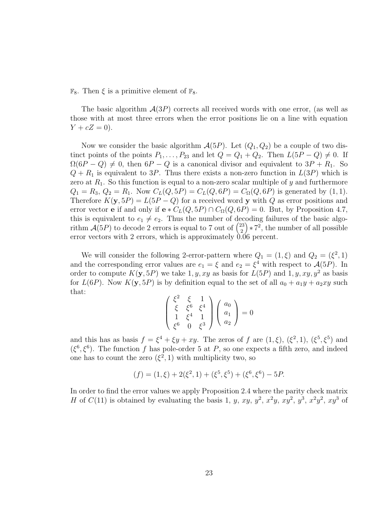$\mathbb{F}_8$ . Then  $\xi$  is a primitive element of  $\mathbb{F}_8$ .

The basic algorithm  $A(3P)$  corrects all received words with one error, (as well as those with at most three errors when the error positions lie on a line with equation  $Y + cZ = 0$ .

Now we consider the basic algorithm  $\mathcal{A}(5P)$ . Let  $(Q_1, Q_2)$  be a couple of two distinct points of the points  $P_1, \ldots, P_{23}$  and let  $Q = Q_1 + Q_2$ . Then  $L(5P - Q) \neq 0$ . If  $\Omega(6P - Q) \neq 0$ , then  $6P - Q$  is a canonical divisor and equivalent to  $3P + R_1$ . So  $Q + R_1$  is equivalent to 3P. Thus there exists a non-zero function in  $L(3P)$  which is zero at  $R_1$ . So this function is equal to a non-zero scalar multiple of y and furthermore  $Q_1 = R_3, Q_2 = R_1.$  Now  $C_L(Q, 5P) = C_L(Q, 6P) = C_\Omega(Q, 6P)$  is generated by (1, 1). Therefore  $K(y, 5P) = L(5P - Q)$  for a received word y with Q as error positions and error vector **e** if and only if  $e * C<sub>L</sub>(Q, 5P) \cap C<sub>\Omega</sub>(Q, 6P) = 0$ . But, by Proposition 4.7, this is equivalent to  $e_1 \neq e_2$ . Thus the number of decoding failures of the basic algorithm  $\mathcal{A}(5P)$  to decode 2 errors is equal to 7 out of  $\binom{23}{2}$ 2  $(\cdot) * 7^2$ , the number of all possible error vectors with 2 errors, which is approximately  $0.06$  percent.

We will consider the following 2-error-pattern where  $Q_1 = (1, \xi)$  and  $Q_2 = (\xi^2, 1)$ and the corresponding error values are  $e_1 = \xi$  and  $e_2 = \xi^4$  with respect to  $\mathcal{A}(5P)$ . In order to compute  $K(y, 5P)$  we take 1, y, xy as basis for  $L(5P)$  and 1, y, xy, y<sup>2</sup> as basis for  $L(6P)$ . Now  $K(\mathbf{y}, 5P)$  is by definition equal to the set of all  $a_0 + a_1y + a_2xy$  such that:

$$
\begin{pmatrix}\n\xi^2 & \xi & 1 \\
\xi & \xi^6 & \xi^4 \\
1 & \xi^4 & 1 \\
\xi^6 & 0 & \xi^3\n\end{pmatrix}\n\begin{pmatrix}\na_0 \\
a_1 \\
a_2\n\end{pmatrix} = 0
$$

and this has as basis  $f = \xi^4 + \xi y + xy$ . The zeros of f are  $(1,\xi)$ ,  $(\xi^2,1)$ ,  $(\xi^5,\xi^5)$  and  $(\xi^6, \xi^6)$ . The function f has pole-order 5 at P, so one expects a fifth zero, and indeed one has to count the zero  $(\xi^2, 1)$  with multiplicity two, so

$$
(f) = (1, \xi) + 2(\xi^2, 1) + (\xi^5, \xi^5) + (\xi^6, \xi^6) - 5P.
$$

In order to find the error values we apply Proposition 2.4 where the parity check matrix H of  $C(11)$  is obtained by evaluating the basis 1, y, xy,  $y^2$ ,  $x^2y$ ,  $xy^2$ ,  $y^3$ ,  $x^2y^2$ ,  $xy^3$  of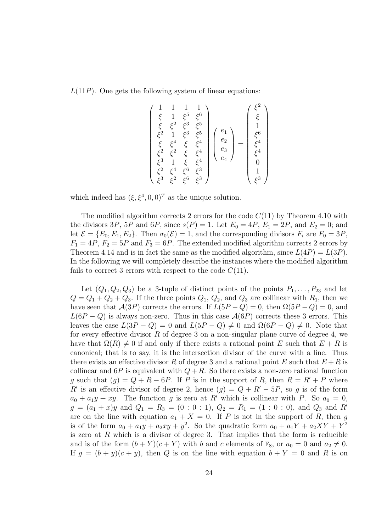$L(11P)$ . One gets the following system of linear equations:

$$
\begin{pmatrix}\n1 & 1 & 1 & 1 \\
\xi & 1 & \xi^5 & \xi^6 \\
\xi & \xi^2 & \xi^3 & \xi^5 \\
\xi^2 & 1 & \xi^3 & \xi^5 \\
\xi & \xi^4 & \xi & \xi^4 \\
\xi^2 & \xi^2 & \xi & \xi^4 \\
\xi^3 & 1 & \xi & \xi^4 \\
\xi^3 & \xi^2 & \xi^6 & \xi^3\n\end{pmatrix}\n\begin{pmatrix}\ne_1 \\
e_2 \\
e_3 \\
e_4\n\end{pmatrix} = \begin{pmatrix}\n\xi^2 \\
\xi \\
1 \\
\xi^4 \\
\xi^4 \\
0 \\
1 \\
1 \\
\xi^3\n\end{pmatrix}
$$

which indeed has  $(\xi, \xi^4, 0, 0)^T$  as the unique solution.

The modified algorithm corrects 2 errors for the code  $C(11)$  by Theorem 4.10 with the divisors 3P, 5P and 6P, since  $s(P) = 1$ . Let  $E_0 = 4P$ ,  $E_1 = 2P$ , and  $E_2 = 0$ ; and let  $\mathcal{E} = \{E_0, E_1, E_2\}$ . Then  $\sigma_0(\mathcal{E}) = 1$ , and the corresponding divisors  $F_i$  are  $F_0 = 3P$ .  $F_1 = 4P$ ,  $F_2 = 5P$  and  $F_3 = 6P$ . The extended modified algorithm corrects 2 errors by Theorem 4.14 and is in fact the same as the modified algorithm, since  $L(4P) = L(3P)$ . In the following we will completely describe the instances where the modified algorithm fails to correct 3 errors with respect to the code  $C(11)$ .

Let  $(Q_1, Q_2, Q_3)$  be a 3-tuple of distinct points of the points  $P_1, \ldots, P_{23}$  and let  $Q = Q_1 + Q_2 + Q_3$ . If the three points  $Q_1, Q_2$ , and  $Q_3$  are collinear with  $R_1$ , then we have seen that  $\mathcal{A}(3P)$  corrects the errors. If  $L(5P - Q) = 0$ , then  $\Omega(5P - Q) = 0$ , and  $L(6P - Q)$  is always non-zero. Thus in this case  $\mathcal{A}(6P)$  corrects these 3 errors. This leaves the case  $L(3P - Q) = 0$  and  $L(5P - Q) \neq 0$  and  $\Omega(6P - Q) \neq 0$ . Note that for every effective divisor  $R$  of degree 3 on a non-singular plane curve of degree 4, we have that  $\Omega(R) \neq 0$  if and only if there exists a rational point E such that  $E + R$  is canonical; that is to say, it is the intersection divisor of the curve with a line. Thus there exists an effective divisor R of degree 3 and a rational point E such that  $E + R$  is collinear and  $6P$  is equivalent with  $Q + R$ . So there exists a non-zero rational function g such that  $(g) = Q + R - 6P$ . If P is in the support of R, then  $R = R' + P$  where R' is an effective divisor of degree 2, hence  $(g) = Q + R' - 5P$ , so g is of the form  $a_0 + a_1y + xy$ . The function g is zero at R' which is collinear with P. So  $a_0 = 0$ ,  $g = (a_1 + x)y$  and  $Q_1 = R_3 = (0 : 0 : 1), Q_2 = R_1 = (1 : 0 : 0),$  and  $Q_3$  and R are on the line with equation  $a_1 + X = 0$ . If P is not in the support of R, then g is of the form  $a_0 + a_1y + a_2xy + y^2$ . So the quadratic form  $a_0 + a_1Y + a_2XY + Y^2$ is zero at  $R$  which is a divisor of degree 3. That implies that the form is reducible and is of the form  $(b + Y)(c + Y)$  with b and c elements of  $\mathbb{F}_8$ , or  $a_0 = 0$  and  $a_2 \neq 0$ . If  $g = (b + y)(c + y)$ , then Q is on the line with equation  $b + Y = 0$  and R is on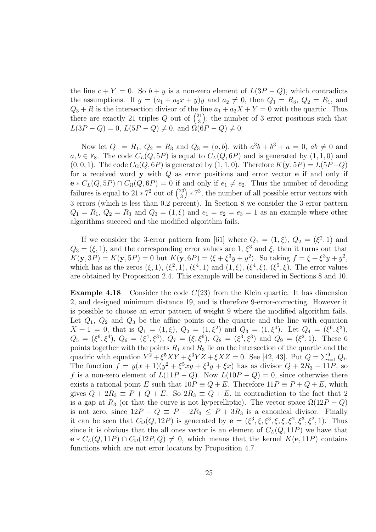the line  $c + Y = 0$ . So  $b + y$  is a non-zero element of  $L(3P - Q)$ , which contradicts the assumptions. If  $g = (a_1 + a_2x + y)y$  and  $a_2 \neq 0$ , then  $Q_1 = R_3$ ,  $Q_2 = R_1$ , and  $Q_3 + R$  is the intersection divisor of the line  $a_1 + a_2X + Y = 0$  with the quartic. Thus there are exactly 21 triples Q out of  $\binom{21}{3}$ 3 , the number of 3 error positions such that  $L(3P - Q) = 0$ ,  $L(5P - Q) \neq 0$ , and  $\Omega(6P - Q) \neq 0$ .

Now let  $Q_1 = R_1, Q_2 = R_3$  and  $Q_3 = (a, b)$ , with  $a^3b + b^3 + a = 0$ ,  $ab \neq 0$  and  $a, b \in \mathbb{F}_8$ . The code  $C_L(Q, 5P)$  is equal to  $C_L(Q, 6P)$  and is generated by  $(1, 1, 0)$  and  $(0, 0, 1)$ . The code  $C_{\Omega}(Q, 6P)$  is generated by  $(1, 1, 0)$ . Therefore  $K(\mathbf{y}, 5P) = L(5P-Q)$ for a received word  $y$  with  $Q$  as error positions and error vector  $e$  if and only if  $e * C<sub>L</sub>(Q, 5P) \cap C<sub>\Omega</sub>(Q, 6P) = 0$  if and only if  $e_1 \neq e_2$ . Thus the number of decoding failures is equal to  $21 \times 7^2$  out of  $\binom{23}{3}$ 3  $(x + 7<sup>3</sup>,$  the number of all possible error vectors with 3 errors (which is less than 0.2 percent). In Section 8 we consider the 3-error pattern  $Q_1 = R_1, Q_2 = R_3$  and  $Q_3 = (1, \xi)$  and  $e_1 = e_2 = e_3 = 1$  as an example where other algorithms succeed and the modified algorithm fails.

If we consider the 3-error pattern from [61] where  $Q_1 = (1, \xi)$ ,  $Q_2 = (\xi^2, 1)$  and  $Q_3 = (\xi, 1)$ , and the corresponding error values are 1,  $\xi^3$  and  $\xi$ , then it turns out that  $K(\mathbf{y}, 3P) = K(\mathbf{y}, 5P) = 0$  but  $K(\mathbf{y}, 6P) = \langle \xi + \xi^3 y + y^2 \rangle$ . So taking  $f = \xi + \xi^3 y + y^2$ , which has as the zeros  $(\xi, 1)$ ,  $(\xi^2, 1)$ ,  $(\xi^4, 1)$  and  $(1, \xi)$ ,  $(\xi^4, \xi)$ ,  $(\xi^5, \xi)$ . The error values are obtained by Proposition 2.4. This example will be considered in Sections 8 and 10.

**Example 4.18** Consider the code  $C(23)$  from the Klein quartic. It has dimension 2, and designed minimum distance 19, and is therefore 9-error-correcting. However it is possible to choose an error pattern of weight 9 where the modified algorithm fails. Let  $Q_1$ ,  $Q_2$  and  $Q_3$  be the affine points on the quartic and the line with equation  $X + 1 = 0$ , that is  $Q_1 = (1, \xi)$ ,  $Q_2 = (1, \xi^2)$  and  $Q_3 = (1, \xi^4)$ . Let  $Q_4 = (\xi^6, \xi^3)$ ,  $Q_5 = (\xi^6, \xi^4), Q_6 = (\xi^4, \xi^3), Q_7 = (\xi, \xi^6), Q_8 = (\xi^3, \xi^3)$  and  $Q_9 = (\xi^2, 1)$ . These 6 points together with the points  $R_1$  and  $R_3$  lie on the intersection of the quartic and the quadric with equation  $Y^2 + \xi^5 XY + \xi^3 YZ + \xi XZ = 0$ . See [42, 43]. Put  $Q = \sum_{i=1}^{9} Q_i$ . The function  $f = y(x + 1)(y^2 + \xi^5 xy + \xi^3 y + \xi x)$  has as divisor  $Q + 2R_3 - 11P$ , so f is a non-zero element of  $L(11P - Q)$ . Now  $L(10P - Q) = 0$ , since otherwise there exists a rational point E such that  $10P \equiv Q + E$ . Therefore  $11P \equiv P + Q + E$ , which gives  $Q + 2R_3 \equiv P + Q + E$ . So  $2R_3 \equiv Q + E$ , in contradiction to the fact that 2 is a gap at  $R_3$  (or that the curve is not hyperelliptic). The vector space  $\Omega(12P - Q)$ is not zero, since  $12P - Q \equiv P + 2R_3 \leq P + 3R_3$  is a canonical divisor. Finally it can be seen that  $C_{\Omega}(Q, 12P)$  is generated by  $e = (\xi^3, \xi, \xi^3, \xi, \xi, \xi^2, \xi^3, \xi^2, 1)$ . Thus since it is obvious that the all ones vector is an element of  $C<sub>L</sub>(Q, 11P)$  we have that  $e * C<sub>L</sub>(Q, 11P) \cap C<sub>\Omega</sub>(12P, Q) \neq 0$ , which means that the kernel  $K(e, 11P)$  contains functions which are not error locators by Proposition 4.7.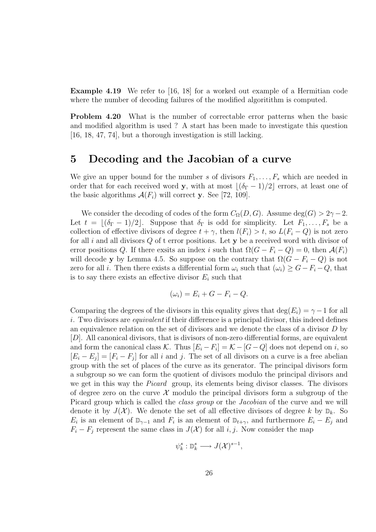Example 4.19 We refer to [16, 18] for a worked out example of a Hermitian code where the number of decoding failures of the modified algoritithm is computed.

Problem 4.20 What is the number of correctable error patterns when the basic and modified algorithm is used ? A start has been made to investigate this question [16, 18, 47, 74], but a thorough investigation is still lacking.

### 5 Decoding and the Jacobian of a curve

We give an upper bound for the number s of divisors  $F_1, \ldots, F_s$  which are needed in order that for each received word y, with at most  $\lfloor (\delta_{\Gamma} - 1)/2 \rfloor$  errors, at least one of the basic algorithms  $\mathcal{A}(F_i)$  will correct y. See [72, 109].

We consider the decoding of codes of the form  $C_{\Omega}(D, G)$ . Assume deg(G) > 2γ – 2. Let  $t = \lfloor (\delta_{\Gamma} - 1)/2 \rfloor$ . Suppose that  $\delta_{\Gamma}$  is odd for simplicity. Let  $F_1, \ldots, F_s$  be a collection of effective divisors of degree  $t + \gamma$ , then  $l(F_i) > t$ , so  $L(F_i - Q)$  is not zero for all i and all divisors  $Q$  of t error positions. Let  $y$  be a received word with divisor of error positions Q. If there exsits an index i such that  $\Omega(G - F_i - Q) = 0$ , then  $\mathcal{A}(F_i)$ will decode y by Lemma 4.5. So suppose on the contrary that  $\Omega(G - F_i - Q)$  is not zero for all i. Then there exists a differential form  $\omega_i$  such that  $(\omega_i) \geq G - F_i - Q$ , that is to say there exists an effective divisor  $E_i$  such that

$$
(\omega_i) = E_i + G - F_i - Q.
$$

Comparing the degrees of the divisors in this equality gives that  $\deg(E_i) = \gamma - 1$  for all i. Two divisors are *equivalent* if their difference is a principal divisor, this indeed defines an equivalence relation on the set of divisors and we denote the class of a divisor D by [D]. All canonical divisors, that is divisors of non-zero differential forms, are equivalent and form the canonical class K. Thus  $[E_i - F_i] = K - [G - Q]$  does not depend on i, so  $[E_i - E_j] = [F_i - F_j]$  for all i and j. The set of all divisors on a curve is a free abelian group with the set of places of the curve as its generator. The principal divisors form a subgroup so we can form the quotient of divisors modulo the principal divisors and we get in this way the Picard group, its elements being divisor classes. The divisors of degree zero on the curve  $\mathcal X$  modulo the principal divisors form a subgroup of the Picard group which is called the class group or the Jacobian of the curve and we will denote it by  $J(\mathcal{X})$ . We denote the set of all effective divisors of degree k by  $\mathbb{D}_k$ . So  $E_i$  is an element of  $\mathbb{D}_{\gamma-1}$  and  $F_i$  is an element of  $\mathbb{D}_{t+\gamma}$ , and furthermore  $E_i - E_j$  and  $F_i - F_j$  represent the same class in  $J(\mathcal{X})$  for all i, j. Now consider the map

$$
\psi_k^s : \mathbb{D}_k^s \longrightarrow J(\mathcal{X})^{s-1},
$$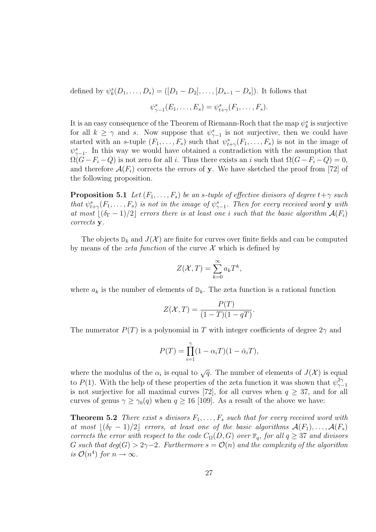defined by  $\psi_k^s(D_1, ..., D_s) = ([D_1 - D_2], ..., [D_{s-1} - D_s])$ . It follows that

$$
\psi_{\gamma-1}^s(E_1,\ldots,E_s)=\psi_{t+\gamma}^s(F_1,\ldots,F_s).
$$

It is an easy consequence of the Theorem of Riemann-Roch that the map  $\psi_k^s$  is surjective for all  $k \geq \gamma$  and s. Now suppose that  $\psi_{\gamma-1}^s$  is not surjective, then we could have started with an s-tuple  $(F_1, \ldots, F_s)$  such that  $\psi_{t+\gamma}^s(F_1, \ldots, F_s)$  is not in the image of  $\psi_{\gamma-1}^s$ . In this way we would have obtained a contradiction with the assumption that  $\Omega(G-F_i-Q)$  is not zero for all i. Thus there exists an i such that  $\Omega(G-F_i-Q)=0$ , and therefore  $\mathcal{A}(F_i)$  corrects the errors of y. We have sketched the proof from [72] of the following proposition.

**Proposition 5.1** Let  $(F_1, \ldots, F_s)$  be an s-tuple of effective divisors of degree  $t + \gamma$  such that  $\psi_{t+\gamma}^s(F_1,\ldots,F_s)$  is not in the image of  $\psi_{\gamma-1}^s$ . Then for every received word y with at most  $\vert(\delta_{\Gamma}-1)/2\vert$  errors there is at least one i such that the basic algorithm  $\mathcal{A}(F_i)$ corrects y.

The objects  $\mathbb{D}_k$  and  $J(\mathcal{X})$  are finite for curves over finite fields and can be computed by means of the *zeta function* of the curve  $\mathcal X$  which is defined by

$$
Z(\mathcal{X},T) = \sum_{k=0}^{\infty} a_k T^k,
$$

where  $a_k$  is the number of elements of  $\mathbb{D}_k$ . The zeta function is a rational function

$$
Z(\mathcal{X},T) = \frac{P(T)}{(1-T)(1-qT)}.
$$

The numerator  $P(T)$  is a polynomial in T with integer coefficients of degree  $2\gamma$  and

$$
P(T) = \prod_{i=1}^{\gamma} (1 - \alpha_i T)(1 - \bar{\alpha}_i T),
$$

where the modulus of the  $\alpha_i$  is equal to  $\sqrt{q}$ . The number of elements of  $J(\mathcal{X})$  is equal to P(1). With the help of these properties of the zeta function it was shown that  $\psi_{\gamma}^{2\gamma}$  $\gamma-1$ is not surjective for all maximal curves [72], for all curves when  $q \geq 37$ , and for all curves of genus  $\gamma \ge \gamma_0(q)$  when  $q \ge 16$  [109]. As a result of the above we have:

**Theorem 5.2** There exist s divisors  $F_1, \ldots, F_s$  such that for every received word with at most  $|(\delta_{\Gamma} - 1)/2|$  errors, at least one of the basic algorithms  $A(F_1), \ldots, A(F_s)$ corrects the error with respect to the code  $C_{\Omega}(D, G)$  over  $\mathbb{F}_q$ , for all  $q \geq 37$  and divisors G such that  $deg(G) > 2\gamma - 2$ . Furthermore  $s = \mathcal{O}(n)$  and the complexity of the algorithm is  $\mathcal{O}(n^4)$  for  $n \to \infty$ .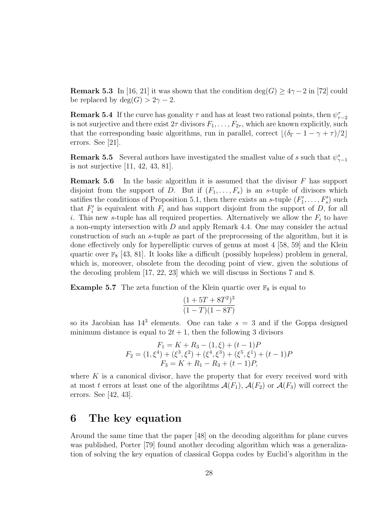**Remark 5.3** In [16, 21] it was shown that the condition deg(G)  $\geq 4\gamma - 2$  in [72] could be replaced by  $deg(G) > 2\gamma - 2$ .

**Remark 5.4** If the curve has gonality  $\tau$  and has at least two rational points, then  $\psi_{\tau-2}^{\tau}$ is not surjective and there exist  $2\tau$  divisors  $F_1, \ldots, F_{2\tau}$ , which are known explicitly, such that the corresponding basic algorithms, run in parallel, correct  $\left| \left( \delta_{\Gamma} - 1 - \gamma + \tau \right) / 2 \right|$ errors. See [21].

**Remark 5.5** Several authors have investigated the smallest value of s such that  $\psi_{\gamma-1}^s$ is not surjective [11, 42, 43, 81].

**Remark 5.6** In the basic algorithm it is assumed that the divisor  $F$  has support disjoint from the support of D. But if  $(F_1, \ldots, F_s)$  is an s-tuple of divisors which satifies the conditions of Proposition 5.1, then there exists an s-tuple  $(F'_1, \ldots, F'_s)$  such that  $F_i'$  is equivalent with  $F_i$  and has support disjoint from the support of D, for all i. This new s-tuple has all required properties. Alternatively we allow the  $F_i$  to have a non-empty intersection with D and apply Remark 4.4. One may consider the actual construction of such an s-tuple as part of the preprocessing of the algorithm, but it is done effectively only for hyperelliptic curves of genus at most 4 [58, 59] and the Klein quartic over  $\mathbb{F}_8$  [43, 81]. It looks like a difficult (possibly hopeless) problem in general. which is, moreover, obsolete from the decoding point of view, given the solutions of the decoding problem [17, 22, 23] which we will discuss in Sections 7 and 8.

**Example 5.7** The zeta function of the Klein quartic over  $\mathbb{F}_8$  is equal to

$$
\frac{(1+5T+8T^2)^3}{(1-T)(1-8T)}
$$

so its Jacobian has  $14^3$  elements. One can take  $s = 3$  and if the Goppa designed minimum distance is equal to  $2t + 1$ , then the following 3 divisors

$$
F_1 = K + R_3 - (1, \xi) + (t - 1)P
$$
  
\n
$$
F_2 = (1, \xi^4) + (\xi^3, \xi^2) + (\xi^4, \xi^3) + (\xi^5, \xi^1) + (t - 1)P
$$
  
\n
$$
F_3 = K + R_1 - R_3 + (t - 1)P,
$$

where  $K$  is a canonical divisor, have the property that for every received word with at most t errors at least one of the algorihtms  $\mathcal{A}(F_1)$ ,  $\mathcal{A}(F_2)$  or  $\mathcal{A}(F_3)$  will correct the errors. See [42, 43].

### 6 The key equation

Around the same time that the paper [48] on the decoding algorithm for plane curves was published, Porter [79] found another decoding algorithm which was a generalization of solving the key equation of classical Goppa codes by Euclid's algorithm in the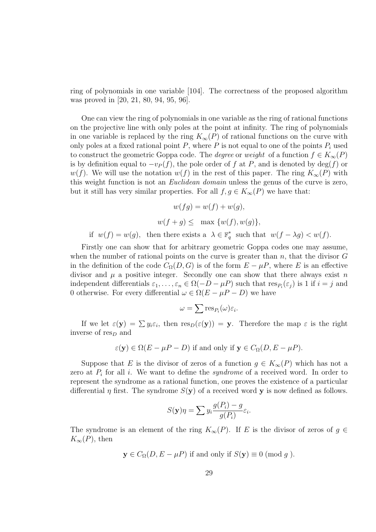ring of polynomials in one variable [104]. The correctness of the proposed algorithm was proved in [20, 21, 80, 94, 95, 96].

One can view the ring of polynomials in one variable as the ring of rational functions on the projective line with only poles at the point at infinity. The ring of polynomials in one variable is replaced by the ring  $K_{\infty}(P)$  of rational functions on the curve with only poles at a fixed rational point  $P$ , where  $P$  is not equal to one of the points  $P_i$  used to construct the geometric Goppa code. The *degree* or weight of a function  $f \in K_{\infty}(P)$ is by definition equal to  $-v_P(f)$ , the pole order of f at P, and is denoted by deg(f) or w(f). We will use the notation w(f) in the rest of this paper. The ring  $K_{\infty}(P)$  with this weight function is not an Euclidean domain unless the genus of the curve is zero, but it still has very similar properties. For all  $f, g \in K_{\infty}(P)$  we have that:

$$
w(fg) = w(f) + w(g),
$$
  

$$
w(f + g) \le \max \{w(f), w(g)\},
$$

if  $w(f) = w(g)$ , then there exists a  $\lambda \in \mathbb{F}_q^*$  such that  $w(f - \lambda g) < w(f)$ .

Firstly one can show that for arbitrary geometric Goppa codes one may assume, when the number of rational points on the curve is greater than  $n$ , that the divisor  $G$ in the definition of the code  $C_{\Omega}(D, G)$  is of the form  $E - \mu P$ , where E is an effective divisor and  $\mu$  a positive integer. Secondly one can show that there always exist n independent differentials  $\varepsilon_1, \ldots, \varepsilon_n \in \Omega(-D - \mu P)$  such that  $\text{res}_{P_i}(\varepsilon_j)$  is 1 if  $i = j$  and 0 otherwise. For every differential  $\omega \in \Omega(E - \mu P - D)$  we have

$$
\omega = \sum \operatorname{res}_{P_i}(\omega) \varepsilon_i.
$$

If we let  $\varepsilon(\mathbf{y}) = \sum y_i \varepsilon_i$ , then  $\text{res}_D(\varepsilon(\mathbf{y})) = \mathbf{y}$ . Therefore the map  $\varepsilon$  is the right inverse of  $res_D$  and

$$
\varepsilon(\mathbf{y}) \in \Omega(E - \mu P - D)
$$
 if and only if  $\mathbf{y} \in C_{\Omega}(D, E - \mu P)$ .

Suppose that E is the divisor of zeros of a function  $g \in K_{\infty}(P)$  which has not a zero at  $P_i$  for all i. We want to define the *syndrome* of a received word. In order to represent the syndrome as a rational function, one proves the existence of a particular differential  $\eta$  first. The syndrome  $S(y)$  of a received word y is now defined as follows.

$$
S(\mathbf{y})\eta = \sum y_i \frac{g(P_i) - g}{g(P_i)} \varepsilon_i.
$$

The syndrome is an element of the ring  $K_{\infty}(P)$ . If E is the divisor of zeros of  $g \in$  $K_{\infty}(P)$ , then

$$
y \in C_{\Omega}(D, E - \mu P)
$$
 if and only if  $S(y) \equiv 0 \pmod{g}$ .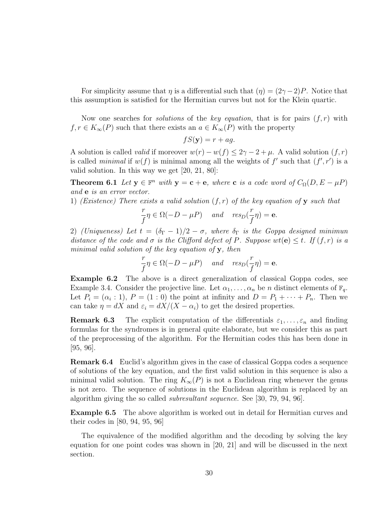For simplicity assume that  $\eta$  is a differential such that  $(\eta) = (2\gamma - 2)P$ . Notice that this assumption is satisfied for the Hermitian curves but not for the Klein quartic.

Now one searches for *solutions* of the key equation, that is for pairs  $(f, r)$  with  $f, r \in K_{\infty}(P)$  such that there exists an  $a \in K_{\infty}(P)$  with the property

$$
fS(\mathbf{y}) = r + ag.
$$

A solution is called *valid* if moreover  $w(r) - w(f) \leq 2\gamma - 2 + \mu$ . A valid solution  $(f, r)$ is called *minimal* if  $w(f)$  is minimal among all the weights of f' such that  $(f', r')$  is a valid solution. In this way we get [20, 21, 80]:

**Theorem 6.1** Let  $y \in \mathbb{F}^n$  with  $y = c + e$ , where c is a code word of  $C_{\Omega}(D, E - \mu P)$ and e is an error vector.

1) (Existence) There exists a valid solution  $(f, r)$  of the key equation of y such that

$$
\frac{r}{f}\eta \in \Omega(-D - \mu P) \quad \text{and} \quad res_D(\frac{r}{f}\eta) = \mathbf{e}.
$$

2) (Uniqueness) Let  $t = (\delta_{\Gamma} - 1)/2 - \sigma$ , where  $\delta_{\Gamma}$  is the Goppa designed minimun distance of the code and  $\sigma$  is the Clifford defect of P. Suppose  $wt(e) < t$ . If  $(f, r)$  is a minimal valid solution of the key equation of  $y$ , then

$$
\frac{r}{f}\eta \in \Omega(-D - \mu P) \quad \text{and} \quad res_D(\frac{r}{f}\eta) = \mathbf{e}.
$$

Example 6.2 The above is a direct generalization of classical Goppa codes, see Example 3.4. Consider the projective line. Let  $\alpha_1, \ldots, \alpha_n$  be n distinct elements of  $\mathbb{F}_q$ . Let  $P_i = (\alpha_i : 1), P = (1 : 0)$  the point at infinity and  $D = P_1 + \cdots + P_n$ . Then we can take  $\eta = dX$  and  $\varepsilon_i = dX/(X - \alpha_i)$  to get the desired properties.

**Remark 6.3** The explicit computation of the differentials  $\varepsilon_1, \ldots, \varepsilon_n$  and finding formulas for the syndromes is in general quite elaborate, but we consider this as part of the preprocessing of the algorithm. For the Hermitian codes this has been done in [95, 96].

Remark 6.4 Euclid's algorithm gives in the case of classical Goppa codes a sequence of solutions of the key equation, and the first valid solution in this sequence is also a minimal valid solution. The ring  $K_{\infty}(P)$  is not a Euclidean ring whenever the genus is not zero. The sequence of solutions in the Euclidean algorithm is replaced by an algorithm giving the so called subresultant sequence. See [30, 79, 94, 96].

Example 6.5 The above algorithm is worked out in detail for Hermitian curves and their codes in [80, 94, 95, 96]

The equivalence of the modified algorithm and the decoding by solving the key equation for one point codes was shown in [20, 21] and will be discussed in the next section.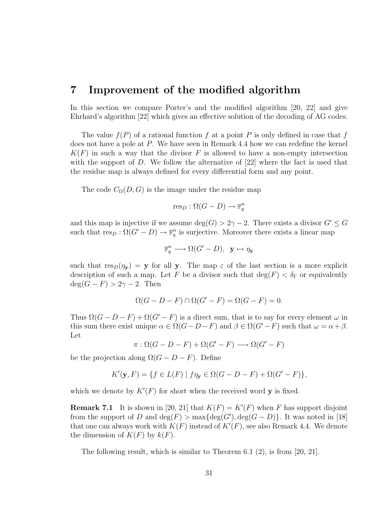### 7 Improvement of the modified algorithm

In this section we compare Porter's and the modified algorithm [20, 22] and give Ehrhard's algorithm [22] which gives an effective solution of the decoding of AG codes.

The value  $f(P)$  of a rational function f at a point P is only defined in case that f does not have a pole at P. We have seen in Remark 4.4 how we can redefine the kernel  $K(F)$  in such a way that the divisor F is allowed to have a non-empty intersection with the support of D. We follow the alternative of [22] where the fact is used that the residue map is always defined for every differential form and any point.

The code  $C_{\Omega}(D, G)$  is the image under the residue map

$$
\mathrm{res}_D : \Omega(G - D) \to \mathbb{F}_q^n
$$

and this map is injective if we assume  $\deg(G) > 2\gamma - 2$ . There exists a divisor  $G' \leq G$ such that  $res_D : \Omega(G' - D) \to \mathbb{F}_q^n$  is surjective. Moreover there exists a linear map

$$
\mathbb{F}_q^n \longrightarrow \Omega(G'-D), \ \mathbf{y} \mapsto \eta_{\mathbf{y}}
$$

such that  $res_D(\eta_Y) = y$  for all y. The map  $\varepsilon$  of the last section is a more explicit description of such a map. Let F be a divisor such that  $\deg(F) < \delta_{\Gamma}$  or equivalently  $deg(G - F) > 2\gamma - 2$ . Then

$$
\Omega(G - D - F) \cap \Omega(G' - F) = \Omega(G - F) = 0.
$$

Thus  $\Omega(G - D - F) + \Omega(G' - F)$  is a direct sum, that is to say for every element  $\omega$  in this sum there exist unique  $\alpha \in \Omega(G-D-F)$  and  $\beta \in \Omega(G'-F)$  such that  $\omega = \alpha + \beta$ . Let

 $\pi : \Omega(G - D - F) + \Omega(G' - F) \longrightarrow \Omega(G' - F)$ 

be the projection along  $\Omega(G - D - F)$ . Define

$$
K'(\mathbf{y}, F) = \{ f \in L(F) \mid f\eta_{\mathbf{y}} \in \Omega(G - D - F) + \Omega(G' - F) \},
$$

which we denote by  $K'(F)$  for short when the received word y is fixed.

**Remark 7.1** It is shown in [20, 21] that  $K(F) = K'(F)$  when F has support disjoint from the support of D and  $\deg(F) > \max{\deg(G')}, \deg(G - D)$ . It was noted in [18] that one can always work with  $K(F)$  instead of  $K'(F)$ , see also Remark 4.4. We denote the dimension of  $K(F)$  by  $k(F)$ .

The following result, which is similar to Theorem  $6.1\,(2)$ , is from [20, 21].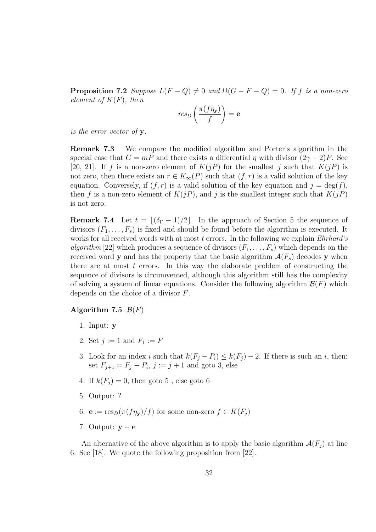**Proposition 7.2** Suppose  $L(F - Q) \neq 0$  and  $\Omega(G - F - Q) = 0$ . If f is a non-zero element of  $K(F)$ , then

$$
res_D\left(\frac{\pi(f\eta_{\mathbf{y}})}{f}\right) = \mathbf{e}
$$

is the error vector of y.

Remark 7.3 We compare the modified algorithm and Porter's algorithm in the special case that  $G = mP$  and there exists a differential  $\eta$  with divisor  $(2\gamma - 2)P$ . See [20, 21]. If f is a non-zero element of  $K(jP)$  for the smallest j such that  $K(jP)$  is not zero, then there exists an  $r \in K_{\infty}(P)$  such that  $(f, r)$  is a valid solution of the key equation. Conversely, if  $(f, r)$  is a valid solution of the key equation and  $j = \deg(f)$ , then f is a non-zero element of  $K(jP)$ , and j is the smallest integer such that  $K(jP)$ is not zero.

**Remark 7.4** Let  $t = |(\delta_{\Gamma} - 1)/2|$ . In the approach of Section 5 the sequence of divisors  $(F_1, \ldots, F_s)$  is fixed and should be found before the algorithm is executed. It works for all received words with at most  $t$  errors. In the following we explain  $Ehrhard's$ algorithm [22] which produces a sequence of divisors  $(F_1, \ldots, F_s)$  which depends on the received word **y** and has the property that the basic algorithm  $\mathcal{A}(F_s)$  decodes **y** when there are at most  $t$  errors. In this way the elaborate problem of constructing the sequence of divisors is circumvented, although this algorithm still has the complexity of solving a system of linear equations. Consider the following algorithm  $\mathcal{B}(F)$  which depends on the choice of a divisor F.

#### Algorithm 7.5  $\mathcal{B}(F)$

- 1. Input: y
- 2. Set  $j := 1$  and  $F_1 := F$
- 3. Look for an index i such that  $k(F_i P_i) \leq k(F_i) 2$ . If there is such an i, then: set  $F_{j+1} = F_j - P_i$ ,  $j := j + 1$  and goto 3, else
- 4. If  $k(F_i) = 0$ , then goto 5, else goto 6
- 5. Output: ?
- 6.  $e := \text{res}_D(\pi(f\eta_{\mathbf{v}})/f)$  for some non-zero  $f \in K(F_i)$
- 7. Output:  $y e$

An alternative of the above algorithm is to apply the basic algorithm  $\mathcal{A}(F_i)$  at line 6. See [18]. We quote the following proposition from [22].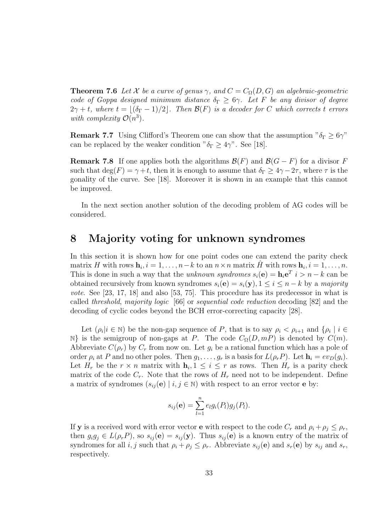**Theorem 7.6** Let X be a curve of genus  $\gamma$ , and  $C = C_{\Omega}(D, G)$  an algebraic-geometric code of Goppa designed minimum distance  $\delta_{\Gamma} \geq 6\gamma$ . Let F be any divisor of degree  $2\gamma + t$ , where  $t = |(\delta_{\Gamma} - 1)/2|$ . Then  $\mathcal{B}(F)$  is a decoder for C which corrects t errors with complexity  $\mathcal{O}(n^3)$ .

**Remark 7.7** Using Clifford's Theorem one can show that the assumption " $\delta_{\Gamma} > 6\gamma$ " can be replaced by the weaker condition " $\delta_{\Gamma} \geq 4\gamma$ ". See [18].

**Remark 7.8** If one applies both the algorithms  $\mathcal{B}(F)$  and  $\mathcal{B}(G - F)$  for a divisor F such that  $\deg(F) = \gamma + t$ , then it is enough to assume that  $\delta_{\Gamma} \geq 4\gamma - 2\tau$ , where  $\tau$  is the gonality of the curve. See [18]. Moreover it is shown in an example that this cannot be improved.

In the next section another solution of the decoding problem of AG codes will be considered.

### 8 Majority voting for unknown syndromes

In this section it is shown how for one point codes one can extend the parity check matrix H with rows  $\mathbf{h}_i, i = 1, \ldots, n-k$  to an  $n \times n$  matrix  $\hat{H}$  with rows  $\mathbf{h}_i, i = 1, \ldots, n$ . This is done in such a way that the *unknown syndromes*  $s_i(\mathbf{e}) = \mathbf{h}_i \mathbf{e}^T$   $i > n - k$  can be obtained recursively from known syndromes  $s_i(\mathbf{e}) = s_i(\mathbf{y}), 1 \le i \le n - k$  by a majority vote. See [23, 17, 18] and also [53, 75]. This procedure has its predecessor in what is called threshold, majority logic [66] or sequential code reduction decoding [82] and the decoding of cyclic codes beyond the BCH error-correcting capacity [28].

Let  $(\rho_i | i \in \mathbb{N})$  be the non-gap sequence of P, that is to say  $\rho_i < \rho_{i+1}$  and  $\{\rho_i | i \in$ N} is the semigroup of non-gaps at P. The code  $C_{\Omega}(D, mP)$  is denoted by  $C(m)$ . Abbreviate  $C(\rho_r)$  by  $C_r$  from now on. Let  $g_i$  be a rational function which has a pole of order  $\rho_i$  at P and no other poles. Then  $g_1, \ldots, g_r$  is a basis for  $L(\rho_r P)$ . Let  $\mathbf{h}_i = ev_D(g_i)$ . Let  $H_r$  be the  $r \times n$  matrix with  $\mathbf{h}_i, 1 \leq i \leq r$  as rows. Then  $H_r$  is a parity check matrix of the code  $C_r$ . Note that the rows of  $H_r$  need not to be independent. Define a matrix of syndromes  $(s_{ij}(\mathbf{e}) \mid i, j \in \mathbb{N})$  with respect to an error vector **e** by:

$$
s_{ij}(\mathbf{e}) = \sum_{l=1}^n e_l g_i(P_l) g_j(P_l).
$$

If **y** is a received word with error vector **e** with respect to the code  $C_r$  and  $\rho_i + \rho_j \leq \rho_r$ , then  $g_i g_j \in L(\rho_r P)$ , so  $s_{ij}(\mathbf{e}) = s_{ij}(\mathbf{y})$ . Thus  $s_{ij}(\mathbf{e})$  is a known entry of the matrix of syndromes for all i, j such that  $\rho_i + \rho_j \leq \rho_r$ . Abbreviate  $s_{ij}(\mathbf{e})$  and  $s_r(\mathbf{e})$  by  $s_{ij}$  and  $s_r$ , respectively.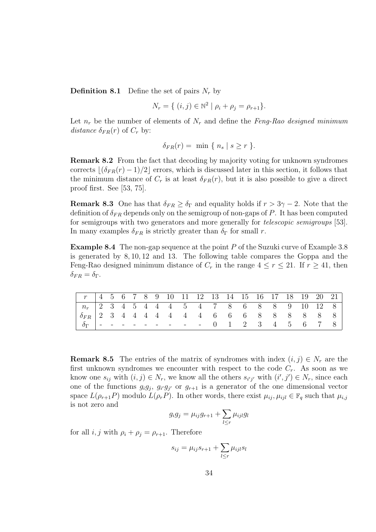**Definition 8.1** Define the set of pairs  $N_r$  by

$$
N_r = \{ (i, j) \in \mathbb{N}^2 \mid \rho_i + \rho_j = \rho_{r+1} \}.
$$

Let  $n_r$  be the number of elements of  $N_r$  and define the Feng-Rao designed minimum distance  $\delta_{FR}(r)$  of  $C_r$  by:

$$
\delta_{FR}(r) = \min \{ n_s \mid s \ge r \}.
$$

Remark 8.2 From the fact that decoding by majority voting for unknown syndromes corrects  $\lfloor (\delta_{FR}(r) - 1)/2 \rfloor$  errors, which is discussed later in this section, it follows that the minimum distance of  $C_r$  is at least  $\delta_{FR}(r)$ , but it is also possible to give a direct proof first. See [53, 75].

**Remark 8.3** One has that  $\delta_{FR} \geq \delta_{\Gamma}$  and equality holds if  $r > 3\gamma - 2$ . Note that the definition of  $\delta_{FR}$  depends only on the semigroup of non-gaps of P. It has been computed for semigroups with two generators and more generally for telescopic semigroups [53]. In many examples  $\delta_{FR}$  is strictly greater than  $\delta_{\Gamma}$  for small r.

**Example 8.4** The non-gap sequence at the point  $P$  of the Suzuki curve of Example 3.8 is generated by 8, 10, 12 and 13. The following table compares the Goppa and the Feng-Rao designed minimum distance of  $C_r$  in the range  $4 \leq r \leq 21$ . If  $r \geq 41$ , then  $\delta_{FR} = \delta_{\Gamma}$ .

| $\begin{array}{ c ccccccccccccccc }\hline n_r&2&3&4&5&4&4&4&5&4&7&8&6&8&8&9&10&12&8\end{array}$                                                       |  |  |  |  |  |  |  |  |  |
|-------------------------------------------------------------------------------------------------------------------------------------------------------|--|--|--|--|--|--|--|--|--|
| $\begin{array}{ ccccccccccccccccccc }\hline \delta_{FR} & 2 & 3 & 4 & 4 & 4 & 4 & 4 & 4 & 4 & 6 & 6 & 6 & 8 & 8 & 8 & 8 & 8 & 8 \\\hline \end{array}$ |  |  |  |  |  |  |  |  |  |
| $\mid \delta_{\Gamma} \mid$ - - - - - - - - - 0 1 2 3 4 5 6 7 8                                                                                       |  |  |  |  |  |  |  |  |  |

**Remark 8.5** The entries of the matrix of syndromes with index  $(i, j) \in N_r$  are the first unknown syndromes we encounter with respect to the code  $C_r$ . As soon as we know one  $s_{ij}$  with  $(i, j) \in N_r$ , we know all the others  $s_{i'j'}$  with  $(i', j') \in N_r$ , since each one of the functions  $g_i g_j$ ,  $g_{i'} g_{j'}$  or  $g_{r+1}$  is a generator of the one dimensional vector space  $L(\rho_{r+1}P)$  modulo  $L(\rho_rP)$ . In other words, there exist  $\mu_{ij}, \mu_{ijl} \in \mathbb{F}_q$  such that  $\mu_{i,j}$ is not zero and

$$
g_ig_j = \mu_{ij}g_{r+1} + \sum_{l \leq r} \mu_{ijl}g_l
$$

for all i, j with  $\rho_i + \rho_j = \rho_{r+1}$ . Therefore

$$
s_{ij} = \mu_{ij} s_{r+1} + \sum_{l \le r} \mu_{ijl} s_l
$$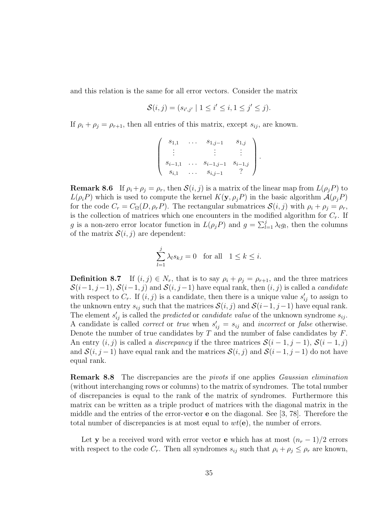and this relation is the same for all error vectors. Consider the matrix

$$
\mathcal{S}(i,j) = (s_{i',j'} \mid 1 \leq i' \leq i, 1 \leq j' \leq j).
$$

If  $\rho_i + \rho_j = \rho_{r+1}$ , then all entries of this matrix, except  $s_{ij}$ , are known.

$$
\begin{pmatrix}\ns_{1,1} & \dots & s_{1,j-1} & s_{1,j} \\
\vdots & & \vdots & \vdots \\
s_{i-1,1} & \dots & s_{i-1,j-1} & s_{i-1,j} \\
s_{i,1} & \dots & s_{i,j-1} & ?\n\end{pmatrix}.
$$

**Remark 8.6** If  $\rho_i + \rho_j = \rho_r$ , then  $\mathcal{S}(i, j)$  is a matrix of the linear map from  $L(\rho_j P)$  to  $L(\rho_i P)$  which is used to compute the kernel  $K(\mathbf{y}, \rho_j P)$  in the basic algorithm  $\mathcal{A}(\rho_j P)$ for the code  $C_r = C_\Omega(D, \rho_r P)$ . The rectangular submatrices  $\mathcal{S}(i, j)$  with  $\rho_i + \rho_j = \rho_r$ , is the collection of matrices which one encounters in the modified algorithm for  $C_r$ . If g is a non-zero error locator function in  $L(\rho_j P)$  and  $g = \sum_{l=1}^j \lambda_l g_l$ , then the columns of the matrix  $\mathcal{S}(i, j)$  are dependent:

$$
\sum_{l=1}^{j} \lambda_l s_{k,l} = 0 \text{ for all } 1 \le k \le i.
$$

**Definition 8.7** If  $(i, j) \in N_r$ , that is to say  $\rho_i + \rho_j = \rho_{r+1}$ , and the three matrices  $S(i-1, j-1), S(i-1, j)$  and  $S(i, j-1)$  have equal rank, then  $(i, j)$  is called a *candidate* with respect to  $C_r$ . If  $(i, j)$  is a candidate, then there is a unique value  $s'_{ij}$  to assign to the unknown entry  $s_{ij}$  such that the matrices  $\mathcal{S}(i, j)$  and  $\mathcal{S}(i-1, j-1)$  have equal rank. The element  $s'_{ij}$  is called the *predicted* or *candidate value* of the unknown syndrome  $s_{ij}$ . A candidate is called *correct* or *true* when  $s'_{ij} = s_{ij}$  and *incorrect* or *false* otherwise. Denote the number of true candidates by  $T$  and the number of false candidates by  $F$ . An entry  $(i, j)$  is called a *discrepancy* if the three matrices  $S(i - 1, j - 1)$ ,  $S(i - 1, j)$ and  $S(i, j-1)$  have equal rank and the matrices  $S(i, j)$  and  $S(i-1, j-1)$  do not have equal rank.

Remark 8.8 The discrepancies are the pivots if one applies Gaussian elimination (without interchanging rows or columns) to the matrix of syndromes. The total number of discrepancies is equal to the rank of the matrix of syndromes. Furthermore this matrix can be written as a triple product of matrices with the diagonal matrix in the middle and the entries of the error-vector e on the diagonal. See [3, 78]. Therefore the total number of discrepancies is at most equal to  $wt(e)$ , the number of errors.

Let y be a received word with error vector e which has at most  $(n_r - 1)/2$  errors with respect to the code  $C_r$ . Then all syndromes  $s_{ij}$  such that  $\rho_i + \rho_j \leq \rho_r$  are known,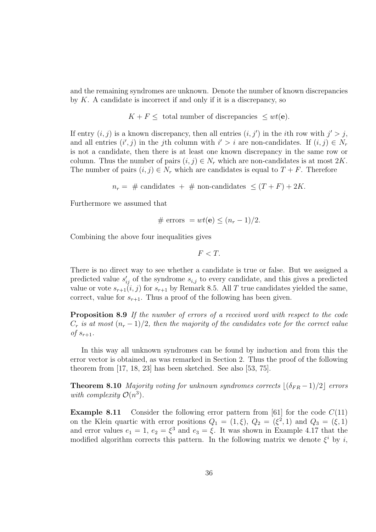and the remaining syndromes are unknown. Denote the number of known discrepancies by  $K$ . A candidate is incorrect if and only if it is a discrepancy, so

$$
K + F \leq
$$
 total number of discrepancies  $\leq wt(\mathbf{e})$ .

If entry  $(i, j)$  is a known discrepancy, then all entries  $(i, j')$  in the *i*th row with  $j' > j$ , and all entries  $(i', j)$  in the j<sup>th</sup> column with  $i' > i$  are non-candidates. If  $(i, j) \in N_r$ is not a candidate, then there is at least one known discrepancy in the same row or column. Thus the number of pairs  $(i, j) \in N_r$  which are non-candidates is at most  $2K$ . The number of pairs  $(i, j) \in N_r$  which are candidates is equal to  $T + F$ . Therefore

 $n_r = #$  candidates + # non-candidates  $\leq (T + F) + 2K$ .

Furthermore we assumed that

# errors = 
$$
wt(\mathbf{e}) \leq (n_r - 1)/2
$$
.

Combining the above four inequalities gives

$$
F
$$

There is no direct way to see whether a candidate is true or false. But we assigned a predicted value  $s'_{ij}$  of the syndrome  $s_{i,j}$  to every candidate, and this gives a predicted value or vote  $s_{r+1}(i, j)$  for  $s_{r+1}$  by Remark 8.5. All T true candidates yielded the same, correct, value for  $s_{r+1}$ . Thus a proof of the following has been given.

Proposition 8.9 If the number of errors of a received word with respect to the code  $C_r$  is at most  $(n_r-1)/2$ , then the majority of the candidates vote for the correct value of  $s_{r+1}$ .

In this way all unknown syndromes can be found by induction and from this the error vector is obtained, as was remarked in Section 2. Thus the proof of the following theorem from [17, 18, 23] has been sketched. See also [53, 75].

**Theorem 8.10** Majority voting for unknown syndromes corrects  $\left| \frac{\delta_{FR} - 1}{2} \right|$  errors with complexity  $\mathcal{O}(n^3)$ .

**Example 8.11** Consider the following error pattern from [61] for the code  $C(11)$ on the Klein quartic with error positions  $Q_1 = (1, \xi), Q_2 = (\xi^2, 1)$  and  $Q_3 = (\xi, 1)$ and error values  $e_1 = 1$ ,  $e_2 = \xi^3$  and  $e_3 = \xi$ . It was shown in Example 4.17 that the modified algorithm corrects this pattern. In the following matrix we denote  $\xi^i$  by i,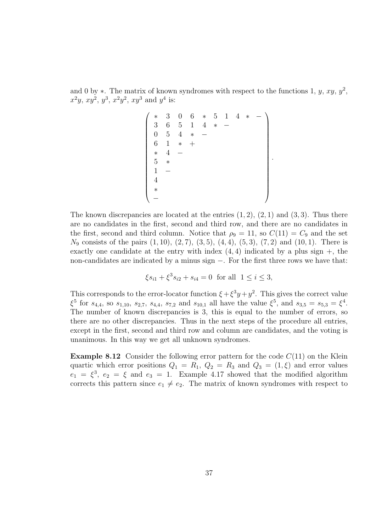and 0 by  $\ast$ . The matrix of known syndromes with respect to the functions 1, y, xy, y<sup>2</sup>,  $x^2y, xy^2, y^3, x^2y^2, xy^3$  and  $y^4$  is:

$$
\begin{pmatrix}\n* & 3 & 0 & 6 & * & 5 & 1 & 4 & * & - \\
3 & 6 & 5 & 1 & 4 & * & - \\
0 & 5 & 4 & * & - \\
6 & 1 & * & + \\
* & 4 & - \\
* & * & * \\
1 & - \\
4 & & * \\
* & - \\
\end{pmatrix}
$$

.

The known discrepancies are located at the entries  $(1, 2)$ ,  $(2, 1)$  and  $(3, 3)$ . Thus there are no candidates in the first, second and third row, and there are no candidates in the first, second and third column. Notice that  $\rho_9 = 11$ , so  $C(11) = C_9$  and the set  $N_9$  consists of the pairs  $(1, 10)$ ,  $(2, 7)$ ,  $(3, 5)$ ,  $(4, 4)$ ,  $(5, 3)$ ,  $(7, 2)$  and  $(10, 1)$ . There is exactly one candidate at the entry with index  $(4, 4)$  indicated by a plus sign  $+$ , the non-candidates are indicated by a minus sign −. For the first three rows we have that:

$$
\xi s_{i1} + \xi^3 s_{i2} + s_{i4} = 0
$$
 for all  $1 \le i \le 3$ ,

This corresponds to the error-locator function  $\xi + \xi^3 y + y^2$ . This gives the correct value  $\xi^5$  for  $s_{4,4}$ , so  $s_{1,10}$ ,  $s_{2,7}$ ,  $s_{4,4}$ ,  $s_{7,2}$  and  $s_{10,1}$  all have the value  $\xi^5$ , and  $s_{3,5} = s_{5,3} = \xi^4$ . The number of known discrepancies is 3, this is equal to the number of errors, so there are no other discrepancies. Thus in the next steps of the procedure all entries, except in the first, second and third row and column are candidates, and the voting is unanimous. In this way we get all unknown syndromes.

**Example 8.12** Consider the following error pattern for the code  $C(11)$  on the Klein quartic which error positions  $Q_1 = R_1$ ,  $Q_2 = R_3$  and  $Q_3 = (1, \xi)$  and error values  $e_1 = \xi^3$ ,  $e_2 = \xi$  and  $e_3 = 1$ . Example 4.17 showed that the modified algorithm corrects this pattern since  $e_1 \neq e_2$ . The matrix of known syndromes with respect to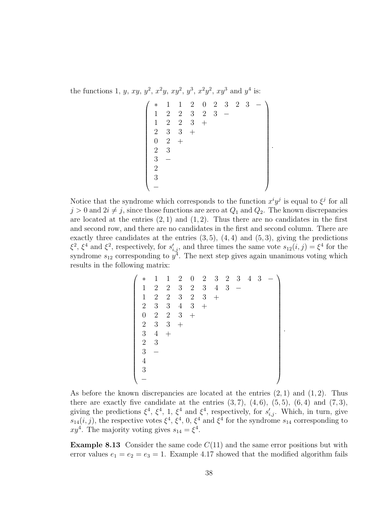the functions 1, y, xy,  $y^2$ ,  $x^2y$ ,  $xy^2$ ,  $y^3$ ,  $x^2y^2$ ,  $xy^3$  and  $y^4$  is:

$$
\begin{pmatrix} * & 1 & 1 & 2 & 0 & 2 & 3 & 2 & 3 & - \\ 1 & 2 & 2 & 3 & 2 & 3 & - \\ 1 & 2 & 2 & 3 & + & & & \\ 2 & 3 & 3 & + & & & & \\ 0 & 2 & + & & & & & \\ 2 & 3 & & & & & & \\ 3 & - & & & & & & \\ 3 & - & & & & & & \\ - & & & & & & & \end{pmatrix}.
$$

Notice that the syndrome which corresponds to the function  $x^i y^j$  is equal to  $\xi^j$  for all  $j > 0$  and  $2i \neq j$ , since those functions are zero at  $Q_1$  and  $Q_2$ . The known discrepancies are located at the entries  $(2, 1)$  and  $(1, 2)$ . Thus there are no candidates in the first and second row, and there are no candidates in the first and second column. There are exactly three candidates at the entries  $(3, 5)$ ,  $(4, 4)$  and  $(5, 3)$ , giving the predictions  $\xi^2$ ,  $\xi^4$  and  $\xi^2$ , respectively, for  $s'_{i,j}$ , and three times the same vote  $s_{12}(i, j) = \xi^4$  for the syndrome  $s_{12}$  corresponding to  $y^4$ . The next step gives again unanimous voting which results in the following matrix:

$$
\begin{pmatrix}\n* & 1 & 1 & 2 & 0 & 2 & 3 & 2 & 3 & 4 & 3 & - \\
1 & 2 & 2 & 3 & 2 & 3 & 4 & 3 & - \\
1 & 2 & 2 & 3 & 2 & 3 & + \\
2 & 3 & 3 & 4 & 3 & + \\
0 & 2 & 2 & 3 & + \\
2 & 3 & 3 & + \\
3 & 4 & + \\
2 & 3 & - \\
4 & 3 & - \\
\end{pmatrix}
$$

.

As before the known discrepancies are located at the entries  $(2, 1)$  and  $(1, 2)$ . Thus there are exactly five candidate at the entries  $(3, 7)$ ,  $(4, 6)$ ,  $(5, 5)$ ,  $(6, 4)$  and  $(7, 3)$ , giving the predictions  $\xi^4$ ,  $\xi^4$ , 1,  $\xi^4$  and  $\xi^4$ , respectively, for  $s'_{i,j}$ . Which, in turn, give  $s_{14}(i, j)$ , the respective votes  $\xi^4$ ,  $\xi^4$ , 0,  $\xi^4$  and  $\xi^4$  for the syndrome  $s_{14}$  corresponding to  $xy^4$ . The majority voting gives  $s_{14} = \xi^4$ .

**Example 8.13** Consider the same code  $C(11)$  and the same error positions but with error values  $e_1 = e_2 = e_3 = 1$ . Example 4.17 showed that the modified algorithm fails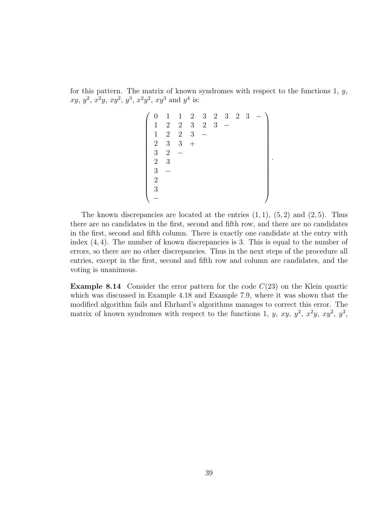for this pattern. The matrix of known syndromes with respect to the functions  $1, y$ ,  $xy, y^2, x^2y, xy^2, y^3, x^2y^2, xy^3$  and  $y^4$  is:

 0 1 1 2 3 2 3 2 3 − 1 2 2 3 2 3 − 1 2 2 3 − 2 3 3 + 3 2 − 2 3 3 − 2 3 − 

.

The known discrepancies are located at the entries  $(1, 1)$ ,  $(5, 2)$  and  $(2, 5)$ . Thus there are no candidates in the first, second and fifth row, and there are no candidates in the first, second and fifth column. There is exactly one candidate at the entry with index (4, 4). The number of known discrepancies is 3. This is equal to the number of errors, so there are no other discrepancies. Thus in the next steps of the procedure all entries, except in the first, second and fifth row and column are candidates, and the voting is unanimous.

**Example 8.14** Consider the error pattern for the code  $C(23)$  on the Klein quartic which was discussed in Example 4.18 and Example 7.9, where it was shown that the modified algorithm fails and Ehrhard's algorithms manages to correct this error. The matrix of known syndromes with respect to the functions 1, y, xy,  $y^2$ ,  $x^2y$ ,  $xy^2$ ,  $y^3$ ,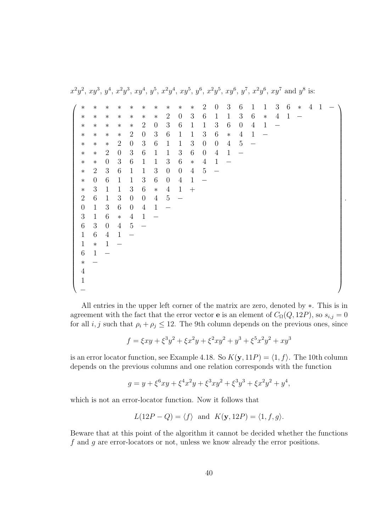$x^2y^2$ ,  $xy^3$ ,  $y^4$ ,  $x^2y^3$ ,  $xy^4$ ,  $y^5$ ,  $x^2y^4$ ,  $xy^5$ ,  $y^6$ ,  $x^2y^5$ ,  $xy^6$ ,  $y^7$ ,  $x^2y^6$ ,  $xy^7$  and  $y^8$  is:

| $\ast$           | $\ast$           | $\ast$           | $\ast$           | $\ast$         | $\ast$           | $\ast$           | $\ast$           | $\ast$           | $\ast$         | $\overline{2}$   | $\overline{0}$           | 3              | 6                | $\mathbf{1}$      | $\mathbf{1}$ | 3              | 6            | $\ast$ | 4 |  |
|------------------|------------------|------------------|------------------|----------------|------------------|------------------|------------------|------------------|----------------|------------------|--------------------------|----------------|------------------|-------------------|--------------|----------------|--------------|--------|---|--|
| $\ast$           | $\ast$           | $\ast$           | $\ast$           | $\ast$         | $\ast$           | $\ast$           | $\overline{2}$   | $\theta$         | 3              | $\,6\,$          | $\mathbf{1}$             | $\mathbf{1}$   | $\mathfrak{Z}$   | $\,6\,$           | $\ast$       | $\overline{4}$ | $\mathbf{1}$ |        |   |  |
| $\ast$           | $\ast$           | $\ast$           | $\ast$           | $\ast$         | $\overline{2}$   | $\boldsymbol{0}$ | $\boldsymbol{3}$ | $\,6\,$          | $\mathbf{1}$   | $\mathbf{1}$     | $\sqrt{3}$               | $\sqrt{6}$     | $\boldsymbol{0}$ | $\overline{4}$    | $\mathbf{1}$ |                |              |        |   |  |
| $\ast$           | $\ast$           | $\ast$           | $\ast$           | $\overline{2}$ | $\boldsymbol{0}$ | 3                | $\boldsymbol{6}$ | $\mathbf{1}$     | $\mathbf 1$    | $\sqrt{3}$       | $\,6$                    | $\ast$         | $\overline{4}$   | $\mathbf{1}$      |              |                |              |        |   |  |
| $\ast$           | $\ast$           | $\ast$           | $\overline{2}$   | $\theta$       | $\sqrt{3}$       | $\,6$            | $\mathbf{1}$     | $\mathbf{1}$     | 3              | $\boldsymbol{0}$ | $\theta$                 | $\overline{4}$ | $\bf 5$          | $\qquad \qquad -$ |              |                |              |        |   |  |
| $\ast$           | $\ast$           | $\sqrt{2}$       | $\boldsymbol{0}$ | 3              | $\,6$            | $\mathbf{1}$     | $\mathbf{1}$     | $\sqrt{3}$       | $\,6$          | $\boldsymbol{0}$ | $\sqrt{4}$               | $\mathbf{1}$   |                  |                   |              |                |              |        |   |  |
| $\ast$           | $\ast$           | $\boldsymbol{0}$ | $\boldsymbol{3}$ | $\,6\,$        | $\mathbf{1}$     | $\mathbf 1$      | $\sqrt{3}$       | $\,6\,$          | $\ast$         | $\overline{4}$   | $\mathbf{1}$             |                |                  |                   |              |                |              |        |   |  |
| $\ast$           | $\sqrt{2}$       | $\sqrt{3}$       | $\,6\,$          | $\mathbf{1}$   | $\mathbf{1}$     | $\boldsymbol{3}$ | $\boldsymbol{0}$ | $\boldsymbol{0}$ | $\overline{4}$ | $\bf 5$          | $\overline{\phantom{0}}$ |                |                  |                   |              |                |              |        |   |  |
| $\ast$           | $\boldsymbol{0}$ | 6                | $\mathbf{1}$     | $\mathbf{1}$   | $\sqrt{3}$       | $\,6$            | $\boldsymbol{0}$ | $\overline{4}$   | $\mathbf{1}$   |                  |                          |                |                  |                   |              |                |              |        |   |  |
| $\ast$           | $\sqrt{3}$       | $\mathbf{1}$     | $\mathbf{1}$     | $\sqrt{3}$     | $\,6$            | $\ast$           | $\sqrt{4}$       | $\mathbf{1}$     | $^{+}$         |                  |                          |                |                  |                   |              |                |              |        |   |  |
| $\overline{2}$   | $\,6\,$          | $\mathbf{1}$     | $\sqrt{3}$       | $\theta$       | $\boldsymbol{0}$ | $\overline{4}$   | $\bf 5$          | $\equiv$         |                |                  |                          |                |                  |                   |              |                |              |        |   |  |
| $\boldsymbol{0}$ | $\mathbf 1$      | $\mathfrak{Z}$   | $\,6\,$          | $\theta$       | $\overline{4}$   | $\mathbf{1}$     |                  |                  |                |                  |                          |                |                  |                   |              |                |              |        |   |  |
| 3                | $\,1\,$          | $\,6$            | $\ast$           | $\overline{4}$ | $\mathbf{1}$     |                  |                  |                  |                |                  |                          |                |                  |                   |              |                |              |        |   |  |
| $6\phantom{.}$   | $\sqrt{3}$       | $\theta$         | $\overline{4}$   | $\overline{5}$ |                  |                  |                  |                  |                |                  |                          |                |                  |                   |              |                |              |        |   |  |
| $\mathbf{1}$     | $\,6\,$          | $\sqrt{4}$       | $\mathbf{1}$     |                |                  |                  |                  |                  |                |                  |                          |                |                  |                   |              |                |              |        |   |  |
| $\mathbf{1}$     | $\ast$           | $\mathbf{1}$     |                  |                |                  |                  |                  |                  |                |                  |                          |                |                  |                   |              |                |              |        |   |  |
| $\,6\,$          | $1\,$            |                  |                  |                |                  |                  |                  |                  |                |                  |                          |                |                  |                   |              |                |              |        |   |  |
| $\ast$           |                  |                  |                  |                |                  |                  |                  |                  |                |                  |                          |                |                  |                   |              |                |              |        |   |  |
| 4                |                  |                  |                  |                |                  |                  |                  |                  |                |                  |                          |                |                  |                   |              |                |              |        |   |  |
| 1                |                  |                  |                  |                |                  |                  |                  |                  |                |                  |                          |                |                  |                   |              |                |              |        |   |  |
|                  |                  |                  |                  |                |                  |                  |                  |                  |                |                  |                          |                |                  |                   |              |                |              |        |   |  |

.

All entries in the upper left corner of the matrix are zero, denoted by ∗. This is in agreement with the fact that the error vector **e** is an element of  $C_{\Omega}(Q, 12P)$ , so  $s_{i,j} = 0$ for all  $i, j$  such that  $\rho_i + \rho_j \leq 12$ . The 9th column depends on the previous ones, since

$$
f = \xi xy + \xi^3 y^2 + \xi x^2 y + \xi^2 xy^2 + y^3 + \xi^5 x^2 y^2 + xy^3
$$

is an error locator function, see Example 4.18. So  $K(y, 11P) = \langle 1, f \rangle$ . The 10th column depends on the previous columns and one relation corresponds with the function

$$
g = y + \xi^6 xy + \xi^4 x^2 y + \xi^3 xy^2 + \xi^3 y^3 + \xi x^2 y^2 + y^4,
$$

which is not an error-locator function. Now it follows that

$$
L(12P - Q) = \langle f \rangle \text{ and } K(\mathbf{y}, 12P) = \langle 1, f, g \rangle.
$$

Beware that at this point of the algorithm it cannot be decided whether the functions f and g are error-locators or not, unless we know already the error positions.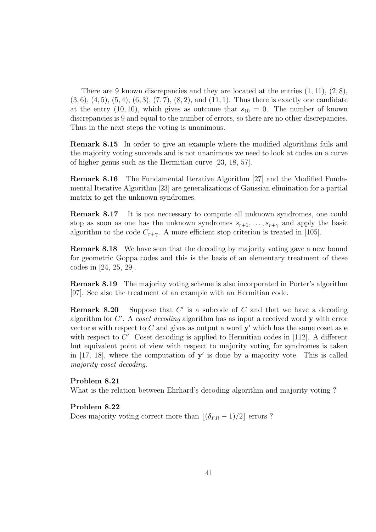There are 9 known discrepancies and they are located at the entries  $(1, 11)$ ,  $(2, 8)$ ,  $(3, 6), (4, 5), (5, 4), (6, 3), (7, 7), (8, 2),$  and  $(11, 1)$ . Thus there is exactly one candidate at the entry (10, 10), which gives as outcome that  $s_{10} = 0$ . The number of known discrepancies is 9 and equal to the number of errors, so there are no other discrepancies. Thus in the next steps the voting is unanimous.

Remark 8.15 In order to give an example where the modified algorithms fails and the majority voting succeeds and is not unanimous we need to look at codes on a curve of higher genus such as the Hermitian curve [23, 18, 57].

Remark 8.16 The Fundamental Iterative Algorithm [27] and the Modified Fundamental Iterative Algorithm [23] are generalizations of Gaussian elimination for a partial matrix to get the unknown syndromes.

Remark 8.17 It is not neccessary to compute all unknown syndromes, one could stop as soon as one has the unknown syndromes  $s_{r+1}, \ldots, s_{r+\gamma}$  and apply the basic algorithm to the code  $C_{r+\gamma}$ . A more efficient stop criterion is treated in [105].

Remark 8.18 We have seen that the decoding by majority voting gave a new bound for geometric Goppa codes and this is the basis of an elementary treatment of these codes in [24, 25, 29].

Remark 8.19 The majority voting scheme is also incorporated in Porter's algorithm [97]. See also the treatment of an example with an Hermitian code.

**Remark 8.20** Suppose that  $C'$  is a subcode of  $C$  and that we have a decoding algorithm for  $C'$ . A coset decoding algorithm has as input a received word  $y$  with error vector **e** with respect to C and gives as output a word  $y'$  which has the same coset as **e** with respect to  $C'$ . Coset decoding is applied to Hermitian codes in [112]. A different but equivalent point of view with respect to majority voting for syndromes is taken in  $[17, 18]$ , where the computation of  $y'$  is done by a majority vote. This is called majority coset decoding.

#### Problem 8.21

What is the relation between Ehrhard's decoding algorithm and majority voting ?

#### Problem 8.22

Does majority voting correct more than  $\lfloor (\delta_{FR} - 1)/2 \rfloor$  errors ?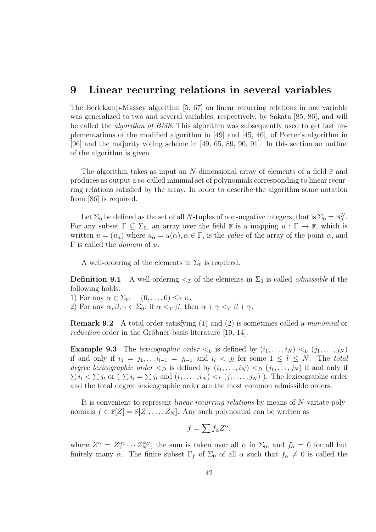### 9 Linear recurring relations in several variables

The Berlekamp-Massey algorithm [5, 67] on linear recurring relations in one variable was generalized to two and several variables, respectively, by Sakata [85, 86], and will be called the algorithm of BMS. This algorithm was subsequently used to get fast implementations of the modified algorithm in [49] and [45, 46], of Porter's algorithm in [96] and the majority voting scheme in [49, 65, 89, 90, 91]. In this section an outline of the algorithm is given.

The algorithm takes as input an N-dimensional array of elements of a field  $\mathbb{F}$  and produces as output a so-called minimal set of polynomials corresponding to linear recurring relations satisfied by the array. In order to describe the algorithm some notation from [86] is required.

Let  $\Sigma_0$  be defined as the set of all N-tuples of non-negative integers, that is  $\Sigma_0 = \mathbb{N}_0^N$ . For any subset  $\Gamma \subseteq \Sigma_0$ , an array over the field  $\mathbb F$  is a mapping  $u : \Gamma \to \mathbb F$ , which is written  $u = (u_{\alpha})$  where  $u_{\alpha} = u(\alpha), \alpha \in \Gamma$ , is the value of the array of the point  $\alpha$ , and  $\Gamma$  is called the *domain* of u.

A well-ordering of the elements in  $\Sigma_0$  is required.

**Definition 9.1** A well-ordering  $\leq_T$  of the elements in  $\Sigma_0$  is called *admissible* if the following holds:

1) For any  $\alpha \in \Sigma_0$ :  $(0, \ldots, 0) \leq_T \alpha$ .

2) For any  $\alpha, \beta, \gamma \in \Sigma_0$ : if  $\alpha <_T \beta$ , then  $\alpha + \gamma <_T \beta + \gamma$ .

Remark 9.2 A total order satisfying (1) and (2) is sometimes called a monomial or *reduction* order in the Gröbner-basis literature  $|10, 14|$ .

**Example 9.3** The lexicographic order  $\lt_L$  is defined by  $(i_1, \ldots, i_N) \lt_L (j_1, \ldots, j_N)$ if and only if  $i_1 = j_1, \ldots i_{l-1} = j_{l-1}$  and  $i_l < j_l$  for some  $1 \leq l \leq N$ . The total degree lexicographic order  $\langle D \rangle$  is defined by  $(i_1, \ldots, i_N) \langle D \rangle (j_1, \ldots, j_N)$  if and only if  $\sum i_l < \sum j_l$  or  $(\sum i_l = \sum j_l$  and  $(i_1, \ldots, i_N) <_L (j_1, \ldots, j_N)$ ). The lexicographic order and the total degree lexicographic order are the most common admissible orders.

It is convenient to represent linear recurring relations by means of N-variate polynomials  $f \in \mathbb{F}[Z] = \mathbb{F}[Z_1, \ldots, Z_N]$ . Any such polynomial can be written as

$$
f = \sum f_{\alpha} Z^{\alpha},
$$

where  $Z^{\alpha} = Z_1^{\alpha_1} \cdots Z_N^{\alpha_N}$ , the sum is taken over all  $\alpha$  in  $\Sigma_0$ , and  $f_{\alpha} = 0$  for all but finitely many  $\alpha$ . The finite subset  $\Gamma_f$  of  $\Sigma_0$  of all  $\alpha$  such that  $f_\alpha \neq 0$  is called the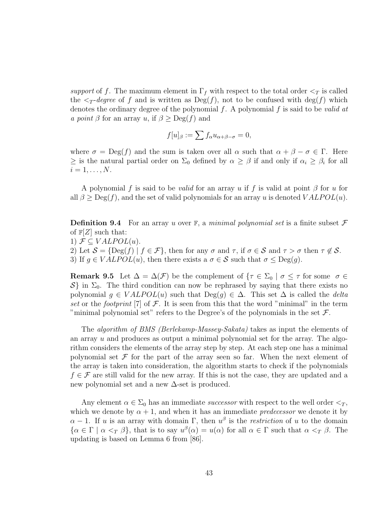support of f. The maximum element in  $\Gamma_f$  with respect to the total order  $\leq_T$  is called the  $\langle \tau \rangle$ -degree of f and is written as  $\text{Deg}(f)$ , not to be confused with  $\text{deg}(f)$  which denotes the ordinary degree of the polynomial  $f$ . A polynomial  $f$  is said to be valid at a point  $\beta$  for an array u, if  $\beta > \text{Deg}(f)$  and

$$
f[u]_{\beta} := \sum f_{\alpha} u_{\alpha+\beta-\sigma} = 0,
$$

where  $\sigma = \text{Deg}(f)$  and the sum is taken over all  $\alpha$  such that  $\alpha + \beta - \sigma \in \Gamma$ . Here  $\geq$  is the natural partial order on  $\Sigma_0$  defined by  $\alpha \geq \beta$  if and only if  $\alpha_i \geq \beta_i$  for all  $i=1,\ldots,N$ .

A polynomial f is said to be *valid* for an array u if f is valid at point  $\beta$  for u for all  $\beta \geq \text{Deg}(f)$ , and the set of valid polynomials for an array u is denoted  $VALPOL(u)$ .

**Definition 9.4** For an array u over  $\mathbb{F}$ , a minimal polynomial set is a finite subset  $\mathcal{F}$ of  $\mathbb{F}[Z]$  such that:

1)  $\mathcal{F} \subseteq VALPOL(u)$ .

2) Let  $S = \{ \text{Deg}(f) \mid f \in \mathcal{F} \}$ , then for any  $\sigma$  and  $\tau$ , if  $\sigma \in S$  and  $\tau > \sigma$  then  $\tau \notin S$ .

3) If  $g \in VALPOL(u)$ , then there exists a  $\sigma \in \mathcal{S}$  such that  $\sigma \leq Deg(g)$ .

**Remark 9.5** Let  $\Delta = \Delta(\mathcal{F})$  be the complement of  $\{\tau \in \Sigma_0 \mid \sigma \leq \tau \text{ for some } \sigma \in \mathcal{F}\}$  $S$  in  $\Sigma_0$ . The third condition can now be rephrased by saying that there exists no polynomial  $q \in VALPOL(u)$  such that  $Deg(q) \in \Delta$ . This set  $\Delta$  is called the *delta* set or the footprint [7] of  $\mathcal F$ . It is seen from this that the word "minimal" in the term "minimal polynomial set" refers to the Degree's of the polynomials in the set  $\mathcal{F}$ .

The algorithm of BMS (Berlekamp-Massey-Sakata) takes as input the elements of an array u and produces as output a minimal polynomial set for the array. The algorithm considers the elements of the array step by step. At each step one has a minimal polynomial set  $\mathcal F$  for the part of the array seen so far. When the next element of the array is taken into consideration, the algorithm starts to check if the polynomials  $f \in \mathcal{F}$  are still valid for the new array. If this is not the case, they are updated and a new polynomial set and a new ∆-set is produced.

Any element  $\alpha \in \Sigma_0$  has an immediate *successor* with respect to the well order  $\langle \gamma, \rangle$ which we denote by  $\alpha + 1$ , and when it has an immediate *predecessor* we denote it by  $\alpha - 1$ . If u is an array with domain  $\Gamma$ , then  $u^{\beta}$  is the *restriction* of u to the domain  $\{\alpha \in \Gamma \mid \alpha <_T \beta\}$ , that is to say  $u^{\beta}(\alpha) = u(\alpha)$  for all  $\alpha \in \Gamma$  such that  $\alpha <_T \beta$ . The updating is based on Lemma 6 from [86].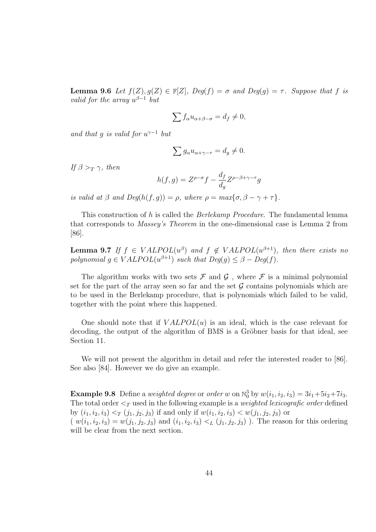**Lemma 9.6** Let  $f(Z), g(Z) \in \mathbb{F}[Z],$  Deg(f) =  $\sigma$  and Deg(g) =  $\tau$ . Suppose that f is valid for the array  $u^{\beta-1}$  but

$$
\sum f_{\alpha} u_{\alpha+\beta-\sigma} = d_f \neq 0,
$$

and that g is valid for  $u^{\gamma-1}$  but

$$
\sum g_{\alpha} u_{\alpha+\gamma-\tau} = d_g \neq 0.
$$

If  $\beta >_T \gamma$ , then

$$
h(f,g) = Z^{\rho-\sigma}f - \frac{d_f}{d_g} Z^{\rho-\beta+\gamma-\tau}g
$$

is valid at  $\beta$  and  $Deg(h(f, g)) = \rho$ , where  $\rho = max\{\sigma, \beta - \gamma + \tau\}.$ 

This construction of h is called the Berlekamp Procedure. The fundamental lemma that corresponds to Massey's Theorem in the one-dimensional case is Lemma 2 from [86].

**Lemma 9.7** If  $f \in VALPOL(u^{\beta})$  and  $f \notin VALPOL(u^{\beta+1})$ , then there exists no polynomial  $g \in VALPOL(u^{\beta+1})$  such that  $Deg(g) \leq \beta - Deg(f)$ .

The algorithm works with two sets  $\mathcal F$  and  $\mathcal G$ , where  $\mathcal F$  is a minimal polynomial set for the part of the array seen so far and the set  $G$  contains polynomials which are to be used in the Berlekamp procedure, that is polynomials which failed to be valid, together with the point where this happened.

One should note that if  $VALPOL(u)$  is an ideal, which is the case relevant for decoding, the output of the algorithm of BMS is a Gröbner basis for that ideal, see Section 11.

We will not present the algorithm in detail and refer the interested reader to [86]. See also [84]. However we do give an example.

**Example 9.8** Define a *weighted degree* or *order* w on  $\mathbb{N}_0^3$  by  $w(i_1, i_2, i_3) = 3i_1+5i_2+7i_3$ . The total order  $\leq_T$  used in the following example is a *weighted lexicografic order* defined by  $(i_1, i_2, i_3) <_T (j_1, j_2, j_3)$  if and only if  $w(i_1, i_2, i_3) < w(j_1, j_2, j_3)$  or  $(w(i_1, i_2, i_3) = w(j_1, j_2, j_3)$  and  $(i_1, i_2, i_3) <_L (j_1, j_2, j_3)$ ). The reason for this ordering will be clear from the next section.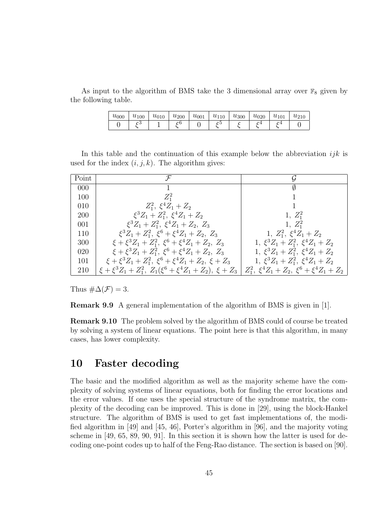As input to the algorithm of BMS take the 3 dimensional array over  $\mathbb{F}_8$  given by the following table.

| $u_{000}$ | $u_{100}$ | $u_{010}$ | $u_{200}$ | $u_{001}$ | $u_{110}$ | $u_{300}$ | $u_{020}$ | $u_{101}$ | $u_{210}$ |
|-----------|-----------|-----------|-----------|-----------|-----------|-----------|-----------|-----------|-----------|
|           |           |           |           |           |           |           |           |           |           |

In this table and the continuation of this example below the abbreviation  $ijk$  is used for the index  $(i, j, k)$ . The algorithm gives:

| Point      | $\mathcal F$                                                                                                                     | G                                          |
|------------|----------------------------------------------------------------------------------------------------------------------------------|--------------------------------------------|
| 000        |                                                                                                                                  | Ø                                          |
| 100        | $Z^2_1$                                                                                                                          |                                            |
| 010        | $Z_1^2$ , $\xi^4 Z_1 + Z_2$                                                                                                      |                                            |
| <b>200</b> | $\xi^3 Z_1 + Z_1^2$ , $\xi^4 Z_1 + Z_2$                                                                                          | $1, Z_1^2$                                 |
| 001        | $\xi^3 Z_1 + Z_1^2$ , $\xi^4 Z_1 + Z_2$ , $Z_3$                                                                                  | $1, Z_1^2$                                 |
| 110        | $\xi^3 Z_1 + Z_1^2$ , $\xi^6 + \xi^4 Z_1 + Z_2$ , $Z_3$                                                                          | 1, $Z_1^2$ , $\xi^4 Z_1 + Z_2$             |
| 300        | $\xi + \xi^3 Z_1 + Z_1^2$ , $\xi^6 + \xi^4 Z_1 + Z_2$ , $Z_3$                                                                    | 1, $\xi^3 Z_1 + Z_1^2$ , $\xi^4 Z_1 + Z_2$ |
| 020        | $\xi + \xi^3 Z_1 + Z_1^2$ , $\xi^6 + \xi^4 Z_1 + Z_2$ , $Z_3$                                                                    | 1, $\xi^3 Z_1 + Z_1^2$ , $\xi^4 Z_1 + Z_2$ |
| 101        | $\xi + \xi^3 Z_1 + Z_1^2$ , $\xi^6 + \xi^4 Z_1 + Z_2$ , $\xi + Z_3$                                                              | 1, $\xi^3 Z_1 + Z_1^2$ , $\xi^4 Z_1 + Z_2$ |
| 210        | $\xi + \xi^3 Z_1 + Z_1^2$ , $Z_1(\xi^6 + \xi^4 Z_1 + Z_2)$ , $\xi + Z_3   Z_1^2$ , $\xi^4 Z_1 + Z_2$ , $\xi^6 + \xi^4 Z_1 + Z_2$ |                                            |

Thus  $\#\Delta(\mathcal{F})=3$ .

Remark 9.9 A general implementation of the algorithm of BMS is given in [1].

Remark 9.10 The problem solved by the algorithm of BMS could of course be treated by solving a system of linear equations. The point here is that this algorithm, in many cases, has lower complexity.

### 10 Faster decoding

The basic and the modified algorithm as well as the majority scheme have the complexity of solving systems of linear equations, both for finding the error locations and the error values. If one uses the special structure of the syndrome matrix, the complexity of the decoding can be improved. This is done in [29], using the block-Hankel structure. The algorithm of BMS is used to get fast implementations of, the modified algorithm in [49] and [45, 46], Porter's algorithm in [96], and the majority voting scheme in [49, 65, 89, 90, 91]. In this section it is shown how the latter is used for decoding one-point codes up to half of the Feng-Rao distance. The section is based on [90].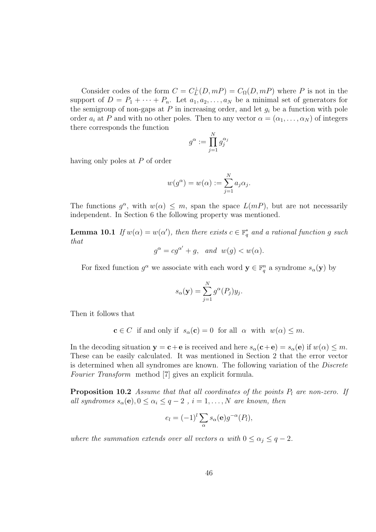Consider codes of the form  $C = C_L^{\perp}(D, mP) = C_{\Omega}(D, mP)$  where P is not in the support of  $D = P_1 + \cdots + P_n$ . Let  $a_1, a_2, \ldots, a_N$  be a minimal set of generators for the semigroup of non-gaps at  $P$  in increasing order, and let  $g_i$  be a function with pole order  $a_i$  at P and with no other poles. Then to any vector  $\alpha = (\alpha_1, \ldots, \alpha_N)$  of integers there corresponds the function

$$
g^{\alpha}:=\prod_{j=1}^Ng_j^{\alpha_j}
$$

having only poles at P of order

$$
w(g^{\alpha}) = w(\alpha) := \sum_{j=1}^{N} a_j \alpha_j.
$$

The functions  $g^{\alpha}$ , with  $w(\alpha) \leq m$ , span the space  $L(mP)$ , but are not necessarily independent. In Section 6 the following property was mentioned.

**Lemma 10.1** If  $w(\alpha) = w(\alpha')$ , then there exists  $c \in \mathbb{F}_q^*$  and a rational function g such that

$$
g^{\alpha} = cg^{\alpha'} + g, \quad and \quad w(g) < w(\alpha).
$$

For fixed function  $g^{\alpha}$  we associate with each word  $\mathbf{y} \in \mathbb{F}_q^n$  a syndrome  $s_{\alpha}(\mathbf{y})$  by

$$
s_{\alpha}(\mathbf{y}) = \sum_{j=1}^{N} g^{\alpha}(P_j) y_j.
$$

Then it follows that

 $c \in C$  if and only if  $s_\alpha(c) = 0$  for all  $\alpha$  with  $w(\alpha) \leq m$ .

In the decoding situation  $y = c + e$  is received and here  $s_\alpha(c+e) = s_\alpha(e)$  if  $w(\alpha) \leq m$ . These can be easily calculated. It was mentioned in Section 2 that the error vector is determined when all syndromes are known. The following variation of the Discrete Fourier Transform method [7] gives an explicit formula.

**Proposition 10.2** Assume that that all coordinates of the points  $P_l$  are non-zero. If all syndromes  $s_{\alpha}(\mathbf{e}), 0 \leq \alpha_i \leq q-2$ ,  $i = 1, ..., N$  are known, then

$$
e_l = (-1)^l \sum_{\alpha} s_{\alpha}(\mathbf{e}) g^{-\alpha}(P_l),
$$

where the summation extends over all vectors  $\alpha$  with  $0 \leq \alpha_i \leq q-2$ .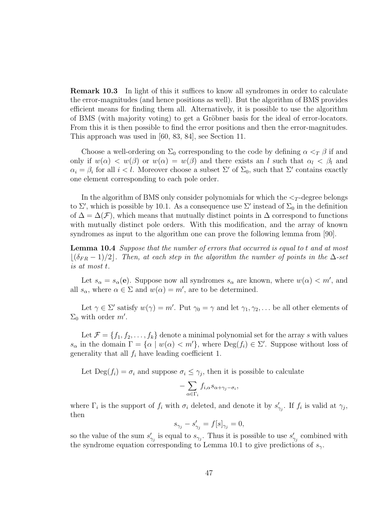Remark 10.3 In light of this it suffices to know all syndromes in order to calculate the error-magnitudes (and hence positions as well). But the algorithm of BMS provides efficient means for finding them all. Alternatively, it is possible to use the algorithm of BMS (with majority voting) to get a Gröbner basis for the ideal of error-locators. From this it is then possible to find the error positions and then the error-magnitudes. This approach was used in [60, 83, 84], see Section 11.

Choose a well-ordering on  $\Sigma_0$  corresponding to the code by defining  $\alpha <_T \beta$  if and only if  $w(\alpha) < w(\beta)$  or  $w(\alpha) = w(\beta)$  and there exists an l such that  $\alpha_l < \beta_l$  and  $\alpha_i = \beta_i$  for all  $i < l$ . Moreover choose a subset  $\Sigma'$  of  $\Sigma_0$ , such that  $\Sigma'$  contains exactly one element corresponding to each pole order.

In the algorithm of BMS only consider polynomials for which the  $\leq_T$ -degree belongs to  $\Sigma'$ , which is possible by 10.1. As a consequence use  $\Sigma'$  instead of  $\Sigma_0$  in the definition of  $\Delta = \Delta(\mathcal{F})$ , which means that mutually distinct points in  $\Delta$  correspond to functions with mutually distinct pole orders. With this modification, and the array of known syndromes as input to the algorithm one can prove the following lemma from [90].

Lemma 10.4 Suppose that the number of errors that occurred is equal to t and at most  $\lfloor(\delta_{FR}-1)/2\rfloor$ . Then, at each step in the algorithm the number of points in the  $\Delta$ -set is at most t.

Let  $s_{\alpha} = s_{\alpha}(\mathbf{e})$ . Suppose now all syndromes  $s_{\alpha}$  are known, where  $w(\alpha) < m'$ , and all  $s_{\alpha}$ , where  $\alpha \in \Sigma$  and  $w(\alpha) = m'$ , are to be determined.

Let  $\gamma \in \Sigma'$  satisfy  $w(\gamma) = m'$ . Put  $\gamma_0 = \gamma$  and let  $\gamma_1, \gamma_2, \dots$  be all other elements of  $\Sigma_0$  with order m'.

Let  $\mathcal{F} = \{f_1, f_2, \ldots, f_k\}$  denote a minimal polynomial set for the array s with values  $s_{\alpha}$  in the domain  $\Gamma = {\alpha | w(\alpha) < m' }$ , where  $\text{Deg}(f_i) \in \Sigma'$ . Suppose without loss of generality that all  $f_i$  have leading coefficient 1.

Let  $\text{Deg}(f_i) = \sigma_i$  and suppose  $\sigma_i \leq \gamma_j$ , then it is possible to calculate

$$
-\sum_{\alpha\in\Gamma_i}f_{i,\alpha}s_{\alpha+\gamma_j-\sigma_i},
$$

where  $\Gamma_i$  is the support of  $f_i$  with  $\sigma_i$  deleted, and denote it by  $s'_{\gamma_j}$ . If  $f_i$  is valid at  $\gamma_j$ , then

$$
s_{\gamma_j} - s'_{\gamma_j} = f[s]_{\gamma_j} = 0,
$$

so the value of the sum  $s'_{\gamma_j}$  is equal to  $s_{\gamma_j}$ . Thus it is possible to use  $s'_{\gamma_j}$  combined with the syndrome equation corresponding to Lemma 10.1 to give predictions of  $s_{\gamma}$ .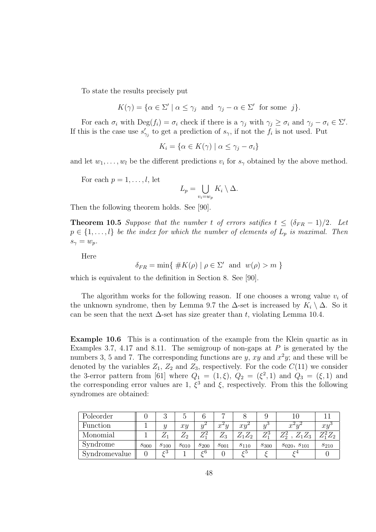To state the results precisely put

$$
K(\gamma) = \{ \alpha \in \Sigma' \mid \alpha \le \gamma_j \text{ and } \gamma_j - \alpha \in \Sigma' \text{ for some } j \}.
$$

For each  $\sigma_i$  with  $\text{Deg}(f_i) = \sigma_i$  check if there is a  $\gamma_j$  with  $\gamma_j \geq \sigma_i$  and  $\gamma_j - \sigma_i \in \Sigma'$ . If this is the case use  $s'_{\gamma_j}$  to get a prediction of  $s_{\gamma}$ , if not the  $f_i$  is not used. Put

$$
K_i = \{ \alpha \in K(\gamma) \mid \alpha \le \gamma_j - \sigma_i \}
$$

and let  $w_1, \ldots, w_l$  be the different predictions  $v_i$  for  $s_\gamma$  obtained by the above method.

For each  $p = 1, \ldots, l$ , let

$$
L_p = \bigcup_{v_i = w_p} K_i \setminus \Delta.
$$

Then the following theorem holds. See [90].

**Theorem 10.5** Suppose that the number t of errors satifies  $t \leq (\delta_{FR} - 1)/2$ . Let  $p \in \{1, \ldots, l\}$  be the index for which the number of elements of  $L_p$  is maximal. Then  $s_{\gamma} = w_p.$ 

Here

$$
\delta_{FR} = \min\{ \#K(\rho) \mid \rho \in \Sigma' \text{ and } w(\rho) > m \}
$$

which is equivalent to the definition in Section 8. See [90].

The algorithm works for the following reason. If one chooses a wrong value  $v_i$  of the unknown syndrome, then by Lemma 9.7 the  $\Delta$ -set is increased by  $K_i \setminus \Delta$ . So it can be seen that the next  $\Delta$ -set has size greater than t, violating Lemma 10.4.

Example 10.6 This is a continuation of the example from the Klein quartic as in Examples 3.7, 4.17 and 8.11. The semigroup of non-gaps at  $P$  is generated by the numbers 3, 5 and 7. The corresponding functions are  $y$ ,  $xy$  and  $x^2y$ ; and these will be denoted by the variables  $Z_1$ ,  $Z_2$  and  $Z_3$ , respectively. For the code  $C(11)$  we consider the 3-error pattern from [61] where  $Q_1 = (1, \xi), Q_2 = (\xi^2, 1)$  and  $Q_3 = (\xi, 1)$  and the corresponding error values are 1,  $\xi^3$  and  $\xi$ , respectively. From this the following syndromes are obtained:

| Poleorder     |           |           |            |           |            |           |                |                    |                   |
|---------------|-----------|-----------|------------|-----------|------------|-----------|----------------|--------------------|-------------------|
| Function      |           |           | xy         | $\Omega$  | $x^2y$     | xy        | $\overline{u}$ | $\sim$<br>w        | $x_{\mathcal{U}}$ |
| Monomial      |           |           | $\omega_2$ |           | $\omega_3$ | 2129      | 73             | $\omega_3$         | ∠ഗ                |
| Syndrome      | $s_{000}$ | $s_{100}$ | $s_{010}$  | $s_{200}$ | $s_{001}$  | $s_{110}$ | $s_{300}$      | $s_{020}, s_{101}$ | $s_{210}$         |
| Syndromevalue |           | 3ح        |            | ∼่        |            | ה –       |                |                    |                   |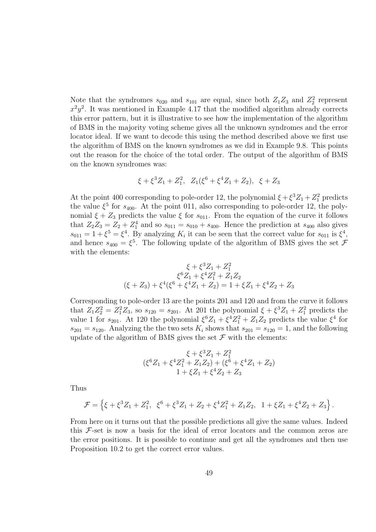Note that the syndromes  $s_{020}$  and  $s_{101}$  are equal, since both  $Z_1Z_3$  and  $Z_2^2$  represent  $x^2y^2$ . It was mentioned in Example 4.17 that the modified algorithm already corrects this error pattern, but it is illustrative to see how the implementation of the algorithm of BMS in the majority voting scheme gives all the unknown syndromes and the error locator ideal. If we want to decode this using the method described above we first use the algorithm of BMS on the known syndromes as we did in Example 9.8. This points out the reason for the choice of the total order. The output of the algorithm of BMS on the known syndromes was:

$$
\xi + \xi^3 Z_1 + Z_1^2
$$
,  $Z_1(\xi^6 + \xi^4 Z_1 + Z_2)$ ,  $\xi + Z_3$ 

At the point 400 corresponding to pole-order 12, the polynomial  $\xi + \xi^3 Z_1 + Z_1^2$  predicts the value  $\xi^5$  for  $s_{400}$ . At the point 011, also corresponding to pole-order 12, the polynomial  $\xi + Z_3$  predicts the value  $\xi$  for  $s_{011}$ . From the equation of the curve it follows that  $Z_2 Z_3 = Z_2 + Z_1^4$  and so  $s_{011} = s_{010} + s_{400}$ . Hence the prediction at  $s_{400}$  also gives  $s_{011} = 1 + \xi^5 = \xi^4$ . By analyzing  $K_i$  it can be seen that the correct value for  $s_{011}$  is  $\xi^4$ , and hence  $s_{400} = \xi^5$ . The following update of the algorithm of BMS gives the set  $\mathcal{F}$ with the elements:

$$
\xi + \xi^3 Z_1 + Z_1^2
$$
  

$$
\xi^6 Z_1 + \xi^4 Z_1^2 + Z_1 Z_2
$$
  

$$
(\xi + Z_3) + \xi^4 (\xi^6 + \xi^4 Z_1 + Z_2) = 1 + \xi Z_1 + \xi^4 Z_2 + Z_3
$$

Corresponding to pole-order 13 are the points 201 and 120 and from the curve it follows that  $Z_1 Z_2^2 = Z_1^2 Z_3$ , so  $s_{120} = s_{201}$ . At 201 the polynomial  $\xi + \xi^3 Z_1 + Z_1^2$  predicts the value 1 for  $s_{201}$ . At 120 the polynomial  $\xi^6 Z_1 + \xi^4 Z_1^2 + Z_1 Z_2$  predicts the value  $\xi^4$  for  $s_{201} = s_{120}$ . Analyzing the the two sets  $K_i$  shows that  $s_{201} = s_{120} = 1$ , and the following update of the algorithm of BMS gives the set  $\mathcal F$  with the elements:

$$
\begin{array}{c} \xi+\xi^3Z_1+Z_1^2\\ (\xi^6Z_1+\xi^4Z_1^2+Z_1Z_2)+(\xi^6+\xi^4Z_1+Z_2)\\ 1+\xi Z_1+\xi^4Z_2+Z_3 \end{array}
$$

Thus

$$
\mathcal{F} = \left\{ \xi + \xi^3 Z_1 + Z_1^2, \ \xi^6 + \xi^3 Z_1 + Z_2 + \xi^4 Z_1^2 + Z_1 Z_2, \ 1 + \xi Z_1 + \xi^4 Z_2 + Z_3 \right\}.
$$

From here on it turns out that the possible predictions all give the same values. Indeed this  $F$ -set is now a basis for the ideal of error locators and the common zeros are the error positions. It is possible to continue and get all the syndromes and then use Proposition 10.2 to get the correct error values.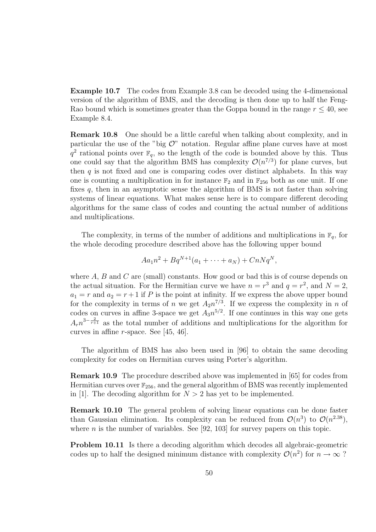Example 10.7 The codes from Example 3.8 can be decoded using the 4-dimensional version of the algorithm of BMS, and the decoding is then done up to half the Feng-Rao bound which is sometimes greater than the Goppa bound in the range  $r \leq 40$ , see Example 8.4.

Remark 10.8 One should be a little careful when talking about complexity, and in particular the use of the "big  $\mathcal{O}$ " notation. Regular affine plane curves have at most  $q^2$  rational points over  $\mathbb{F}_q$ , so the length of the code is bounded above by this. Thus one could say that the algorithm BMS has complexity  $\mathcal{O}(n^{7/3})$  for plane curves, but then  $q$  is not fixed and one is comparing codes over distinct alphabets. In this way one is counting a multiplication in for instance  $\mathbb{F}_2$  and in  $\mathbb{F}_{256}$  both as one unit. If one fixes q, then in an asymptotic sense the algorithm of BMS is not faster than solving systems of linear equations. What makes sense here is to compare different decoding algorithms for the same class of codes and counting the actual number of additions and multiplications.

The complexity, in terms of the number of additions and multiplications in  $\mathbb{F}_q$ , for the whole decoding procedure described above has the following upper bound

$$
Aa_1n^2 + Bq^{N+1}(a_1 + \dots + a_N) + CnNq^N,
$$

where  $A$ ,  $B$  and  $C$  are (small) constants. How good or bad this is of course depends on the actual situation. For the Hermitian curve we have  $n = r^3$  and  $q = r^2$ , and  $N = 2$ ,  $a_1 = r$  and  $a_2 = r + 1$  if P is the point at infinity. If we express the above upper bound for the complexity in terms of n we get  $A_2n^{7/3}$ . If we express the complexity in n of codes on curves in affine 3-space we get  $A_3 n^{5/2}$ . If one continues in this way one gets  $A_r n^{3-\frac{2}{r+1}}$  as the total number of additions and multiplications for the algorithm for curves in affine r-space. See [45, 46].

The algorithm of BMS has also been used in [96] to obtain the same decoding complexity for codes on Hermitian curves using Porter's algorithm.

Remark 10.9 The procedure described above was implemented in [65] for codes from Hermitian curves over  $\mathbb{F}_{256}$ , and the general algorithm of BMS was recently implemented in [1]. The decoding algorithm for  $N > 2$  has yet to be implemented.

Remark 10.10 The general problem of solving linear equations can be done faster than Gaussian elimination. Its complexity can be reduced from  $\mathcal{O}(n^3)$  to  $\mathcal{O}(n^{2.38})$ , where *n* is the number of variables. See [92, 103] for survey papers on this topic.

Problem 10.11 Is there a decoding algorithm which decodes all algebraic-geometric codes up to half the designed minimum distance with complexity  $\mathcal{O}(n^2)$  for  $n \to \infty$ ?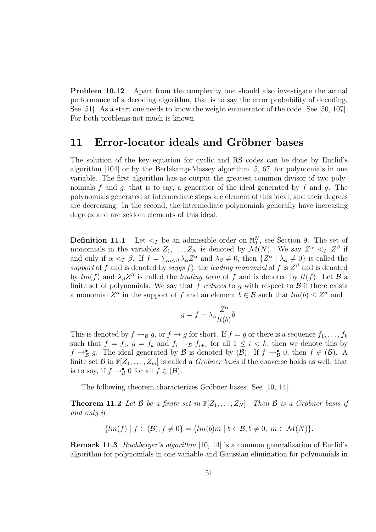Problem 10.12 Apart from the complexity one should also investigate the actual performance of a decoding algorithm, that is to say the error probability of decoding. See [51]. As a start one needs to know the weight enumerator of the code. See [50, 107]. For both problems not much is known.

### 11 Error-locator ideals and Gröbner bases

The solution of the key equation for cyclic and RS codes can be done by Euclid's algorithm [104] or by the Berlekamp-Massey algorithm [5, 67] for polynomials in one variable. The first algorithm has as output the greatest common divisor of two polynomials f and g, that is to say, a generator of the ideal generated by f and g. The polynomials generated at intermediate steps are element of this ideal, and their degrees are decreasing. In the second, the intermediate polynomials generally have increasing degrees and are seldom elements of this ideal.

**Definition 11.1** Let  $\lt_T$  be an admissible order on  $\mathbb{N}_0^N$ , see Section 9. The set of monomials in the variables  $Z_1, \ldots, Z_N$  is denoted by  $\mathcal{M}(N)$ . We say  $Z^{\alpha} \leq_T Z^{\beta}$  if and only if  $\alpha <_T \beta$ . If  $f = \sum_{\alpha \leq \beta} \lambda_{\alpha} Z^{\alpha}$  and  $\lambda_{\beta} \neq 0$ , then  $\{Z^{\alpha} \mid \lambda_{\alpha} \neq 0\}$  is called the support of f and is denoted by  $\overline{supp}(f)$ , the leading monomial of f is  $Z^{\beta}$  and is denoted by  $lm(f)$  and  $\lambda_{\beta}Z^{\beta}$  is called the *leading term* of f and is denoted by  $lt(f)$ . Let B a finite set of polynomials. We say that  $f$  reduces to  $g$  with respect to  $B$  if there exists a monomial  $Z^{\alpha}$  in the support of f and an element  $b \in \mathcal{B}$  such that  $lm(b) \leq Z^{\alpha}$  and

$$
g = f - \lambda_{\alpha} \frac{Z^{\alpha}}{lt(b)} b.
$$

This is denoted by  $f \rightarrow g g$ , or  $f \rightarrow g$  for short. If  $f = g$  or there is a sequence  $f_1, \ldots, f_k$ such that  $f = f_1$ ,  $g = f_k$  and  $f_i \rightarrow_{\mathcal{B}} f_{i+1}$  for all  $1 \leq i \leq k$ , then we denote this by  $f \rightarrow_B^{\bullet} g$ . The ideal generated by  $\mathcal{B}$  is denoted by  $(\mathcal{B})$ . If  $f \rightarrow_B^{\bullet} 0$ , then  $f \in (\mathcal{B})$ . A finite set B in  $\mathbb{F}[Z_1,\ldots,Z_m]$  is called a *Gröbner basis* if the converse holds as well; that is to say, if  $f \to_B^{\bullet} 0$  for all  $f \in (\mathcal{B})$ .

The following theorem characterizes Gröbner bases. See [10, 14].

**Theorem 11.2** Let B be a finite set in  $\mathbb{F}[Z_1, \ldots, Z_N]$ . Then B is a Gröbner basis if and only if

$$
\{lm(f) | f \in (\mathcal{B}), f \neq 0\} = \{lm(b)m | b \in \mathcal{B}, b \neq 0, m \in \mathcal{M}(N)\}.
$$

Remark 11.3 *Buchberger's algorithm* [10, 14] is a common generalization of Euclid's algorithm for polynomials in one variable and Gaussian elimination for polynomials in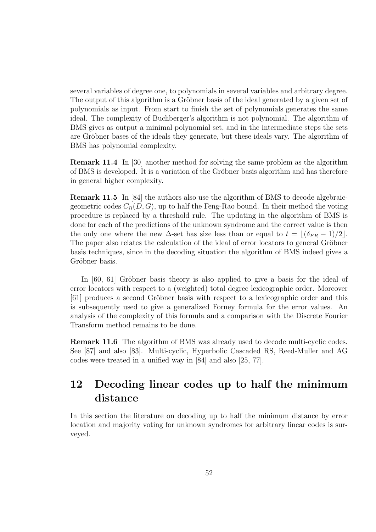several variables of degree one, to polynomials in several variables and arbitrary degree. The output of this algorithm is a Gröbner basis of the ideal generated by a given set of polynomials as input. From start to finish the set of polynomials generates the same ideal. The complexity of Buchberger's algorithm is not polynomial. The algorithm of BMS gives as output a minimal polynomial set, and in the intermediate steps the sets are Gröbner bases of the ideals they generate, but these ideals vary. The algorithm of BMS has polynomial complexity.

Remark 11.4 In [30] another method for solving the same problem as the algorithm of BMS is developed. It is a variation of the Gröbner basis algorithm and has therefore in general higher complexity.

Remark 11.5 In [84] the authors also use the algorithm of BMS to decode algebraicgeometric codes  $C_{\Omega}(D, G)$ , up to half the Feng-Rao bound. In their method the voting procedure is replaced by a threshold rule. The updating in the algorithm of BMS is done for each of the predictions of the unknown syndrome and the correct value is then the only one where the new  $\Delta$ -set has size less than or equal to  $t = |(\delta_{FR} - 1)/2|$ . The paper also relates the calculation of the ideal of error locators to general Gröbner basis techniques, since in the decoding situation the algorithm of BMS indeed gives a Gröbner basis.

In  $[60, 61]$  Gröbner basis theory is also applied to give a basis for the ideal of error locators with respect to a (weighted) total degree lexicographic order. Moreover [61] produces a second Gröbner basis with respect to a lexicographic order and this is subsequently used to give a generalized Forney formula for the error values. An analysis of the complexity of this formula and a comparison with the Discrete Fourier Transform method remains to be done.

Remark 11.6 The algorithm of BMS was already used to decode multi-cyclic codes. See [87] and also [83]. Multi-cyclic, Hyperbolic Cascaded RS, Reed-Muller and AG codes were treated in a unified way in [84] and also [25, 77].

## 12 Decoding linear codes up to half the minimum distance

In this section the literature on decoding up to half the minimum distance by error location and majority voting for unknown syndromes for arbitrary linear codes is surveyed.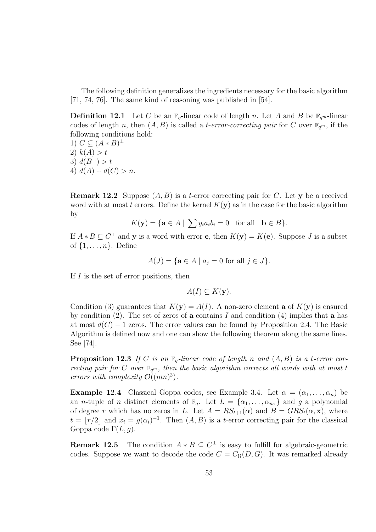The following definition generalizes the ingredients necessary for the basic algorithm [71, 74, 76]. The same kind of reasoning was published in [54].

**Definition 12.1** Let C be an  $\mathbb{F}_q$ -linear code of length n. Let A and B be  $\mathbb{F}_{q^m}$ -linear codes of length n, then  $(A, B)$  is called a *t-error-correcting pair* for C over  $\mathbb{F}_{q^m}$ , if the following conditions hold:

1)  $C \subseteq (A * B)^{\perp}$ 2)  $k(A) > t$ 3)  $d(B^{\perp}) > t$ 4)  $d(A) + d(C) > n$ .

**Remark 12.2** Suppose  $(A, B)$  is a *t*-error correcting pair for C. Let y be a received word with at most t errors. Define the kernel  $K(\mathbf{y})$  as in the case for the basic algorithm by

$$
K(\mathbf{y}) = \{ \mathbf{a} \in A \mid \sum y_i a_i b_i = 0 \text{ for all } \mathbf{b} \in B \}.
$$

If  $A * B \subseteq C^{\perp}$  and **y** is a word with error **e**, then  $K(y) = K(e)$ . Suppose *J* is a subset of  $\{1, \ldots, n\}$ . Define

$$
A(J) = \{ \mathbf{a} \in A \mid a_j = 0 \text{ for all } j \in J \}.
$$

If  $I$  is the set of error positions, then

$$
A(I) \subseteq K(\mathbf{y}).
$$

Condition (3) guarantees that  $K(y) = A(I)$ . A non-zero element **a** of  $K(y)$  is ensured by condition (2). The set of zeros of a contains I and condition (4) implies that a has at most  $d(C) - 1$  zeros. The error values can be found by Proposition 2.4. The Basic Algorithm is defined now and one can show the following theorem along the same lines. See [74].

**Proposition 12.3** If C is an  $\mathbb{F}_q$ -linear code of length n and  $(A, B)$  is a t-error correcting pair for C over  $\mathbb{F}_{q^m}$ , then the basic algorithm corrects all words with at most t errors with complexity  $\mathcal{O}((mn)^3)$ .

**Example 12.4** Classical Goppa codes, see Example 3.4. Let  $\alpha = (\alpha_1, \ldots, \alpha_n)$  be an *n*-tuple of *n* distinct elements of  $\mathbb{F}_q$ . Let  $L = {\alpha_1, ..., \alpha_n}$  and g a polynomial of degree r which has no zeros in L. Let  $A = RS_{t+1}(\alpha)$  and  $B = GRS_t(\alpha, \mathbf{x})$ , where  $t = \lfloor r/2 \rfloor$  and  $x_i = g(\alpha_i)^{-1}$ . Then  $(A, B)$  is a t-error correcting pair for the classical Goppa code  $\Gamma(L, g)$ .

**Remark 12.5** The condition  $A * B \subseteq C^{\perp}$  is easy to fulfill for algebraic-geometric codes. Suppose we want to decode the code  $C = C_{\Omega}(D, G)$ . It was remarked already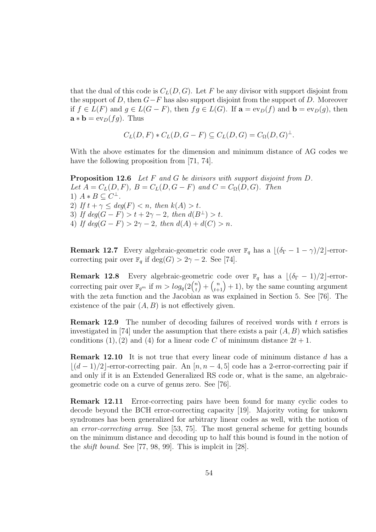that the dual of this code is  $C<sub>L</sub>(D, G)$ . Let F be any divisor with support disjoint from the support of D, then  $G-F$  has also support disjoint from the support of D. Moreover if  $f \in L(F)$  and  $g \in L(G - F)$ , then  $fg \in L(G)$ . If  $\mathbf{a} = \text{ev}_D(f)$  and  $\mathbf{b} = \text{ev}_D(g)$ , then  $\mathbf{a} * \mathbf{b} = \exp(fg)$ . Thus

$$
C_L(D, F) * C_L(D, G - F) \subseteq C_L(D, G) = C_{\Omega}(D, G)^{\perp}.
$$

With the above estimates for the dimension and minimum distance of AG codes we have the following proposition from [71, 74].

Proposition 12.6 Let F and G be divisors with support disjoint from D. Let  $A = C<sub>L</sub>(D, F)$ ,  $B = C<sub>L</sub>(D, G - F)$  and  $C = C<sub>Ω</sub>(D, G)$ . Then 1)  $A * B \subseteq C^{\perp}$ . 2) If  $t + \gamma \leq deg(F) \leq n$ , then  $k(A) > t$ . 3) If  $deg(G - F) > t + 2\gamma - 2$ , then  $d(B^{\perp}) > t$ . 4) If  $deg(G - F) > 2\gamma - 2$ , then  $d(A) + d(C) > n$ .

**Remark 12.7** Every algebraic-geometric code over  $\mathbb{F}_q$  has a  $\lfloor (\delta_{\Gamma} - 1 - \gamma)/2 \rfloor$ -errorcorrecting pair over  $\mathbb{F}_q$  if  $\text{deg}(G) > 2\gamma - 2$ . See [74].

**Remark 12.8** Every algebraic-geometric code over  $\mathbb{F}_q$  has a  $\lfloor (\delta_{\Gamma} - 1)/2 \rfloor$ -errorcorrecting pair over  $\mathbb{F}_{q^m}$  if  $m > log_q(2\binom{n}{t})$ t  $\binom{n}{t+1} + 1$ , by the same counting argument with the zeta function and the Jacobian as was explained in Section 5. See [76]. The existence of the pair  $(A, B)$  is not effectively given.

Remark 12.9 The number of decoding failures of received words with t errors is investigated in [74] under the assumption that there exists a pair  $(A, B)$  which satisfies conditions (1), (2) and (4) for a linear code C of minimum distance  $2t + 1$ .

**Remark 12.10** It is not true that every linear code of minimum distance d has a  $|(d-1)/2|$ -error-correcting pair. An [n, n – 4, 5] code has a 2-error-correcting pair if and only if it is an Extended Generalized RS code or, what is the same, an algebraicgeometric code on a curve of genus zero. See [76].

Remark 12.11 Error-correcting pairs have been found for many cyclic codes to decode beyond the BCH error-correcting capacity [19]. Majority voting for unkown syndromes has been generalized for arbitrary linear codes as well, with the notion of an error-correcting array. See [53, 75]. The most general scheme for getting bounds on the minimum distance and decoding up to half this bound is found in the notion of the shift bound. See [77, 98, 99]. This is implcit in [28].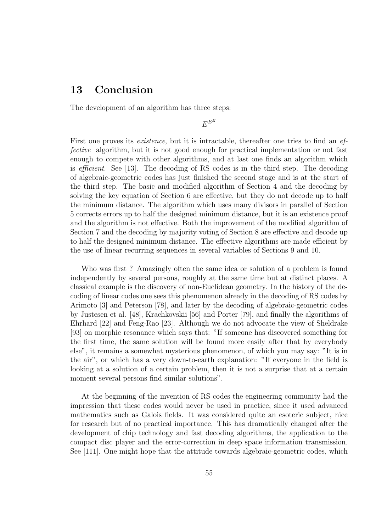### 13 Conclusion

The development of an algorithm has three steps:

 $E^{E^E}$ 

First one proves its *existence*, but it is intractable, thereafter one tries to find an *ef*fective algorithm, but it is not good enough for practical implementation or not fast enough to compete with other algorithms, and at last one finds an algorithm which is efficient. See [13]. The decoding of RS codes is in the third step. The decoding of algebraic-geometric codes has just finished the second stage and is at the start of the third step. The basic and modified algorithm of Section 4 and the decoding by solving the key equation of Section 6 are effective, but they do not decode up to half the minimum distance. The algorithm which uses many divisors in parallel of Section 5 corrects errors up to half the designed minimum distance, but it is an existence proof and the algorithm is not effective. Both the improvement of the modified algorithm of Section 7 and the decoding by majority voting of Section 8 are effective and decode up to half the designed minimum distance. The effective algorithms are made efficient by the use of linear recurring sequences in several variables of Sections 9 and 10.

Who was first ? Amazingly often the same idea or solution of a problem is found independently by several persons, roughly at the same time but at distinct places. A classical example is the discovery of non-Euclidean geometry. In the history of the decoding of linear codes one sees this phenomenon already in the decoding of RS codes by Arimoto [3] and Peterson [78], and later by the decoding of algebraic-geometric codes by Justesen et al. [48], Krachkovskii [56] and Porter [79], and finally the algorithms of Ehrhard [22] and Feng-Rao [23]. Although we do not advocate the view of Sheldrake [93] on morphic resonance which says that: "If someone has discovered something for the first time, the same solution will be found more easily after that by everybody else", it remains a somewhat mysterious phenomenon, of which you may say: "It is in the air", or which has a very down-to-earth explanation: "If everyone in the field is looking at a solution of a certain problem, then it is not a surprise that at a certain moment several persons find similar solutions".

At the beginning of the invention of RS codes the engineering community had the impression that these codes would never be used in practice, since it used advanced mathematics such as Galois fields. It was considered quite an esoteric subject, nice for research but of no practical importance. This has dramatically changed after the development of chip technology and fast decoding algorithms, the application to the compact disc player and the error-correction in deep space information transmission. See [111]. One might hope that the attitude towards algebraic-geometric codes, which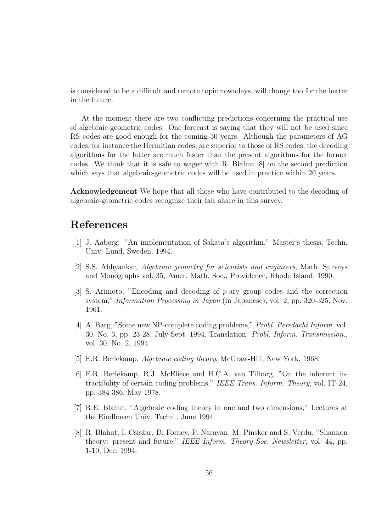is considered to be a difficult and remote topic nowadays, will change too for the better in the future.

At the moment there are two conflicting predictions concerning the practical use of algebraic-geometric codes. One forecast is saying that they will not be used since RS codes are good enough for the coming 50 years. Although the parameters of AG codes, for instance the Hermitian codes, are superior to those of RS codes, the decoding algorithms for the latter are much faster than the present algorithms for the former codes. We think that it is safe to wager with R. Blahut [8] on the second prediction which says that algebraic-geometric codes will be used in practice within 20 years.

Acknowledgement We hope that all those who have contributed to the decoding of algebraic-geometric codes recognize their fair share in this survey.

### References

- [1] J. Aaberg: "An implementation of Sakata's algorithm," Master's thesis, Techn. Univ. Lund. Sweden, 1994.
- [2] S.S. Abhyankar, Algebraic geometry for scientists and engineers, Math. Surveys and Monographs vol. 35, Amer. Math. Soc., Providence, Rhode Island, 1990.
- [3] S. Arimoto, "Encoding and decoding of p-ary group codes and the correction system," Information Processing in Japan (in Japanese), vol. 2, pp. 320-325, Nov. 1961.
- [4] A. Barg, "Some new NP-complete coding problems," Probl. Peredachi Inform. vol. 30, No. 3, pp. 23-28, July-Sept. 1994. Translation: Probl. Inform. Transmission., vol. 30, No. 2, 1994.
- [5] E.R. Berlekamp, Algebraic coding theory, McGraw-Hill, New York, 1968.
- [6] E.R. Berlekamp, R.J. McEliece and H.C.A. van Tilborg, "On the inherent intractibility of certain coding problems," IEEE Trans. Inform. Theory, vol. IT-24, pp. 384-386, May 1978.
- [7] R.E. Blahut, "Algebraic coding theory in one and two dimensions," Lectures at the Eindhoven Univ. Techn., June 1994.
- [8] R. Blahut, I. Csiszar, D. Forney, P. Narayan, M. Pinsker and S. Verdu, "Shannon theory: present and future," IEEE Inform. Theory Soc. Newsletter, vol. 44, pp. 1-10, Dec. 1994.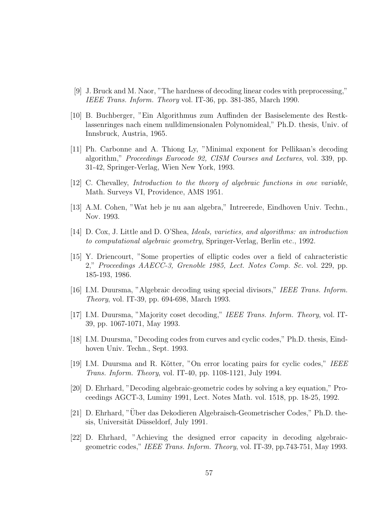- [9] J. Bruck and M. Naor, "The hardness of decoding linear codes with preprocessing," IEEE Trans. Inform. Theory vol. IT-36, pp. 381-385, March 1990.
- [10] B. Buchberger, "Ein Algorithmus zum Auffinden der Basiselemente des Restklassenringes nach einem nulldimensionalen Polynomideal," Ph.D. thesis, Univ. of Innsbruck, Austria, 1965.
- [11] Ph. Carbonne and A. Thiong Ly, "Minimal exponent for Pellikaan's decoding algorithm," Proceedings Eurocode 92, CISM Courses and Lectures, vol. 339, pp. 31-42, Springer-Verlag, Wien New York, 1993.
- [12] C. Chevalley, Introduction to the theory of algebraic functions in one variable, Math. Surveys VI, Providence, AMS 1951.
- [13] A.M. Cohen, "Wat heb je nu aan algebra," Intreerede, Eindhoven Univ. Techn., Nov. 1993.
- [14] D. Cox, J. Little and D. O'Shea, Ideals, varieties, and algorithms: an introduction to computational algebraic geometry, Springer-Verlag, Berlin etc., 1992.
- [15] Y. Driencourt, "Some properties of elliptic codes over a field of cahracteristic 2," Proceedings AAECC-3, Grenoble 1985, Lect. Notes Comp. Sc. vol. 229, pp. 185-193, 1986.
- [16] I.M. Duursma, "Algebraic decoding using special divisors," IEEE Trans. Inform. Theory, vol. IT-39, pp. 694-698, March 1993.
- [17] I.M. Duursma, "Majority coset decoding," IEEE Trans. Inform. Theory, vol. IT-39, pp. 1067-1071, May 1993.
- [18] I.M. Duursma, "Decoding codes from curves and cyclic codes," Ph.D. thesis, Eindhoven Univ. Techn., Sept. 1993.
- [19] I.M. Duursma and R. Kötter, "On error locating pairs for cyclic codes," IEEE Trans. Inform. Theory, vol. IT-40, pp. 1108-1121, July 1994.
- [20] D. Ehrhard, "Decoding algebraic-geometric codes by solving a key equation," Proceedings AGCT-3, Luminy 1991, Lect. Notes Math. vol. 1518, pp. 18-25, 1992.
- [21] D. Ehrhard, "Uber das Dekodieren Algebraisch-Geometrischer Codes," Ph.D. the- ¨ sis, Universität Düsseldorf, July 1991.
- [22] D. Ehrhard, "Achieving the designed error capacity in decoding algebraicgeometric codes," IEEE Trans. Inform. Theory, vol. IT-39, pp.743-751, May 1993.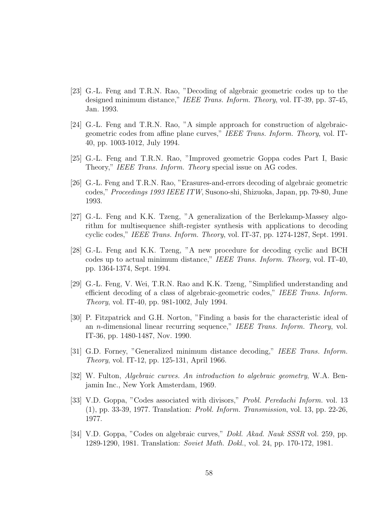- [23] G.-L. Feng and T.R.N. Rao, "Decoding of algebraic geometric codes up to the designed minimum distance," IEEE Trans. Inform. Theory, vol. IT-39, pp. 37-45, Jan. 1993.
- [24] G.-L. Feng and T.R.N. Rao, "A simple approach for construction of algebraicgeometric codes from affine plane curves," IEEE Trans. Inform. Theory, vol. IT-40, pp. 1003-1012, July 1994.
- [25] G.-L. Feng and T.R.N. Rao, "Improved geometric Goppa codes Part I, Basic Theory," IEEE Trans. Inform. Theory special issue on AG codes.
- [26] G.-L. Feng and T.R.N. Rao, "Erasures-and-errors decoding of algebraic geometric codes," Proceedings 1993 IEEE ITW, Susono-shi, Shizuoka, Japan, pp. 79-80, June 1993.
- [27] G.-L. Feng and K.K. Tzeng, "A generalization of the Berlekamp-Massey algorithm for multisequence shift-register synthesis with applications to decoding cyclic codes," IEEE Trans. Inform. Theory, vol. IT-37, pp. 1274-1287, Sept. 1991.
- [28] G.-L. Feng and K.K. Tzeng, "A new procedure for decoding cyclic and BCH codes up to actual minimum distance," IEEE Trans. Inform. Theory, vol. IT-40, pp. 1364-1374, Sept. 1994.
- [29] G.-L. Feng, V. Wei, T.R.N. Rao and K.K. Tzeng, "Simplified understanding and efficient decoding of a class of algebraic-geometric codes," IEEE Trans. Inform. Theory, vol. IT-40, pp. 981-1002, July 1994.
- [30] P. Fitzpatrick and G.H. Norton, "Finding a basis for the characteristic ideal of an n-dimensional linear recurring sequence," IEEE Trans. Inform. Theory, vol. IT-36, pp. 1480-1487, Nov. 1990.
- [31] G.D. Forney, "Generalized minimum distance decoding," IEEE Trans. Inform. Theory, vol. IT-12, pp. 125-131, April 1966.
- [32] W. Fulton, Algebraic curves. An introduction to algebraic geometry, W.A. Benjamin Inc., New York Amsterdam, 1969.
- [33] V.D. Goppa, "Codes associated with divisors," Probl. Peredachi Inform. vol. 13 (1), pp. 33-39, 1977. Translation: Probl. Inform. Transmission, vol. 13, pp. 22-26, 1977.
- [34] V.D. Goppa, "Codes on algebraic curves," Dokl. Akad. Nauk SSSR vol. 259, pp. 1289-1290, 1981. Translation: Soviet Math. Dokl., vol. 24, pp. 170-172, 1981.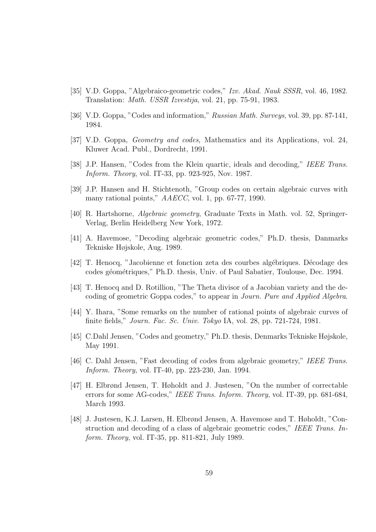- [35] V.D. Goppa, "Algebraico-geometric codes," Izv. Akad. Nauk SSSR, vol. 46, 1982. Translation: Math. USSR Izvestija, vol. 21, pp. 75-91, 1983.
- [36] V.D. Goppa, "Codes and information," Russian Math. Surveys, vol. 39, pp. 87-141, 1984.
- [37] V.D. Goppa, Geometry and codes, Mathematics and its Applications, vol. 24, Kluwer Acad. Publ., Dordrecht, 1991.
- [38] J.P. Hansen, "Codes from the Klein quartic, ideals and decoding," IEEE Trans. Inform. Theory, vol. IT-33, pp. 923-925, Nov. 1987.
- [39] J.P. Hansen and H. Stichtenoth, "Group codes on certain algebraic curves with many rational points,"  $AAECC$ , vol. 1, pp. 67-77, 1990.
- [40] R. Hartshorne, Algebraic geometry, Graduate Texts in Math. vol. 52, Springer-Verlag, Berlin Heidelberg New York, 1972.
- [41] A. Havemose, "Decoding algebraic geometric codes," Ph.D. thesis, Danmarks Tekniske Højskole, Aug. 1989.
- [42] T. Henocq, "Jacobienne et fonction zeta des courbes algébriques. Décodage des codes géométriques," Ph.D. thesis, Univ. of Paul Sabatier, Toulouse, Dec. 1994.
- [43] T. Henocq and D. Rotillion, "The Theta divisor of a Jacobian variety and the decoding of geometric Goppa codes," to appear in Journ. Pure and Applied Algebra.
- [44] Y. Ihara, "Some remarks on the number of rational points of algebraic curves of finite fields," Journ. Fac. Sc. Univ. Tokyo IA, vol. 28, pp. 721-724, 1981.
- [45] C.Dahl Jensen, "Codes and geometry," Ph.D. thesis, Denmarks Tekniske Højskole, May 1991.
- [46] C. Dahl Jensen, "Fast decoding of codes from algebraic geometry," IEEE Trans. Inform. Theory, vol. IT-40, pp. 223-230, Jan. 1994.
- [47] H. Elbrønd Jensen, T. Høholdt and J. Justesen, "On the number of correctable errors for some AG-codes," IEEE Trans. Inform. Theory, vol. IT-39, pp. 681-684, March 1993.
- [48] J. Justesen, K.J. Larsen, H. Elbrønd Jensen, A. Havemose and T. Høholdt, "Construction and decoding of a class of algebraic geometric codes," IEEE Trans. Inform. Theory, vol. IT-35, pp. 811-821, July 1989.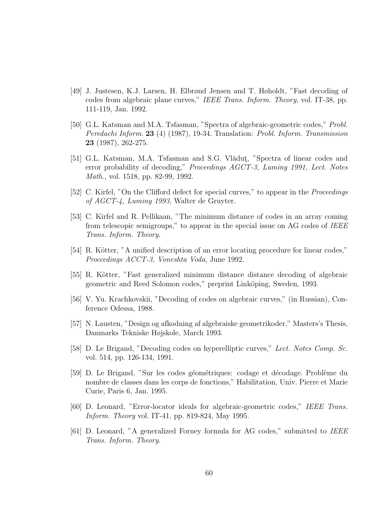- [49] J. Justesen, K.J. Larsen, H. Elbrønd Jensen and T. Høholdt, "Fast decoding of codes from algebraic plane curves," IEEE Trans. Inform. Theory, vol. IT-38, pp. 111-119, Jan. 1992.
- [50] G.L. Katsman and M.A. Tsfasman, "Spectra of algebraic-geometric codes," Probl. Peredachi Inform. 23 (4) (1987), 19-34. Translation: Probl. Inform. Transmission 23 (1987), 262-275.
- [51] G.L. Katsman, M.A. Tsfasman and S.G. Vlăduț, "Spectra of linear codes and error probability of decoding," Proceedings AGCT-3, Luminy 1991, Lect. Notes Math., vol. 1518, pp. 82-99, 1992.
- [52] C. Kirfel, "On the Clifford defect for special curves," to appear in the *Proceedings* of AGCT-4, Luminy 1993, Walter de Gruyter.
- [53] C. Kirfel and R. Pellikaan, "The minimum distance of codes in an array coming from telescopic semigroups," to appear in the special issue on AG codes of IEEE Trans. Inform. Theory.
- [54] R. Kötter, "A unified description of an error locating procedure for linear codes," Proceedings ACCT-3, Voneshta Voda, June 1992.
- [55] R. Kötter, "Fast generalized minimum distance distance decoding of algebraic geometric and Reed Solomon codes," preprint Linköping, Sweden, 1993.
- [56] V. Yu. Krachkovskii, "Decoding of codes on algebraic curves," (in Russian), Conference Odessa, 1988.
- [57] N. Lausten, "Design og afkodning af algebraiske geometrikoder," Masters's Thesis, Danmarks Tekniske Højskole, March 1993.
- [58] D. Le Brigand, "Decoding codes on hyperelliptic curves," Lect. Notes Comp. Sc. vol. 514, pp. 126-134, 1991.
- [59] D. Le Brigand, "Sur les codes géométriques: codage et décodage. Problème du nombre de classes dans les corps de fonctions," Habilitation, Univ. Pierre et Marie Curie, Paris 6, Jan. 1995.
- [60] D. Leonard, "Error-locator ideals for algebraic-geometric codes," IEEE Trans. Inform. Theory vol. IT-41, pp. 819-824, May 1995.
- [61] D. Leonard, "A generalized Forney formula for AG codes," submitted to IEEE Trans. Inform. Theory.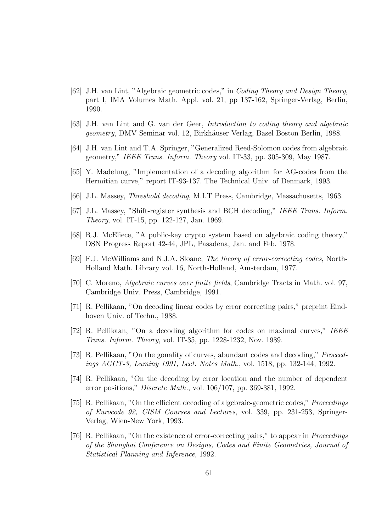- [62] J.H. van Lint, "Algebraic geometric codes," in Coding Theory and Design Theory, part I, IMA Volumes Math. Appl. vol. 21, pp 137-162, Springer-Verlag, Berlin, 1990.
- [63] J.H. van Lint and G. van der Geer, Introduction to coding theory and algebraic geometry, DMV Seminar vol. 12, Birkhäuser Verlag, Basel Boston Berlin, 1988.
- [64] J.H. van Lint and T.A. Springer, "Generalized Reed-Solomon codes from algebraic geometry," IEEE Trans. Inform. Theory vol. IT-33, pp. 305-309, May 1987.
- [65] Y. Madelung, "Implementation of a decoding algorithm for AG-codes from the Hermitian curve," report IT-93-137. The Technical Univ. of Denmark, 1993.
- [66] J.L. Massey, Threshold decoding, M.I.T Press, Cambridge, Massachusetts, 1963.
- [67] J.L. Massey, "Shift-register synthesis and BCH decoding," IEEE Trans. Inform. Theory, vol. IT-15, pp. 122-127, Jan. 1969.
- [68] R.J. McEliece, "A public-key crypto system based on algebraic coding theory," DSN Progress Report 42-44, JPL, Pasadena, Jan. and Feb. 1978.
- [69] F.J. McWilliams and N.J.A. Sloane, The theory of error-correcting codes, North-Holland Math. Library vol. 16, North-Holland, Amsterdam, 1977.
- [70] C. Moreno, Algebraic curves over finite fields, Cambridge Tracts in Math. vol. 97, Cambridge Univ. Press, Cambridge, 1991.
- [71] R. Pellikaan, "On decoding linear codes by error correcting pairs," preprint Eindhoven Univ. of Techn., 1988.
- [72] R. Pellikaan, "On a decoding algorithm for codes on maximal curves," IEEE Trans. Inform. Theory, vol. IT-35, pp. 1228-1232, Nov. 1989.
- [73] R. Pellikaan, "On the gonality of curves, abundant codes and decoding," Proceedings AGCT-3, Luminy 1991, Lect. Notes Math., vol. 1518, pp. 132-144, 1992.
- [74] R. Pellikaan, "On the decoding by error location and the number of dependent error positions," Discrete Math., vol. 106/107, pp. 369-381, 1992.
- [75] R. Pellikaan, "On the efficient decoding of algebraic-geometric codes," Proceedings of Eurocode 92, CISM Courses and Lectures, vol. 339, pp. 231-253, Springer-Verlag, Wien-New York, 1993.
- [76] R. Pellikaan, "On the existence of error-correcting pairs," to appear in Proceedings of the Shanghai Conference on Designs, Codes and Finite Geometries, Journal of Statistical Planning and Inference, 1992.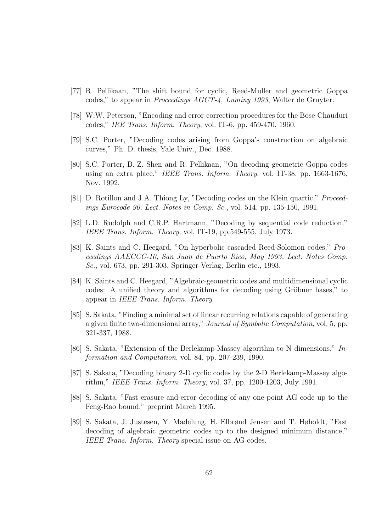- [77] R. Pellikaan, "The shift bound for cyclic, Reed-Muller and geometric Goppa codes," to appear in Proceedings AGCT-4, Luminy 1993, Walter de Gruyter.
- [78] W.W. Peterson, "Encoding and error-correction procedures for the Bose-Chauduri codes," IRE Trans. Inform. Theory, vol. IT-6, pp. 459-470, 1960.
- [79] S.C. Porter, "Decoding codes arising from Goppa's construction on algebraic curves," Ph. D. thesis, Yale Univ., Dec. 1988.
- [80] S.C. Porter, B.-Z. Shen and R. Pellikaan, "On decoding geometric Goppa codes using an extra place," IEEE Trans. Inform. Theory, vol. IT-38, pp. 1663-1676, Nov. 1992.
- [81] D. Rotillon and J.A. Thiong Ly, "Decoding codes on the Klein quartic," Proceedings Eurocode 90, Lect. Notes in Comp. Sc., vol. 514, pp. 135-150, 1991.
- [82] L.D. Rudolph and C.R.P. Hartmann, "Decoding by sequential code reduction," IEEE Trans. Inform. Theory, vol. IT-19, pp.549-555, July 1973.
- [83] K. Saints and C. Heegard, "On hyperbolic cascaded Reed-Solomon codes," Proceedings AAECCC-10, San Juan de Puerto Rico, May 1993, Lect. Notes Comp. Sc., vol. 673, pp. 291-303, Springer-Verlag, Berlin etc., 1993.
- [84] K. Saints and C. Heegard, "Algebraic-geometric codes and multidimensional cyclic codes: A unified theory and algorithms for decoding using Gröbner bases," to appear in IEEE Trans. Inform. Theory.
- [85] S. Sakata, "Finding a minimal set of linear recurring relations capable of generating a given finite two-dimensional array," Journal of Symbolic Computation, vol. 5, pp. 321-337, 1988.
- [86] S. Sakata, "Extension of the Berlekamp-Massey algorithm to N dimensions," Information and Computation, vol. 84, pp. 207-239, 1990.
- [87] S. Sakata, "Decoding binary 2-D cyclic codes by the 2-D Berlekamp-Massey algorithm," IEEE Trans. Inform. Theory, vol. 37, pp. 1200-1203, July 1991.
- [88] S. Sakata, "Fast erasure-and-error decoding of any one-point AG code up to the Feng-Rao bound," preprint March 1995.
- [89] S. Sakata, J. Justesen, Y. Madelung, H. Elbrønd Jensen and T. Høholdt, "Fast decoding of algebraic geometric codes up to the designed minimum distance," IEEE Trans. Inform. Theory special issue on AG codes.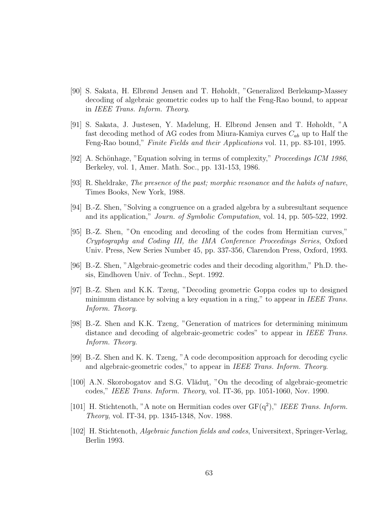- [90] S. Sakata, H. Elbrønd Jensen and T. Høholdt, "Generalized Berlekamp-Massey decoding of algebraic geometric codes up to half the Feng-Rao bound, to appear in IEEE Trans. Inform. Theory.
- [91] S. Sakata, J. Justesen, Y. Madelung, H. Elbrønd Jensen and T. Høholdt, "A fast decoding method of AG codes from Miura-Kamiya curves  $C_{ab}$  up to Half the Feng-Rao bound," Finite Fields and their Applications vol. 11, pp. 83-101, 1995.
- [92] A. Schönhage, "Equation solving in terms of complexity," *Proceedings ICM 1986*. Berkeley, vol. 1, Amer. Math. Soc., pp. 131-153, 1986.
- [93] R. Sheldrake, The presence of the past; morphic resonance and the habits of nature, Times Books, New York, 1988.
- [94] B.-Z. Shen, "Solving a congruence on a graded algebra by a subresultant sequence and its application," Journ. of Symbolic Computation, vol. 14, pp. 505-522, 1992.
- [95] B.-Z. Shen, "On encoding and decoding of the codes from Hermitian curves," Cryptography and Coding III, the IMA Conference Proceedings Series, Oxford Univ. Press, New Series Number 45, pp. 337-356, Clarendon Press, Oxford, 1993.
- [96] B.-Z. Shen, "Algebraic-geometric codes and their decoding algorithm," Ph.D. thesis, Eindhoven Univ. of Techn., Sept. 1992.
- [97] B.-Z. Shen and K.K. Tzeng, "Decoding geometric Goppa codes up to designed minimum distance by solving a key equation in a ring," to appear in *IEEE Trans*. Inform. Theory.
- [98] B.-Z. Shen and K.K. Tzeng, "Generation of matrices for determining minimum distance and decoding of algebraic-geometric codes" to appear in IEEE Trans. Inform. Theory.
- [99] B.-Z. Shen and K. K. Tzeng, "A code decomposition approach for decoding cyclic and algebraic-geometric codes," to appear in IEEE Trans. Inform. Theory.
- [100] A.N. Skorobogatov and S.G. Vlădut, "On the decoding of algebraic-geometric codes," IEEE Trans. Inform. Theory, vol. IT-36, pp. 1051-1060, Nov. 1990.
- [101] H. Stichtenoth, "A note on Hermitian codes over  $GF(q^2)$ ," IEEE Trans. Inform. Theory, vol. IT-34, pp. 1345-1348, Nov. 1988.
- [102] H. Stichtenoth, Algebraic function fields and codes, Universitext, Springer-Verlag, Berlin 1993.